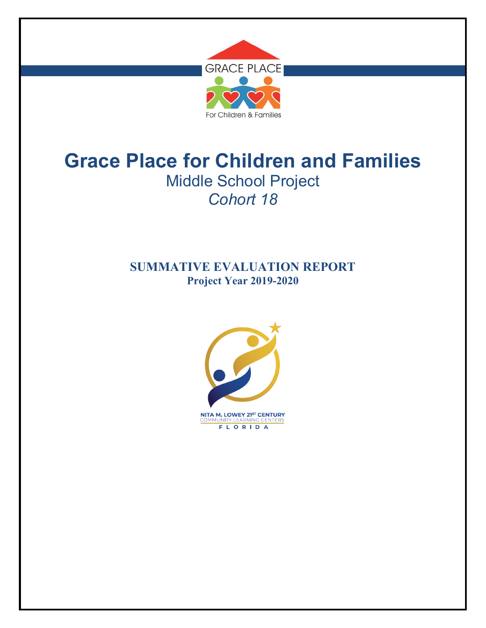

# **SUMMATIVE EVALUATION REPORT Project Year 2019-2020**

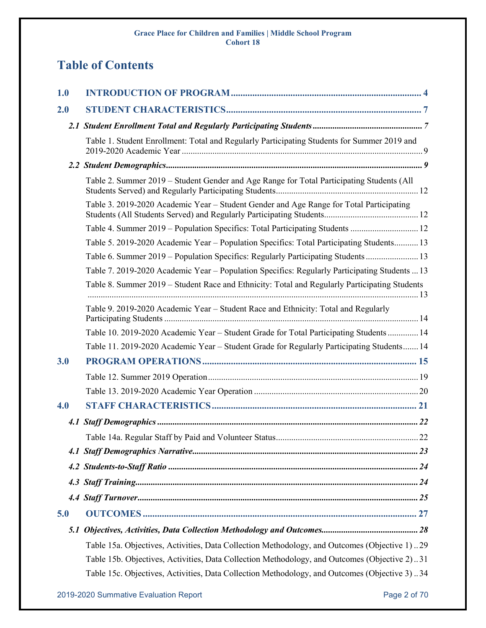# **Table of Contents**

| 1.0 |                                                                                               |
|-----|-----------------------------------------------------------------------------------------------|
| 2.0 |                                                                                               |
|     |                                                                                               |
|     | Table 1. Student Enrollment: Total and Regularly Participating Students for Summer 2019 and   |
|     |                                                                                               |
|     | Table 2. Summer 2019 – Student Gender and Age Range for Total Participating Students (All     |
|     | Table 3. 2019-2020 Academic Year – Student Gender and Age Range for Total Participating       |
|     | Table 4. Summer 2019 - Population Specifics: Total Participating Students  12                 |
|     | Table 5. 2019-2020 Academic Year – Population Specifics: Total Participating Students 13      |
|     | Table 6. Summer 2019 – Population Specifics: Regularly Participating Students 13              |
|     | Table 7. 2019-2020 Academic Year - Population Specifics: Regularly Participating Students  13 |
|     | Table 8. Summer 2019 – Student Race and Ethnicity: Total and Regularly Participating Students |
|     | Table 9. 2019-2020 Academic Year – Student Race and Ethnicity: Total and Regularly            |
|     | Table 10. 2019-2020 Academic Year - Student Grade for Total Participating Students  14        |
|     | Table 11. 2019-2020 Academic Year – Student Grade for Regularly Participating Students 14     |
| 3.0 |                                                                                               |
|     |                                                                                               |
|     |                                                                                               |
| 4.0 |                                                                                               |
|     |                                                                                               |
|     |                                                                                               |
|     |                                                                                               |
|     |                                                                                               |
|     |                                                                                               |
|     |                                                                                               |
| 5.0 |                                                                                               |
| 5.1 |                                                                                               |
|     | Table 15a. Objectives, Activities, Data Collection Methodology, and Outcomes (Objective 1)29  |
|     | Table 15b. Objectives, Activities, Data Collection Methodology, and Outcomes (Objective 2)31  |
|     | Table 15c. Objectives, Activities, Data Collection Methodology, and Outcomes (Objective 3)34  |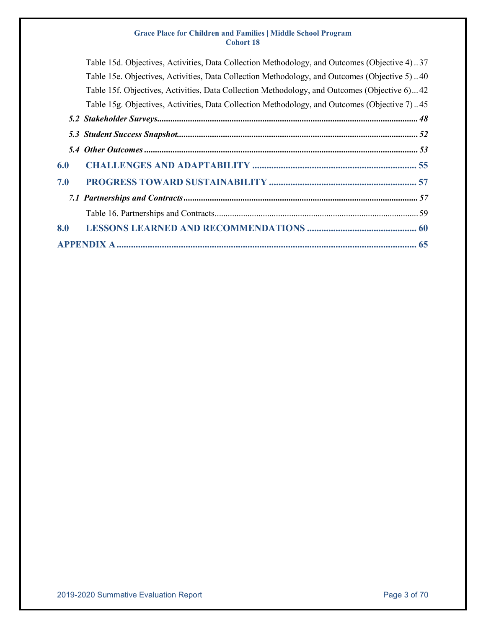| Table 15d. Objectives, Activities, Data Collection Methodology, and Outcomes (Objective 4)37 |
|----------------------------------------------------------------------------------------------|
| Table 15e. Objectives, Activities, Data Collection Methodology, and Outcomes (Objective 5)40 |
| Table 15f. Objectives, Activities, Data Collection Methodology, and Outcomes (Objective 6)42 |
| Table 15g. Objectives, Activities, Data Collection Methodology, and Outcomes (Objective 7)45 |
|                                                                                              |
|                                                                                              |
|                                                                                              |
|                                                                                              |
|                                                                                              |
|                                                                                              |
|                                                                                              |
|                                                                                              |
|                                                                                              |
|                                                                                              |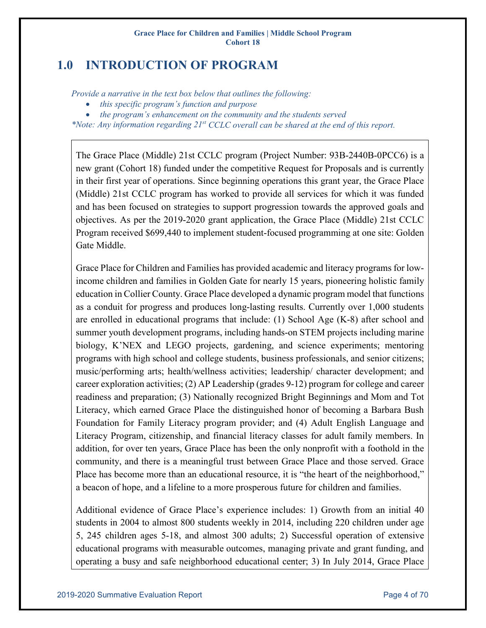# <span id="page-3-0"></span>**1.0 INTRODUCTION OF PROGRAM**

*Provide a narrative in the text box below that outlines the following:*

- *this specific program's function and purpose*
- *the program's enhancement on the community and the students served*

*\*Note: Any information regarding 21st CCLC overall can be shared at the end of this report.*

The Grace Place (Middle) 21st CCLC program (Project Number: 93B-2440B-0PCC6) is a new grant (Cohort 18) funded under the competitive Request for Proposals and is currently in their first year of operations. Since beginning operations this grant year, the Grace Place (Middle) 21st CCLC program has worked to provide all services for which it was funded and has been focused on strategies to support progression towards the approved goals and objectives. As per the 2019-2020 grant application, the Grace Place (Middle) 21st CCLC Program received \$699,440 to implement student-focused programming at one site: Golden Gate Middle.

Grace Place for Children and Families has provided academic and literacy programs for lowincome children and families in Golden Gate for nearly 15 years, pioneering holistic family education in Collier County. Grace Place developed a dynamic program model that functions as a conduit for progress and produces long-lasting results. Currently over 1,000 students are enrolled in educational programs that include: (1) School Age (K-8) after school and summer youth development programs, including hands-on STEM projects including marine biology, K'NEX and LEGO projects, gardening, and science experiments; mentoring programs with high school and college students, business professionals, and senior citizens; music/performing arts; health/wellness activities; leadership/ character development; and career exploration activities; (2) AP Leadership (grades 9-12) program for college and career readiness and preparation; (3) Nationally recognized Bright Beginnings and Mom and Tot Literacy, which earned Grace Place the distinguished honor of becoming a Barbara Bush Foundation for Family Literacy program provider; and (4) Adult English Language and Literacy Program, citizenship, and financial literacy classes for adult family members. In addition, for over ten years, Grace Place has been the only nonprofit with a foothold in the community, and there is a meaningful trust between Grace Place and those served. Grace Place has become more than an educational resource, it is "the heart of the neighborhood," a beacon of hope, and a lifeline to a more prosperous future for children and families.

Additional evidence of Grace Place's experience includes: 1) Growth from an initial 40 students in 2004 to almost 800 students weekly in 2014, including 220 children under age 5, 245 children ages 5-18, and almost 300 adults; 2) Successful operation of extensive educational programs with measurable outcomes, managing private and grant funding, and operating a busy and safe neighborhood educational center; 3) In July 2014, Grace Place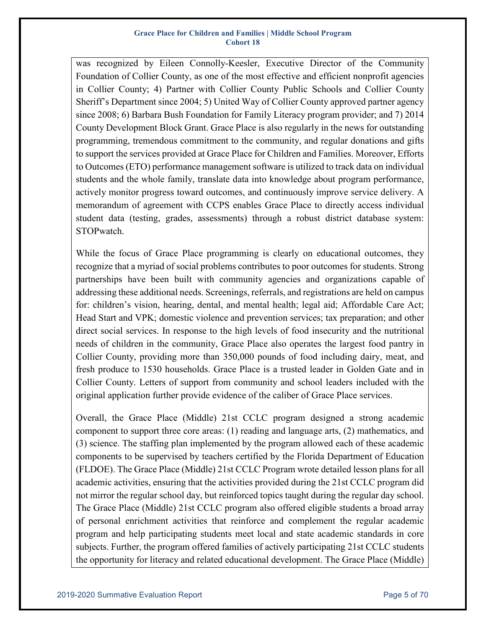was recognized by Eileen Connolly-Keesler, Executive Director of the Community Foundation of Collier County, as one of the most effective and efficient nonprofit agencies in Collier County; 4) Partner with Collier County Public Schools and Collier County Sheriff's Department since 2004; 5) United Way of Collier County approved partner agency since 2008; 6) Barbara Bush Foundation for Family Literacy program provider; and 7) 2014 County Development Block Grant. Grace Place is also regularly in the news for outstanding programming, tremendous commitment to the community, and regular donations and gifts to support the services provided at Grace Place for Children and Families. Moreover, Efforts to Outcomes (ETO) performance management software is utilized to track data on individual students and the whole family, translate data into knowledge about program performance, actively monitor progress toward outcomes, and continuously improve service delivery. A memorandum of agreement with CCPS enables Grace Place to directly access individual student data (testing, grades, assessments) through a robust district database system: STOPwatch.

While the focus of Grace Place programming is clearly on educational outcomes, they recognize that a myriad of social problems contributes to poor outcomes for students. Strong partnerships have been built with community agencies and organizations capable of addressing these additional needs. Screenings, referrals, and registrations are held on campus for: children's vision, hearing, dental, and mental health; legal aid; Affordable Care Act; Head Start and VPK; domestic violence and prevention services; tax preparation; and other direct social services. In response to the high levels of food insecurity and the nutritional needs of children in the community, Grace Place also operates the largest food pantry in Collier County, providing more than 350,000 pounds of food including dairy, meat, and fresh produce to 1530 households. Grace Place is a trusted leader in Golden Gate and in Collier County. Letters of support from community and school leaders included with the original application further provide evidence of the caliber of Grace Place services.

Overall, the Grace Place (Middle) 21st CCLC program designed a strong academic component to support three core areas: (1) reading and language arts, (2) mathematics, and (3) science. The staffing plan implemented by the program allowed each of these academic components to be supervised by teachers certified by the Florida Department of Education (FLDOE). The Grace Place (Middle) 21st CCLC Program wrote detailed lesson plans for all academic activities, ensuring that the activities provided during the 21st CCLC program did not mirror the regular school day, but reinforced topics taught during the regular day school. The Grace Place (Middle) 21st CCLC program also offered eligible students a broad array of personal enrichment activities that reinforce and complement the regular academic program and help participating students meet local and state academic standards in core subjects. Further, the program offered families of actively participating 21st CCLC students the opportunity for literacy and related educational development. The Grace Place (Middle)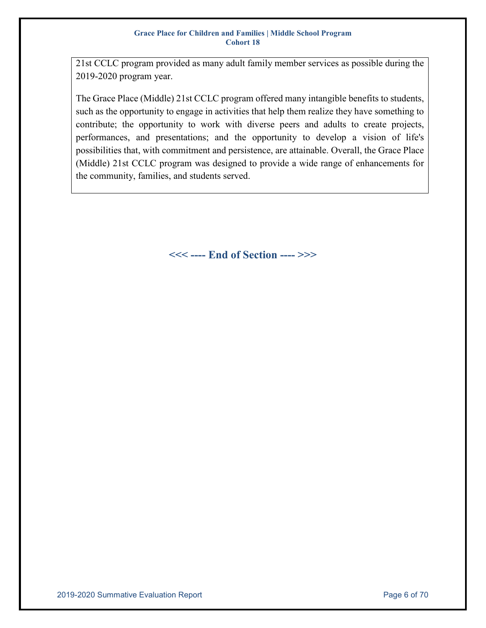21st CCLC program provided as many adult family member services as possible during the 2019-2020 program year.

The Grace Place (Middle) 21st CCLC program offered many intangible benefits to students, such as the opportunity to engage in activities that help them realize they have something to contribute; the opportunity to work with diverse peers and adults to create projects, performances, and presentations; and the opportunity to develop a vision of life's possibilities that, with commitment and persistence, are attainable. Overall, the Grace Place (Middle) 21st CCLC program was designed to provide a wide range of enhancements for the community, families, and students served.

**<<< ---- End of Section ---- >>>**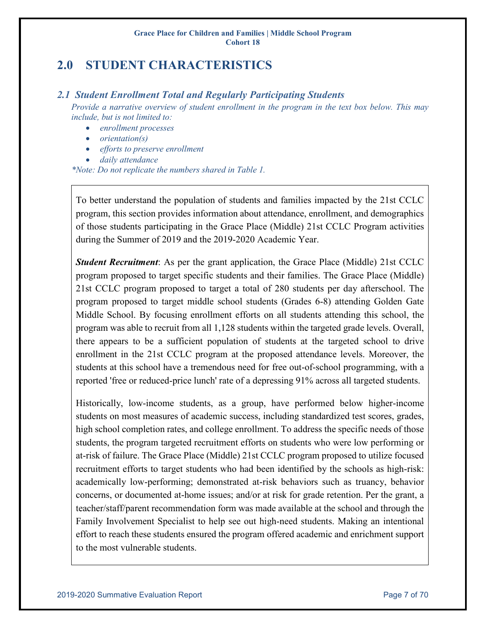# <span id="page-6-0"></span>**2.0 STUDENT CHARACTERISTICS**

### <span id="page-6-1"></span>*2.1 Student Enrollment Total and Regularly Participating Students*

*Provide a narrative overview of student enrollment in the program in the text box below. This may include, but is not limited to:*

- *enrollment processes*
- *orientation(s)*
- *efforts to preserve enrollment*
- *daily attendance*

*\*Note: Do not replicate the numbers shared in Table 1.*

To better understand the population of students and families impacted by the 21st CCLC program, this section provides information about attendance, enrollment, and demographics of those students participating in the Grace Place (Middle) 21st CCLC Program activities during the Summer of 2019 and the 2019-2020 Academic Year.

*Student Recruitment*: As per the grant application, the Grace Place (Middle) 21st CCLC program proposed to target specific students and their families. The Grace Place (Middle) 21st CCLC program proposed to target a total of 280 students per day afterschool. The program proposed to target middle school students (Grades 6-8) attending Golden Gate Middle School. By focusing enrollment efforts on all students attending this school, the program was able to recruit from all 1,128 students within the targeted grade levels. Overall, there appears to be a sufficient population of students at the targeted school to drive enrollment in the 21st CCLC program at the proposed attendance levels. Moreover, the students at this school have a tremendous need for free out-of-school programming, with a reported 'free or reduced-price lunch' rate of a depressing 91% across all targeted students.

Historically, low-income students, as a group, have performed below higher-income students on most measures of academic success, including standardized test scores, grades, high school completion rates, and college enrollment. To address the specific needs of those students, the program targeted recruitment efforts on students who were low performing or at-risk of failure. The Grace Place (Middle) 21st CCLC program proposed to utilize focused recruitment efforts to target students who had been identified by the schools as high-risk: academically low-performing; demonstrated at-risk behaviors such as truancy, behavior concerns, or documented at-home issues; and/or at risk for grade retention. Per the grant, a teacher/staff/parent recommendation form was made available at the school and through the Family Involvement Specialist to help see out high-need students. Making an intentional effort to reach these students ensured the program offered academic and enrichment support to the most vulnerable students.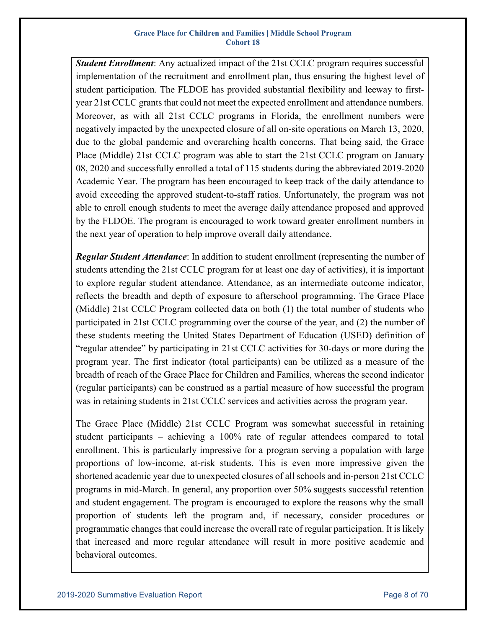*Student Enrollment*: Any actualized impact of the 21st CCLC program requires successful implementation of the recruitment and enrollment plan, thus ensuring the highest level of student participation. The FLDOE has provided substantial flexibility and leeway to firstyear 21st CCLC grants that could not meet the expected enrollment and attendance numbers. Moreover, as with all 21st CCLC programs in Florida, the enrollment numbers were negatively impacted by the unexpected closure of all on-site operations on March 13, 2020, due to the global pandemic and overarching health concerns. That being said, the Grace Place (Middle) 21st CCLC program was able to start the 21st CCLC program on January 08, 2020 and successfully enrolled a total of 115 students during the abbreviated 2019-2020 Academic Year. The program has been encouraged to keep track of the daily attendance to avoid exceeding the approved student-to-staff ratios. Unfortunately, the program was not able to enroll enough students to meet the average daily attendance proposed and approved by the FLDOE. The program is encouraged to work toward greater enrollment numbers in the next year of operation to help improve overall daily attendance.

*Regular Student Attendance*: In addition to student enrollment (representing the number of students attending the 21st CCLC program for at least one day of activities), it is important to explore regular student attendance. Attendance, as an intermediate outcome indicator, reflects the breadth and depth of exposure to afterschool programming. The Grace Place (Middle) 21st CCLC Program collected data on both (1) the total number of students who participated in 21st CCLC programming over the course of the year, and (2) the number of these students meeting the United States Department of Education (USED) definition of "regular attendee" by participating in 21st CCLC activities for 30-days or more during the program year. The first indicator (total participants) can be utilized as a measure of the breadth of reach of the Grace Place for Children and Families, whereas the second indicator (regular participants) can be construed as a partial measure of how successful the program was in retaining students in 21st CCLC services and activities across the program year.

The Grace Place (Middle) 21st CCLC Program was somewhat successful in retaining student participants – achieving a 100% rate of regular attendees compared to total enrollment. This is particularly impressive for a program serving a population with large proportions of low-income, at-risk students. This is even more impressive given the shortened academic year due to unexpected closures of all schools and in-person 21st CCLC programs in mid-March. In general, any proportion over 50% suggests successful retention and student engagement. The program is encouraged to explore the reasons why the small proportion of students left the program and, if necessary, consider procedures or programmatic changes that could increase the overall rate of regular participation. It is likely that increased and more regular attendance will result in more positive academic and behavioral outcomes.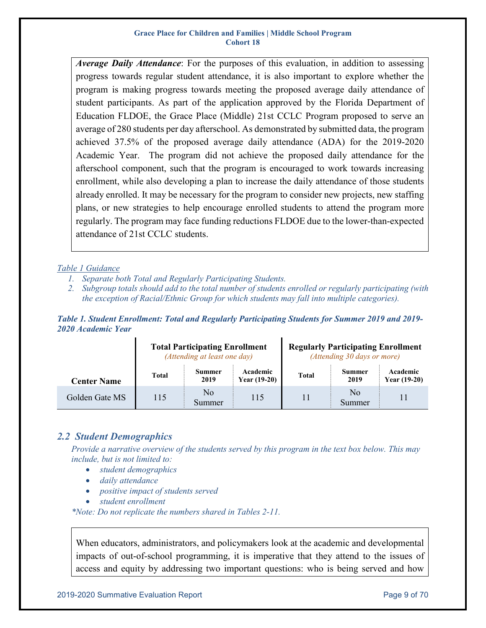*Average Daily Attendance*: For the purposes of this evaluation, in addition to assessing progress towards regular student attendance, it is also important to explore whether the program is making progress towards meeting the proposed average daily attendance of student participants. As part of the application approved by the Florida Department of Education FLDOE, the Grace Place (Middle) 21st CCLC Program proposed to serve an average of 280 students per day afterschool. As demonstrated by submitted data, the program achieved 37.5% of the proposed average daily attendance (ADA) for the 2019-2020 Academic Year. The program did not achieve the proposed daily attendance for the afterschool component, such that the program is encouraged to work towards increasing enrollment, while also developing a plan to increase the daily attendance of those students already enrolled. It may be necessary for the program to consider new projects, new staffing plans, or new strategies to help encourage enrolled students to attend the program more regularly. The program may face funding reductions FLDOE due to the lower-than-expected attendance of 21st CCLC students.

#### *Table 1 Guidance*

- *1. Separate both Total and Regularly Participating Students.*
- *2. Subgroup totals should add to the total number of students enrolled or regularly participating (with the exception of Racial/Ethnic Group for which students may fall into multiple categories).*

<span id="page-8-0"></span>*Table 1. Student Enrollment: Total and Regularly Participating Students for Summer 2019 and 2019- 2020 Academic Year*

|                    |                     | <b>Total Participating Enrollment</b><br>(Attending at least one day) |                            | <b>Regularly Participating Enrollment</b><br>(Attending 30 days or more) |                       |                                 |  |  |
|--------------------|---------------------|-----------------------------------------------------------------------|----------------------------|--------------------------------------------------------------------------|-----------------------|---------------------------------|--|--|
| <b>Center Name</b> | <b>Total</b>        | <b>Summer</b><br>2019                                                 | Academic<br>Year $(19-20)$ | <b>Total</b>                                                             | <b>Summer</b><br>2019 | Academic<br><b>Year (19-20)</b> |  |  |
| Golden Gate MS     | No<br>115<br>Summer |                                                                       | 115                        | 11                                                                       | No<br>Summer          |                                 |  |  |

### <span id="page-8-1"></span>*2.2 Student Demographics*

*Provide a narrative overview of the students served by this program in the text box below. This may include, but is not limited to:*

- *student demographics*
- *daily attendance*
- *positive impact of students served*
- *student enrollment*

*\*Note: Do not replicate the numbers shared in Tables 2-11.*

When educators, administrators, and policymakers look at the academic and developmental impacts of out-of-school programming, it is imperative that they attend to the issues of access and equity by addressing two important questions: who is being served and how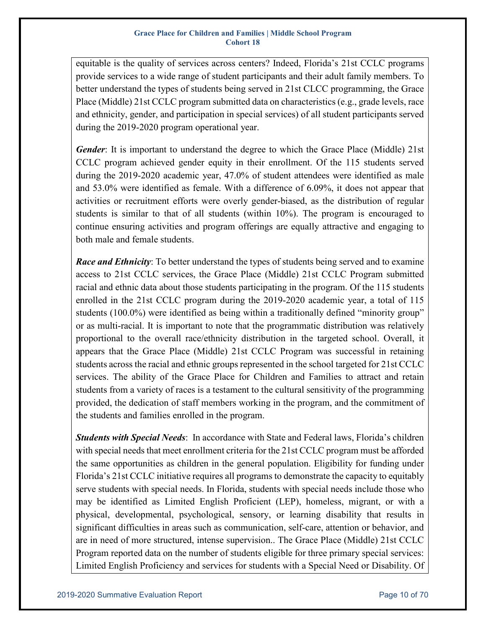equitable is the quality of services across centers? Indeed, Florida's 21st CCLC programs provide services to a wide range of student participants and their adult family members. To better understand the types of students being served in 21st CLCC programming, the Grace Place (Middle) 21st CCLC program submitted data on characteristics (e.g., grade levels, race and ethnicity, gender, and participation in special services) of all student participants served during the 2019-2020 program operational year.

*Gender*: It is important to understand the degree to which the Grace Place (Middle) 21st CCLC program achieved gender equity in their enrollment. Of the 115 students served during the 2019-2020 academic year, 47.0% of student attendees were identified as male and 53.0% were identified as female. With a difference of 6.09%, it does not appear that activities or recruitment efforts were overly gender-biased, as the distribution of regular students is similar to that of all students (within 10%). The program is encouraged to continue ensuring activities and program offerings are equally attractive and engaging to both male and female students.

*Race and Ethnicity*: To better understand the types of students being served and to examine access to 21st CCLC services, the Grace Place (Middle) 21st CCLC Program submitted racial and ethnic data about those students participating in the program. Of the 115 students enrolled in the 21st CCLC program during the 2019-2020 academic year, a total of 115 students (100.0%) were identified as being within a traditionally defined "minority group" or as multi-racial. It is important to note that the programmatic distribution was relatively proportional to the overall race/ethnicity distribution in the targeted school. Overall, it appears that the Grace Place (Middle) 21st CCLC Program was successful in retaining students across the racial and ethnic groups represented in the school targeted for 21st CCLC services. The ability of the Grace Place for Children and Families to attract and retain students from a variety of races is a testament to the cultural sensitivity of the programming provided, the dedication of staff members working in the program, and the commitment of the students and families enrolled in the program.

*Students with Special Needs*: In accordance with State and Federal laws, Florida's children with special needs that meet enrollment criteria for the 21st CCLC program must be afforded the same opportunities as children in the general population. Eligibility for funding under Florida's 21st CCLC initiative requires all programs to demonstrate the capacity to equitably serve students with special needs. In Florida, students with special needs include those who may be identified as Limited English Proficient (LEP), homeless, migrant, or with a physical, developmental, psychological, sensory, or learning disability that results in significant difficulties in areas such as communication, self-care, attention or behavior, and are in need of more structured, intense supervision.. The Grace Place (Middle) 21st CCLC Program reported data on the number of students eligible for three primary special services: Limited English Proficiency and services for students with a Special Need or Disability. Of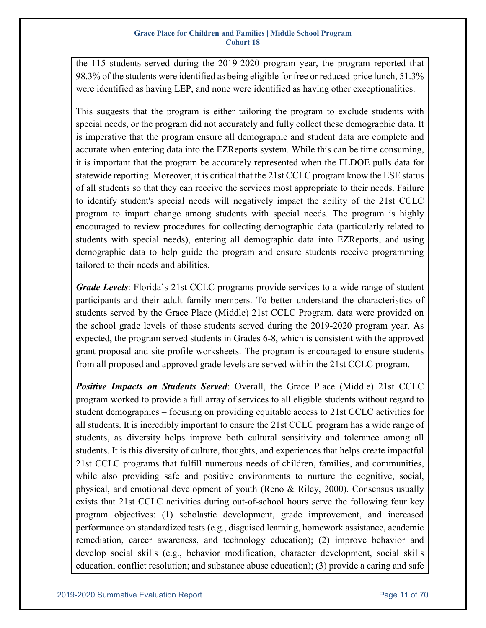the 115 students served during the 2019-2020 program year, the program reported that 98.3% of the students were identified as being eligible for free or reduced-price lunch, 51.3% were identified as having LEP, and none were identified as having other exceptionalities.

This suggests that the program is either tailoring the program to exclude students with special needs, or the program did not accurately and fully collect these demographic data. It is imperative that the program ensure all demographic and student data are complete and accurate when entering data into the EZReports system. While this can be time consuming, it is important that the program be accurately represented when the FLDOE pulls data for statewide reporting. Moreover, it is critical that the 21st CCLC program know the ESE status of all students so that they can receive the services most appropriate to their needs. Failure to identify student's special needs will negatively impact the ability of the 21st CCLC program to impart change among students with special needs. The program is highly encouraged to review procedures for collecting demographic data (particularly related to students with special needs), entering all demographic data into EZReports, and using demographic data to help guide the program and ensure students receive programming tailored to their needs and abilities.

*Grade Levels*: Florida's 21st CCLC programs provide services to a wide range of student participants and their adult family members. To better understand the characteristics of students served by the Grace Place (Middle) 21st CCLC Program, data were provided on the school grade levels of those students served during the 2019-2020 program year. As expected, the program served students in Grades 6-8, which is consistent with the approved grant proposal and site profile worksheets. The program is encouraged to ensure students from all proposed and approved grade levels are served within the 21st CCLC program.

**Positive Impacts on Students Served:** Overall, the Grace Place (Middle) 21st CCLC program worked to provide a full array of services to all eligible students without regard to student demographics – focusing on providing equitable access to 21st CCLC activities for all students. It is incredibly important to ensure the 21st CCLC program has a wide range of students, as diversity helps improve both cultural sensitivity and tolerance among all students. It is this diversity of culture, thoughts, and experiences that helps create impactful 21st CCLC programs that fulfill numerous needs of children, families, and communities, while also providing safe and positive environments to nurture the cognitive, social, physical, and emotional development of youth (Reno & Riley, 2000). Consensus usually exists that 21st CCLC activities during out-of-school hours serve the following four key program objectives: (1) scholastic development, grade improvement, and increased performance on standardized tests (e.g., disguised learning, homework assistance, academic remediation, career awareness, and technology education); (2) improve behavior and develop social skills (e.g., behavior modification, character development, social skills education, conflict resolution; and substance abuse education); (3) provide a caring and safe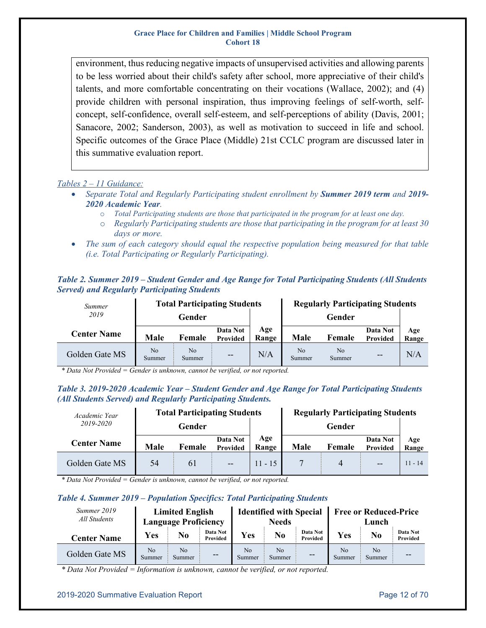environment, thus reducing negative impacts of unsupervised activities and allowing parents to be less worried about their child's safety after school, more appreciative of their child's talents, and more comfortable concentrating on their vocations (Wallace, 2002); and (4) provide children with personal inspiration, thus improving feelings of self-worth, selfconcept, self-confidence, overall self-esteem, and self-perceptions of ability (Davis, 2001; Sanacore, 2002; Sanderson, 2003), as well as motivation to succeed in life and school. Specific outcomes of the Grace Place (Middle) 21st CCLC program are discussed later in this summative evaluation report.

#### *Tables 2 – 11 Guidance:*

- *Separate Total and Regularly Participating student enrollment by Summer 2019 term and 2019- 2020 Academic Year.*
	- o *Total Participating students are those that participated in the program for at least one day.*
	- o *Regularly Participating students are those that participating in the program for at least 30 days or more.*
- *The sum of each category should equal the respective population being measured for that table (i.e. Total Participating or Regularly Participating).*

<span id="page-11-0"></span>

| Table 2. Summer 2019 – Student Gender and Age Range for Total Participating Students (All Students |  |  |
|----------------------------------------------------------------------------------------------------|--|--|
| <b>Served) and Regularly Participating Students</b>                                                |  |  |

| Summer             |              |                          | <b>Total Participating Students</b> |              | <b>Regularly Participating Students</b> |                          |                      |              |  |  |
|--------------------|--------------|--------------------------|-------------------------------------|--------------|-----------------------------------------|--------------------------|----------------------|--------------|--|--|
| 2019               |              | Gender                   |                                     |              |                                         | Gender                   |                      |              |  |  |
| <b>Center Name</b> | Male         | Female                   | Data Not<br>Provided                | Age<br>Range | Male                                    | Female                   | Data Not<br>Provided | Age<br>Range |  |  |
| Golden Gate MS     | No<br>Summer | N <sub>o</sub><br>Summer | $-$                                 | N/A          | N <sub>o</sub><br>Summer                | N <sub>o</sub><br>Summer | $-$                  | N/A          |  |  |

*\* Data Not Provided = Gender is unknown, cannot be verified, or not reported.*

#### <span id="page-11-1"></span>*Table 3. 2019-2020 Academic Year – Student Gender and Age Range for Total Participating Students (All Students Served) and Regularly Participating Students.*

| Academic Year      |      |                                | <b>Total Participating Students</b> |              | <b>Regularly Participating Students</b> |        |                      |              |  |  |
|--------------------|------|--------------------------------|-------------------------------------|--------------|-----------------------------------------|--------|----------------------|--------------|--|--|
| 2019-2020          |      | Gender                         |                                     |              |                                         | Gender |                      |              |  |  |
| <b>Center Name</b> | Male | Data Not<br>Female<br>Provided |                                     | Age<br>Range | Male                                    | Female | Data Not<br>Provided | Age<br>Range |  |  |
| Golden Gate MS     | 54   | 61                             | $-$                                 | $11 - 15$    |                                         | 4      | $-$                  | $11 - 14$    |  |  |

*\* Data Not Provided = Gender is unknown, cannot be verified, or not reported.*

#### <span id="page-11-2"></span>*Table 4. Summer 2019 – Population Specifics: Total Participating Students*

| Summer 2019<br>All Students |                          | <b>Limited English</b><br><b>Language Proficiency</b> |                      |                          | <b>Identified with Special</b><br><b>Needs</b> |                      | <b>Free or Reduced-Price</b><br>Lunch |              |                      |
|-----------------------------|--------------------------|-------------------------------------------------------|----------------------|--------------------------|------------------------------------------------|----------------------|---------------------------------------|--------------|----------------------|
| <b>Center Name</b>          | Yes                      | No                                                    | Data Not<br>Provided | Yes                      | No                                             | Data Not<br>Provided | Yes                                   | No           | Data Not<br>Provided |
| Golden Gate MS              | N <sub>o</sub><br>Summer | N <sub>o</sub><br>Summer                              | $-$                  | N <sub>0</sub><br>Summer | No<br>Summer                                   | $- -$                | N <sub>0</sub><br>Summer              | No<br>Summer | $- -$                |

*\* Data Not Provided = Information is unknown, cannot be verified, or not reported.*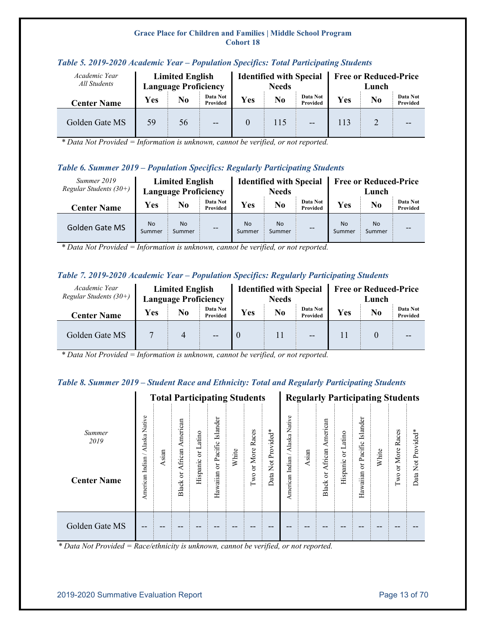| Academic Year<br>All Students | <b>Limited English</b><br><b>Language Proficiency</b> |    |                      |     | <b>Identified with Special</b><br><b>Needs</b> |                      | <b>Free or Reduced-Price</b><br>Lunch |    |                      |  |
|-------------------------------|-------------------------------------------------------|----|----------------------|-----|------------------------------------------------|----------------------|---------------------------------------|----|----------------------|--|
| <b>Center Name</b>            | <b>Yes</b><br>No                                      |    | Data Not<br>Provided | Yes | No                                             | Data Not<br>Provided | Yes                                   | No | Data Not<br>Provided |  |
| Golden Gate MS                | 59                                                    | 56 | $\overline{a}$       |     | 115                                            | --                   | 113                                   |    |                      |  |

#### <span id="page-12-0"></span>*Table 5. 2019-2020 Academic Year – Population Specifics: Total Participating Students*

*\* Data Not Provided = Information is unknown, cannot be verified, or not reported.*

### <span id="page-12-1"></span>*Table 6. Summer 2019 – Population Specifics: Regularly Participating Students*

| Summer 2019<br>Regular Students $(30+)$ |                          | <b>Limited English</b><br><b>Language Proficiency</b> |          |                     | <b>Identified with Special</b><br><b>Needs</b> |                      | <b>Free or Reduced-Price</b><br>Lunch |                     |                      |  |
|-----------------------------------------|--------------------------|-------------------------------------------------------|----------|---------------------|------------------------------------------------|----------------------|---------------------------------------|---------------------|----------------------|--|
| <b>Center Name</b>                      | Yes<br>No<br>Provided    |                                                       | Data Not | Yes<br>No           |                                                | Data Not<br>Provided | Yes                                   | No                  | Data Not<br>Provided |  |
| Golden Gate MS                          | N <sub>o</sub><br>Summer | <b>No</b><br>Summer                                   | $- -$    | <b>No</b><br>Summer | <b>No</b><br>Summer                            | $- -$                | <b>No</b><br>Summer                   | <b>No</b><br>Summer | $- -$                |  |

*\* Data Not Provided = Information is unknown, cannot be verified, or not reported.*

### <span id="page-12-2"></span>*Table 7. 2019-2020 Academic Year – Population Specifics: Regularly Participating Students*

| Academic Year<br>Regular Students $(30+)$ |            | <b>Limited English</b><br><b>Language Proficiency</b> |                      |     | <b>Identified with Special</b><br><b>Needs</b> |                      | <b>Free or Reduced-Price</b><br>Lunch |    |                      |  |
|-------------------------------------------|------------|-------------------------------------------------------|----------------------|-----|------------------------------------------------|----------------------|---------------------------------------|----|----------------------|--|
| <b>Center Name</b>                        | <b>Yes</b> | No                                                    | Data Not<br>Provided | Yes | No                                             | Data Not<br>Provided | Yes                                   | No | Data Not<br>Provided |  |
| Golden Gate MS                            |            | $\overline{4}$                                        | --                   |     | 11                                             | $- -$                |                                       |    |                      |  |

*\* Data Not Provided = Information is unknown, cannot be verified, or not reported.*

#### <span id="page-12-3"></span>*Table 8. Summer 2019 – Student Race and Ethnicity: Total and Regularly Participating Students*

|                    |                                              | <b>Total Participating Students</b> |                              |                 |                     |       |               |               | <b>Regularly Participating Students</b> |       |                              |                                        |                        |       |                  |                    |
|--------------------|----------------------------------------------|-------------------------------------|------------------------------|-----------------|---------------------|-------|---------------|---------------|-----------------------------------------|-------|------------------------------|----------------------------------------|------------------------|-------|------------------|--------------------|
| Summer<br>2019     | Native<br>Alaska<br>$\overline{\phantom{0}}$ | Asian                               | American                     | atino<br>凵<br>5 | Islander<br>Pacific | White | or More Races | Not Provided* | Native<br>Alaska<br>∽                   | Asian | American                     | Latino<br>$\overleftarrow{\mathrm{C}}$ | Islander<br>or Pacific | White | More Races       |                    |
| <b>Center Name</b> | Indian<br>American                           |                                     | African<br>ä<br><b>Black</b> | Hispanic        | ð<br>Hawaiian       |       | $\Gamma$ wo   | ata<br>≏      | Indian<br>American                      |       | African<br>ă<br><b>Black</b> | Hispanic                               | Hawaiian               |       | ð<br>$\Gamma$ wo | Data Not Provided* |
| Golden Gate MS     | --                                           |                                     |                              |                 |                     |       |               |               |                                         |       |                              |                                        |                        |       |                  |                    |

*\* Data Not Provided = Race/ethnicity is unknown, cannot be verified, or not reported.*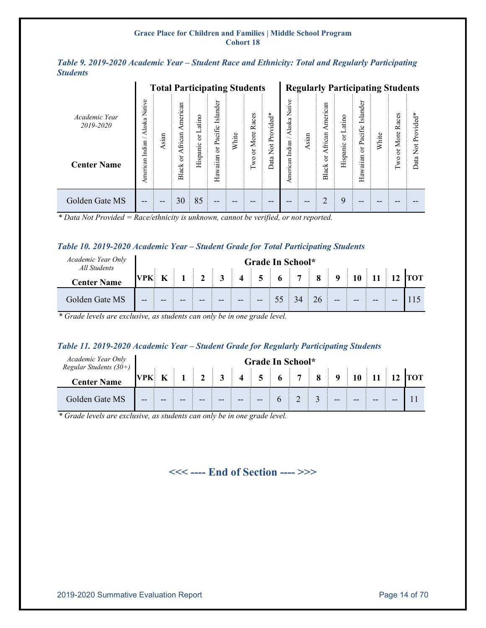<span id="page-13-0"></span>

|                 |  |  |  |  | Table 9. 2019-2020 Academic Year – Student Race and Ethnicity: Total and Regularly Participating |
|-----------------|--|--|--|--|--------------------------------------------------------------------------------------------------|
| <b>Students</b> |  |  |  |  |                                                                                                  |

|                            | <b>Total Participating Students</b> |       |                    |                  |                         |       |                  | <b>Regularly Participating Students</b> |                       |      |                         |                 |                            |       |               |                    |
|----------------------------|-------------------------------------|-------|--------------------|------------------|-------------------------|-------|------------------|-----------------------------------------|-----------------------|------|-------------------------|-----------------|----------------------------|-------|---------------|--------------------|
| Academic Year<br>2019-2020 | Native<br>Alaska<br>∽               | Asian | merican<br>African | atino<br>−<br>ă  | slander<br>≔<br>Pacific | White | Races<br>or More | $\ast$<br>Provided                      | Native<br>Alaska<br>∼ | sian | នា<br>Americ<br>African | atino<br>니<br>ð | slander<br>⊢<br>or Pacific | White | Races<br>More | ж.<br>Not Provided |
| <b>Center Name</b>         | Indian<br>American                  |       | ៦<br><b>Black</b>  | anic<br>SP.<br>Ě | ă<br>Hawaiian           |       | Two              | $\overrightarrow{X}$<br>ata<br>≏        | Indian<br>American    |      | ä<br><b>Black</b>       | Hispanic        | Hawaiian                   |       | ä<br>Two      | ata<br>≏           |
| Golden Gate MS             | --                                  | --    | 30                 | 85               | $- -$                   | --    |                  |                                         |                       |      |                         | 9               | --                         |       |               |                    |

*\* Data Not Provided = Race/ethnicity is unknown, cannot be verified, or not reported.*

#### <span id="page-13-1"></span>*Table 10. 2019-2020 Academic Year – Student Grade for Total Participating Students*

| Academic Year Only<br>All Students | Grade In School* |  |    |          |              |                         |       |  |                |    |          |       |       |       |  |
|------------------------------------|------------------|--|----|----------|--------------|-------------------------|-------|--|----------------|----|----------|-------|-------|-------|--|
| <b>Center Name</b>                 | VPK              |  |    | $\gamma$ | $\mathbf{3}$ | $\overline{\mathbf{4}}$ | 5     |  | $\overline{7}$ | 8  | $\Omega$ |       |       |       |  |
| Golden Gate MS                     | $- -$            |  | -- |          |              |                         | $- -$ |  | 34             | 26 | $- -$    | $- -$ | $- -$ | $- -$ |  |

*\* Grade levels are exclusive, as students can only be in one grade level.*

#### <span id="page-13-2"></span>*Table 11. 2019-2020 Academic Year – Student Grade for Regularly Participating Students*

| Academic Year Only<br>Regular Students $(30+)$ |            | Grade In School* |    |    |   |                         |      |       |  |  |       |       |    |    |            |
|------------------------------------------------|------------|------------------|----|----|---|-------------------------|------|-------|--|--|-------|-------|----|----|------------|
| <b>Center Name</b>                             | <b>VPK</b> |                  |    |    | 3 | $\overline{\mathbf{4}}$ | $+5$ | $6-1$ |  |  |       | 10    |    |    | <b>TOT</b> |
| Golden Gate MS                                 | --         |                  | -- | -- |   |                         |      |       |  |  | $- -$ | $- -$ | -- | -- |            |

*\* Grade levels are exclusive, as students can only be in one grade level.*

**<<< ---- End of Section ---- >>>**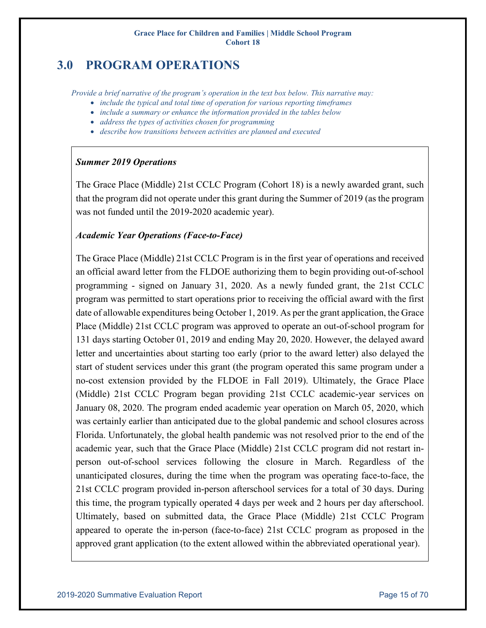# <span id="page-14-0"></span>**3.0 PROGRAM OPERATIONS**

*Provide a brief narrative of the program's operation in the text box below. This narrative may:* 

- *include the typical and total time of operation for various reporting timeframes*
- *include a summary or enhance the information provided in the tables below*
- *address the types of activities chosen for programming*
- *describe how transitions between activities are planned and executed*

### *Summer 2019 Operations*

The Grace Place (Middle) 21st CCLC Program (Cohort 18) is a newly awarded grant, such that the program did not operate under this grant during the Summer of 2019 (as the program was not funded until the 2019-2020 academic year).

### *Academic Year Operations (Face-to-Face)*

The Grace Place (Middle) 21st CCLC Program is in the first year of operations and received an official award letter from the FLDOE authorizing them to begin providing out-of-school programming - signed on January 31, 2020. As a newly funded grant, the 21st CCLC program was permitted to start operations prior to receiving the official award with the first date of allowable expenditures being October 1, 2019. As per the grant application, the Grace Place (Middle) 21st CCLC program was approved to operate an out-of-school program for 131 days starting October 01, 2019 and ending May 20, 2020. However, the delayed award letter and uncertainties about starting too early (prior to the award letter) also delayed the start of student services under this grant (the program operated this same program under a no-cost extension provided by the FLDOE in Fall 2019). Ultimately, the Grace Place (Middle) 21st CCLC Program began providing 21st CCLC academic-year services on January 08, 2020. The program ended academic year operation on March 05, 2020, which was certainly earlier than anticipated due to the global pandemic and school closures across Florida. Unfortunately, the global health pandemic was not resolved prior to the end of the academic year, such that the Grace Place (Middle) 21st CCLC program did not restart inperson out-of-school services following the closure in March. Regardless of the unanticipated closures, during the time when the program was operating face-to-face, the 21st CCLC program provided in-person afterschool services for a total of 30 days. During this time, the program typically operated 4 days per week and 2 hours per day afterschool. Ultimately, based on submitted data, the Grace Place (Middle) 21st CCLC Program appeared to operate the in-person (face-to-face) 21st CCLC program as proposed in the approved grant application (to the extent allowed within the abbreviated operational year).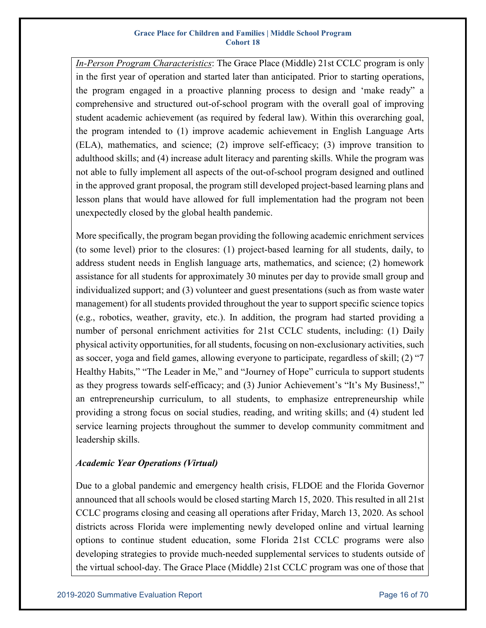*In-Person Program Characteristics*: The Grace Place (Middle) 21st CCLC program is only in the first year of operation and started later than anticipated. Prior to starting operations, the program engaged in a proactive planning process to design and 'make ready" a comprehensive and structured out-of-school program with the overall goal of improving student academic achievement (as required by federal law). Within this overarching goal, the program intended to (1) improve academic achievement in English Language Arts (ELA), mathematics, and science; (2) improve self-efficacy; (3) improve transition to adulthood skills; and (4) increase adult literacy and parenting skills. While the program was not able to fully implement all aspects of the out-of-school program designed and outlined in the approved grant proposal, the program still developed project-based learning plans and lesson plans that would have allowed for full implementation had the program not been unexpectedly closed by the global health pandemic.

More specifically, the program began providing the following academic enrichment services (to some level) prior to the closures: (1) project-based learning for all students, daily, to address student needs in English language arts, mathematics, and science; (2) homework assistance for all students for approximately 30 minutes per day to provide small group and individualized support; and (3) volunteer and guest presentations (such as from waste water management) for all students provided throughout the year to support specific science topics (e.g., robotics, weather, gravity, etc.). In addition, the program had started providing a number of personal enrichment activities for 21st CCLC students, including: (1) Daily physical activity opportunities, for all students, focusing on non-exclusionary activities, such as soccer, yoga and field games, allowing everyone to participate, regardless of skill; (2) "7 Healthy Habits," "The Leader in Me," and "Journey of Hope" curricula to support students as they progress towards self-efficacy; and (3) Junior Achievement's "It's My Business!," an entrepreneurship curriculum, to all students, to emphasize entrepreneurship while providing a strong focus on social studies, reading, and writing skills; and (4) student led service learning projects throughout the summer to develop community commitment and leadership skills.

### *Academic Year Operations (Virtual)*

Due to a global pandemic and emergency health crisis, FLDOE and the Florida Governor announced that all schools would be closed starting March 15, 2020. This resulted in all 21st CCLC programs closing and ceasing all operations after Friday, March 13, 2020. As school districts across Florida were implementing newly developed online and virtual learning options to continue student education, some Florida 21st CCLC programs were also developing strategies to provide much-needed supplemental services to students outside of the virtual school-day. The Grace Place (Middle) 21st CCLC program was one of those that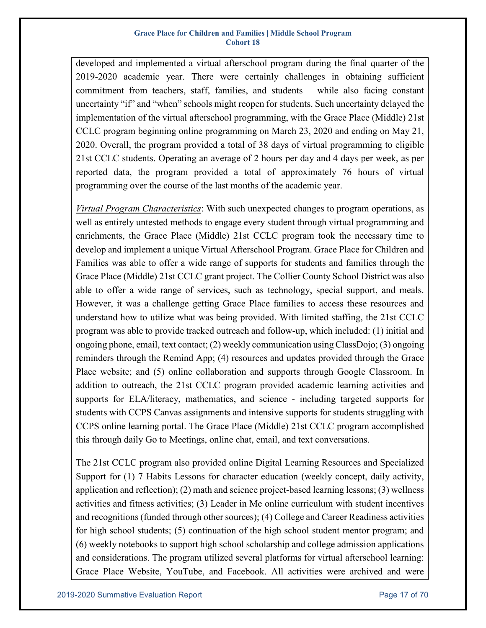developed and implemented a virtual afterschool program during the final quarter of the 2019-2020 academic year. There were certainly challenges in obtaining sufficient commitment from teachers, staff, families, and students – while also facing constant uncertainty "if" and "when" schools might reopen for students. Such uncertainty delayed the implementation of the virtual afterschool programming, with the Grace Place (Middle) 21st CCLC program beginning online programming on March 23, 2020 and ending on May 21, 2020. Overall, the program provided a total of 38 days of virtual programming to eligible 21st CCLC students. Operating an average of 2 hours per day and 4 days per week, as per reported data, the program provided a total of approximately 76 hours of virtual programming over the course of the last months of the academic year.

*Virtual Program Characteristics*: With such unexpected changes to program operations, as well as entirely untested methods to engage every student through virtual programming and enrichments, the Grace Place (Middle) 21st CCLC program took the necessary time to develop and implement a unique Virtual Afterschool Program. Grace Place for Children and Families was able to offer a wide range of supports for students and families through the Grace Place (Middle) 21st CCLC grant project. The Collier County School District was also able to offer a wide range of services, such as technology, special support, and meals. However, it was a challenge getting Grace Place families to access these resources and understand how to utilize what was being provided. With limited staffing, the 21st CCLC program was able to provide tracked outreach and follow-up, which included: (1) initial and ongoing phone, email, text contact; (2) weekly communication using ClassDojo; (3) ongoing reminders through the Remind App; (4) resources and updates provided through the Grace Place website; and (5) online collaboration and supports through Google Classroom. In addition to outreach, the 21st CCLC program provided academic learning activities and supports for ELA/literacy, mathematics, and science - including targeted supports for students with CCPS Canvas assignments and intensive supports for students struggling with CCPS online learning portal. The Grace Place (Middle) 21st CCLC program accomplished this through daily Go to Meetings, online chat, email, and text conversations.

The 21st CCLC program also provided online Digital Learning Resources and Specialized Support for (1) 7 Habits Lessons for character education (weekly concept, daily activity, application and reflection); (2) math and science project-based learning lessons; (3) wellness activities and fitness activities; (3) Leader in Me online curriculum with student incentives and recognitions (funded through other sources); (4) College and Career Readiness activities for high school students; (5) continuation of the high school student mentor program; and (6) weekly notebooks to support high school scholarship and college admission applications and considerations. The program utilized several platforms for virtual afterschool learning: Grace Place Website, YouTube, and Facebook. All activities were archived and were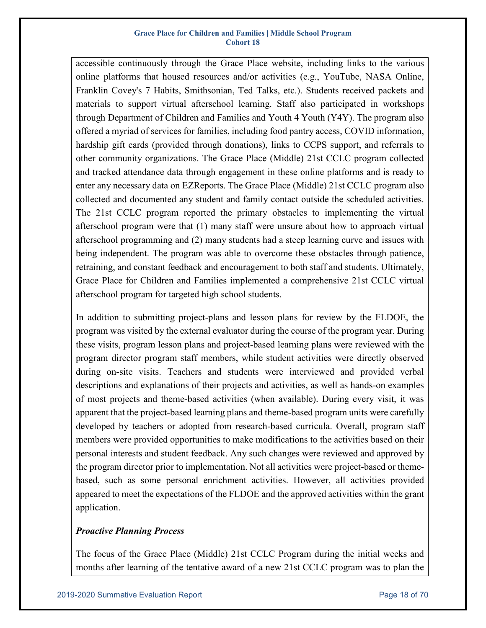accessible continuously through the Grace Place website, including links to the various online platforms that housed resources and/or activities (e.g., YouTube, NASA Online, Franklin Covey's 7 Habits, Smithsonian, Ted Talks, etc.). Students received packets and materials to support virtual afterschool learning. Staff also participated in workshops through Department of Children and Families and Youth 4 Youth (Y4Y). The program also offered a myriad of services for families, including food pantry access, COVID information, hardship gift cards (provided through donations), links to CCPS support, and referrals to other community organizations. The Grace Place (Middle) 21st CCLC program collected and tracked attendance data through engagement in these online platforms and is ready to enter any necessary data on EZReports. The Grace Place (Middle) 21st CCLC program also collected and documented any student and family contact outside the scheduled activities. The 21st CCLC program reported the primary obstacles to implementing the virtual afterschool program were that (1) many staff were unsure about how to approach virtual afterschool programming and (2) many students had a steep learning curve and issues with being independent. The program was able to overcome these obstacles through patience, retraining, and constant feedback and encouragement to both staff and students. Ultimately, Grace Place for Children and Families implemented a comprehensive 21st CCLC virtual afterschool program for targeted high school students.

In addition to submitting project-plans and lesson plans for review by the FLDOE, the program was visited by the external evaluator during the course of the program year. During these visits, program lesson plans and project-based learning plans were reviewed with the program director program staff members, while student activities were directly observed during on-site visits. Teachers and students were interviewed and provided verbal descriptions and explanations of their projects and activities, as well as hands-on examples of most projects and theme-based activities (when available). During every visit, it was apparent that the project-based learning plans and theme-based program units were carefully developed by teachers or adopted from research-based curricula. Overall, program staff members were provided opportunities to make modifications to the activities based on their personal interests and student feedback. Any such changes were reviewed and approved by the program director prior to implementation. Not all activities were project-based or themebased, such as some personal enrichment activities. However, all activities provided appeared to meet the expectations of the FLDOE and the approved activities within the grant application.

### *Proactive Planning Process*

The focus of the Grace Place (Middle) 21st CCLC Program during the initial weeks and months after learning of the tentative award of a new 21st CCLC program was to plan the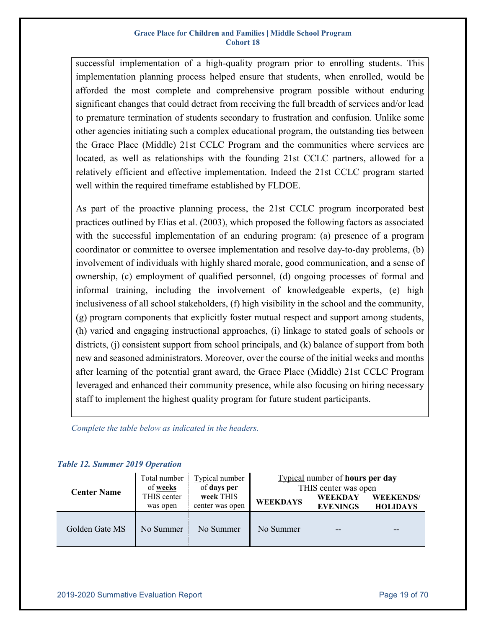successful implementation of a high-quality program prior to enrolling students. This implementation planning process helped ensure that students, when enrolled, would be afforded the most complete and comprehensive program possible without enduring significant changes that could detract from receiving the full breadth of services and/or lead to premature termination of students secondary to frustration and confusion. Unlike some other agencies initiating such a complex educational program, the outstanding ties between the Grace Place (Middle) 21st CCLC Program and the communities where services are located, as well as relationships with the founding 21st CCLC partners, allowed for a relatively efficient and effective implementation. Indeed the 21st CCLC program started well within the required timeframe established by FLDOE.

As part of the proactive planning process, the 21st CCLC program incorporated best practices outlined by Elias et al. (2003), which proposed the following factors as associated with the successful implementation of an enduring program: (a) presence of a program coordinator or committee to oversee implementation and resolve day-to-day problems, (b) involvement of individuals with highly shared morale, good communication, and a sense of ownership, (c) employment of qualified personnel, (d) ongoing processes of formal and informal training, including the involvement of knowledgeable experts, (e) high inclusiveness of all school stakeholders, (f) high visibility in the school and the community, (g) program components that explicitly foster mutual respect and support among students, (h) varied and engaging instructional approaches, (i) linkage to stated goals of schools or districts, (j) consistent support from school principals, and (k) balance of support from both new and seasoned administrators. Moreover, over the course of the initial weeks and months after learning of the potential grant award, the Grace Place (Middle) 21st CCLC Program leveraged and enhanced their community presence, while also focusing on hiring necessary staff to implement the highest quality program for future student participants.

*Complete the table below as indicated in the headers.*

| <b>Center Name</b> | Total number<br>of <u>weeks</u> | Typical number<br>of days per | Typical number of hours per day<br>THIS center was open |                                   |                                     |  |  |  |  |
|--------------------|---------------------------------|-------------------------------|---------------------------------------------------------|-----------------------------------|-------------------------------------|--|--|--|--|
|                    | THIS center<br>was open         | week THIS<br>center was open  | <b>WEEKDAYS</b>                                         | <b>WEEKDAY</b><br><b>EVENINGS</b> | <b>WEEKENDS/</b><br><b>HOLIDAYS</b> |  |  |  |  |
| Golden Gate MS     | No Summer                       | No Summer                     | No Summer                                               |                                   |                                     |  |  |  |  |

### <span id="page-18-0"></span>*Table 12. Summer 2019 Operation*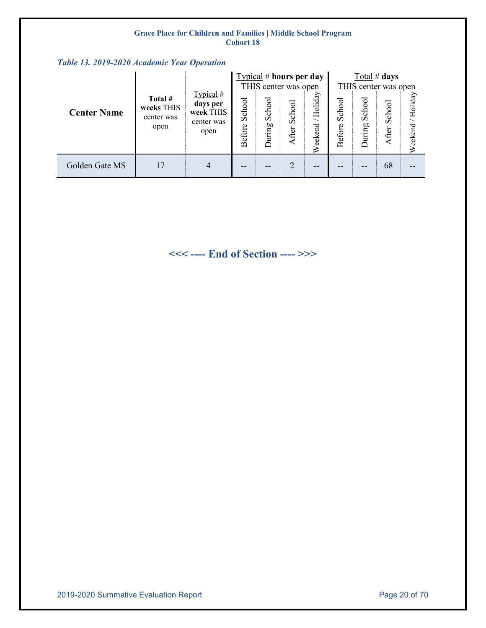<span id="page-19-0"></span>

|                    |                                             |                                                          |                  | Typical # hours per day<br>THIS center was open |                 |                        |                  | Total # days<br>THIS center was open |                 |                     |  |
|--------------------|---------------------------------------------|----------------------------------------------------------|------------------|-------------------------------------------------|-----------------|------------------------|------------------|--------------------------------------|-----------------|---------------------|--|
| <b>Center Name</b> | Total #<br>weeks THIS<br>center was<br>open | Typical #<br>days per<br>week THIS<br>center was<br>open | School<br>Before | School<br>During                                | School<br>After | Holiday<br>eekend<br>⋧ | School<br>Before | ত<br>Scho<br>uring                   | School<br>After | /Holiday<br>Weekend |  |
| Golden Gate MS     | 17                                          |                                                          |                  | --                                              | $\overline{2}$  | --                     |                  |                                      | 68              |                     |  |

**<<< ---- End of Section ---- >>>**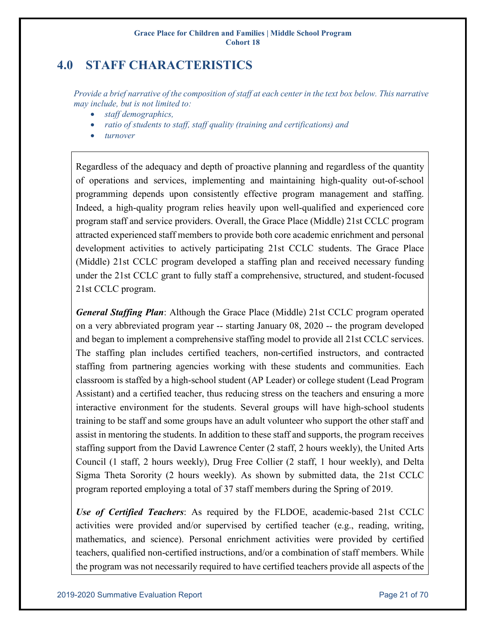# <span id="page-20-0"></span>**4.0 STAFF CHARACTERISTICS**

*Provide a brief narrative of the composition of staff at each center in the text box below. This narrative may include, but is not limited to:* 

- *staff demographics,*
- *ratio of students to staff, staff quality (training and certifications) and*
- *turnover*

Regardless of the adequacy and depth of proactive planning and regardless of the quantity of operations and services, implementing and maintaining high-quality out-of-school programming depends upon consistently effective program management and staffing. Indeed, a high-quality program relies heavily upon well-qualified and experienced core program staff and service providers. Overall, the Grace Place (Middle) 21st CCLC program attracted experienced staff members to provide both core academic enrichment and personal development activities to actively participating 21st CCLC students. The Grace Place (Middle) 21st CCLC program developed a staffing plan and received necessary funding under the 21st CCLC grant to fully staff a comprehensive, structured, and student-focused 21st CCLC program.

*General Staffing Plan*: Although the Grace Place (Middle) 21st CCLC program operated on a very abbreviated program year -- starting January 08, 2020 -- the program developed and began to implement a comprehensive staffing model to provide all 21st CCLC services. The staffing plan includes certified teachers, non-certified instructors, and contracted staffing from partnering agencies working with these students and communities. Each classroom is staffed by a high-school student (AP Leader) or college student (Lead Program Assistant) and a certified teacher, thus reducing stress on the teachers and ensuring a more interactive environment for the students. Several groups will have high-school students training to be staff and some groups have an adult volunteer who support the other staff and assist in mentoring the students. In addition to these staff and supports, the program receives staffing support from the David Lawrence Center (2 staff, 2 hours weekly), the United Arts Council (1 staff, 2 hours weekly), Drug Free Collier (2 staff, 1 hour weekly), and Delta Sigma Theta Sorority (2 hours weekly). As shown by submitted data, the 21st CCLC program reported employing a total of 37 staff members during the Spring of 2019.

*Use of Certified Teachers*: As required by the FLDOE, academic-based 21st CCLC activities were provided and/or supervised by certified teacher (e.g., reading, writing, mathematics, and science). Personal enrichment activities were provided by certified teachers, qualified non-certified instructions, and/or a combination of staff members. While the program was not necessarily required to have certified teachers provide all aspects of the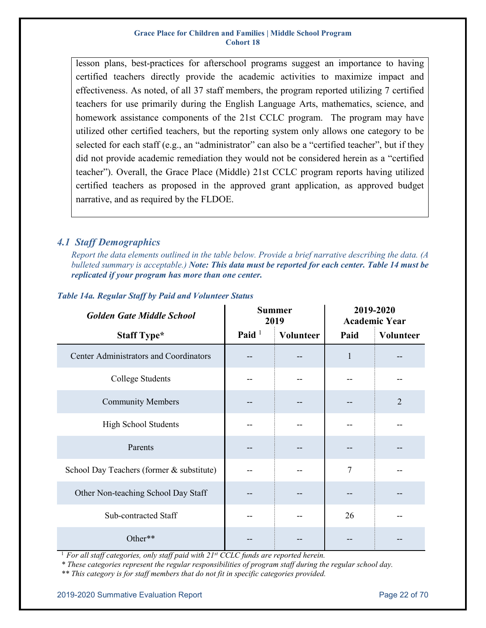lesson plans, best-practices for afterschool programs suggest an importance to having certified teachers directly provide the academic activities to maximize impact and effectiveness. As noted, of all 37 staff members, the program reported utilizing 7 certified teachers for use primarily during the English Language Arts, mathematics, science, and homework assistance components of the 21st CCLC program. The program may have utilized other certified teachers, but the reporting system only allows one category to be selected for each staff (e.g., an "administrator" can also be a "certified teacher", but if they did not provide academic remediation they would not be considered herein as a "certified teacher"). Overall, the Grace Place (Middle) 21st CCLC program reports having utilized certified teachers as proposed in the approved grant application, as approved budget narrative, and as required by the FLDOE.

### <span id="page-21-0"></span>*4.1 Staff Demographics*

*Report the data elements outlined in the table below. Provide a brief narrative describing the data. (A bulleted summary is acceptable.) Note: This data must be reported for each center. Table 14 must be replicated if your program has more than one center.* 

| <b>Golden Gate Middle School</b>          |          | <b>Summer</b><br>2019 | 2019-2020<br><b>Academic Year</b> |                |  |
|-------------------------------------------|----------|-----------------------|-----------------------------------|----------------|--|
| <b>Staff Type*</b>                        | Paid $1$ | <b>Volunteer</b>      | Paid                              | Volunteer      |  |
| Center Administrators and Coordinators    |          |                       | $\mathbf{1}$                      |                |  |
| College Students                          |          |                       |                                   |                |  |
| <b>Community Members</b>                  |          |                       |                                   | $\overline{2}$ |  |
| High School Students                      |          |                       |                                   |                |  |
| Parents                                   |          |                       |                                   |                |  |
| School Day Teachers (former & substitute) |          |                       | $\tau$                            |                |  |
| Other Non-teaching School Day Staff       |          |                       |                                   |                |  |
| Sub-contracted Staff                      |          |                       | 26                                |                |  |
| Other**                                   |          |                       |                                   |                |  |

#### <span id="page-21-1"></span>*Table 14a. Regular Staff by Paid and Volunteer Status*

<sup>1</sup> For all staff categories, only staff paid with 21<sup>st</sup> CCLC funds are reported herein.

*\* These categories represent the regular responsibilities of program staff during the regular school day.* 

*\*\* This category is for staff members that do not fit in specific categories provided.*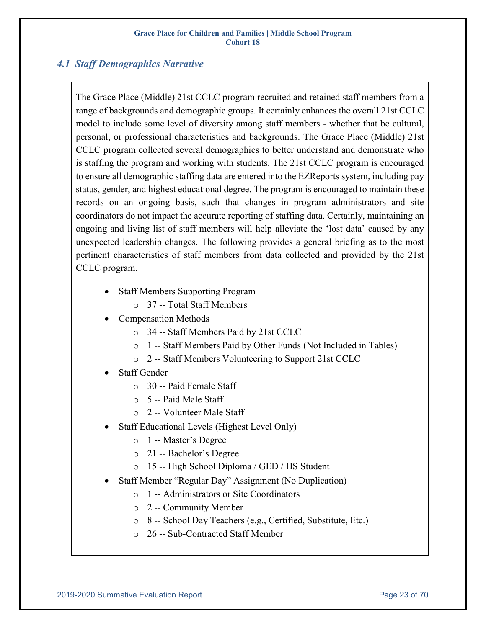### <span id="page-22-0"></span>*4.1 Staff Demographics Narrative*

The Grace Place (Middle) 21st CCLC program recruited and retained staff members from a range of backgrounds and demographic groups. It certainly enhances the overall 21st CCLC model to include some level of diversity among staff members - whether that be cultural, personal, or professional characteristics and backgrounds. The Grace Place (Middle) 21st CCLC program collected several demographics to better understand and demonstrate who is staffing the program and working with students. The 21st CCLC program is encouraged to ensure all demographic staffing data are entered into the EZReports system, including pay status, gender, and highest educational degree. The program is encouraged to maintain these records on an ongoing basis, such that changes in program administrators and site coordinators do not impact the accurate reporting of staffing data. Certainly, maintaining an ongoing and living list of staff members will help alleviate the 'lost data' caused by any unexpected leadership changes. The following provides a general briefing as to the most pertinent characteristics of staff members from data collected and provided by the 21st CCLC program.

- Staff Members Supporting Program
	- o 37 -- Total Staff Members
- Compensation Methods
	- o 34 -- Staff Members Paid by 21st CCLC
	- o 1 -- Staff Members Paid by Other Funds (Not Included in Tables)
	- o 2 -- Staff Members Volunteering to Support 21st CCLC
- Staff Gender
	- o 30 -- Paid Female Staff
	- o 5 -- Paid Male Staff
	- o 2 -- Volunteer Male Staff
- Staff Educational Levels (Highest Level Only)
	- o 1 -- Master's Degree
	- o 21 -- Bachelor's Degree
	- o 15 -- High School Diploma / GED / HS Student
- Staff Member "Regular Day" Assignment (No Duplication)
	- o 1 -- Administrators or Site Coordinators
	- o 2 -- Community Member
	- o 8 -- School Day Teachers (e.g., Certified, Substitute, Etc.)
	- o 26 -- Sub-Contracted Staff Member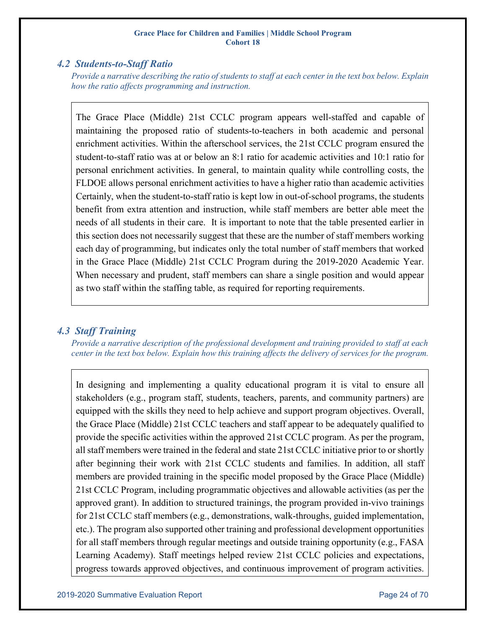### <span id="page-23-0"></span>*4.2 Students-to-Staff Ratio*

*Provide a narrative describing the ratio of students to staff at each center in the text box below. Explain how the ratio affects programming and instruction.*

The Grace Place (Middle) 21st CCLC program appears well-staffed and capable of maintaining the proposed ratio of students-to-teachers in both academic and personal enrichment activities. Within the afterschool services, the 21st CCLC program ensured the student-to-staff ratio was at or below an 8:1 ratio for academic activities and 10:1 ratio for personal enrichment activities. In general, to maintain quality while controlling costs, the FLDOE allows personal enrichment activities to have a higher ratio than academic activities Certainly, when the student-to-staff ratio is kept low in out-of-school programs, the students benefit from extra attention and instruction, while staff members are better able meet the needs of all students in their care. It is important to note that the table presented earlier in this section does not necessarily suggest that these are the number of staff members working each day of programming, but indicates only the total number of staff members that worked in the Grace Place (Middle) 21st CCLC Program during the 2019-2020 Academic Year. When necessary and prudent, staff members can share a single position and would appear as two staff within the staffing table, as required for reporting requirements.

### <span id="page-23-1"></span>*4.3 Staff Training*

*Provide a narrative description of the professional development and training provided to staff at each center in the text box below. Explain how this training affects the delivery of services for the program.*

In designing and implementing a quality educational program it is vital to ensure all stakeholders (e.g., program staff, students, teachers, parents, and community partners) are equipped with the skills they need to help achieve and support program objectives. Overall, the Grace Place (Middle) 21st CCLC teachers and staff appear to be adequately qualified to provide the specific activities within the approved 21st CCLC program. As per the program, all staff members were trained in the federal and state 21st CCLC initiative prior to or shortly after beginning their work with 21st CCLC students and families. In addition, all staff members are provided training in the specific model proposed by the Grace Place (Middle) 21st CCLC Program, including programmatic objectives and allowable activities (as per the approved grant). In addition to structured trainings, the program provided in-vivo trainings for 21st CCLC staff members (e.g., demonstrations, walk-throughs, guided implementation, etc.). The program also supported other training and professional development opportunities for all staff members through regular meetings and outside training opportunity (e.g., FASA Learning Academy). Staff meetings helped review 21st CCLC policies and expectations, progress towards approved objectives, and continuous improvement of program activities.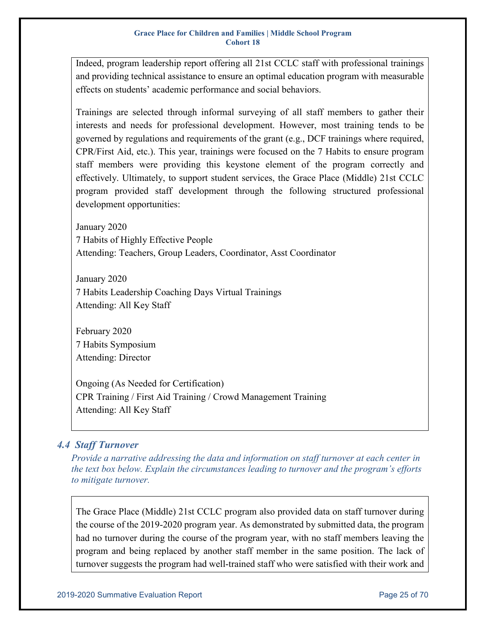Indeed, program leadership report offering all 21st CCLC staff with professional trainings and providing technical assistance to ensure an optimal education program with measurable effects on students' academic performance and social behaviors.

Trainings are selected through informal surveying of all staff members to gather their interests and needs for professional development. However, most training tends to be governed by regulations and requirements of the grant (e.g., DCF trainings where required, CPR/First Aid, etc.). This year, trainings were focused on the 7 Habits to ensure program staff members were providing this keystone element of the program correctly and effectively. Ultimately, to support student services, the Grace Place (Middle) 21st CCLC program provided staff development through the following structured professional development opportunities:

January 2020 7 Habits of Highly Effective People Attending: Teachers, Group Leaders, Coordinator, Asst Coordinator

January 2020 7 Habits Leadership Coaching Days Virtual Trainings Attending: All Key Staff

February 2020 7 Habits Symposium Attending: Director

Ongoing (As Needed for Certification) CPR Training / First Aid Training / Crowd Management Training Attending: All Key Staff

### <span id="page-24-0"></span>*4.4 Staff Turnover*

*Provide a narrative addressing the data and information on staff turnover at each center in the text box below. Explain the circumstances leading to turnover and the program's efforts to mitigate turnover.*

The Grace Place (Middle) 21st CCLC program also provided data on staff turnover during the course of the 2019-2020 program year. As demonstrated by submitted data, the program had no turnover during the course of the program year, with no staff members leaving the program and being replaced by another staff member in the same position. The lack of turnover suggests the program had well-trained staff who were satisfied with their work and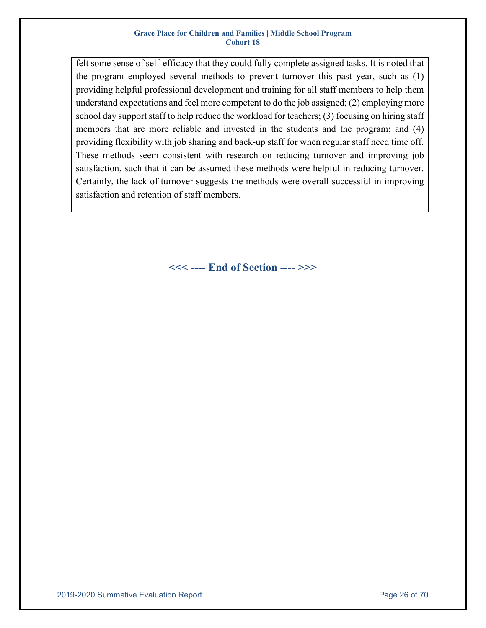felt some sense of self-efficacy that they could fully complete assigned tasks. It is noted that the program employed several methods to prevent turnover this past year, such as (1) providing helpful professional development and training for all staff members to help them understand expectations and feel more competent to do the job assigned; (2) employing more school day support staff to help reduce the workload for teachers; (3) focusing on hiring staff members that are more reliable and invested in the students and the program; and (4) providing flexibility with job sharing and back-up staff for when regular staff need time off. These methods seem consistent with research on reducing turnover and improving job satisfaction, such that it can be assumed these methods were helpful in reducing turnover. Certainly, the lack of turnover suggests the methods were overall successful in improving satisfaction and retention of staff members.

**<<< ---- End of Section ---- >>>**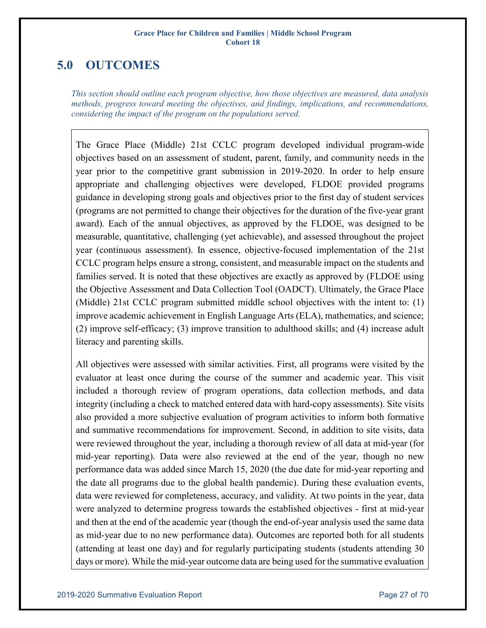# <span id="page-26-0"></span>**5.0 OUTCOMES**

*This section should outline each program objective, how those objectives are measured, data analysis methods, progress toward meeting the objectives, and findings, implications, and recommendations, considering the impact of the program on the populations served.*

The Grace Place (Middle) 21st CCLC program developed individual program-wide objectives based on an assessment of student, parent, family, and community needs in the year prior to the competitive grant submission in 2019-2020. In order to help ensure appropriate and challenging objectives were developed, FLDOE provided programs guidance in developing strong goals and objectives prior to the first day of student services (programs are not permitted to change their objectives for the duration of the five-year grant award). Each of the annual objectives, as approved by the FLDOE, was designed to be measurable, quantitative, challenging (yet achievable), and assessed throughout the project year (continuous assessment). In essence, objective-focused implementation of the 21st CCLC program helps ensure a strong, consistent, and measurable impact on the students and families served. It is noted that these objectives are exactly as approved by (FLDOE using the Objective Assessment and Data Collection Tool (OADCT). Ultimately, the Grace Place (Middle) 21st CCLC program submitted middle school objectives with the intent to: (1) improve academic achievement in English Language Arts (ELA), mathematics, and science; (2) improve self-efficacy; (3) improve transition to adulthood skills; and (4) increase adult literacy and parenting skills.

All objectives were assessed with similar activities. First, all programs were visited by the evaluator at least once during the course of the summer and academic year. This visit included a thorough review of program operations, data collection methods, and data integrity (including a check to matched entered data with hard-copy assessments). Site visits also provided a more subjective evaluation of program activities to inform both formative and summative recommendations for improvement. Second, in addition to site visits, data were reviewed throughout the year, including a thorough review of all data at mid-year (for mid-year reporting). Data were also reviewed at the end of the year, though no new performance data was added since March 15, 2020 (the due date for mid-year reporting and the date all programs due to the global health pandemic). During these evaluation events, data were reviewed for completeness, accuracy, and validity. At two points in the year, data were analyzed to determine progress towards the established objectives - first at mid-year and then at the end of the academic year (though the end-of-year analysis used the same data as mid-year due to no new performance data). Outcomes are reported both for all students (attending at least one day) and for regularly participating students (students attending 30 days or more). While the mid-year outcome data are being used for the summative evaluation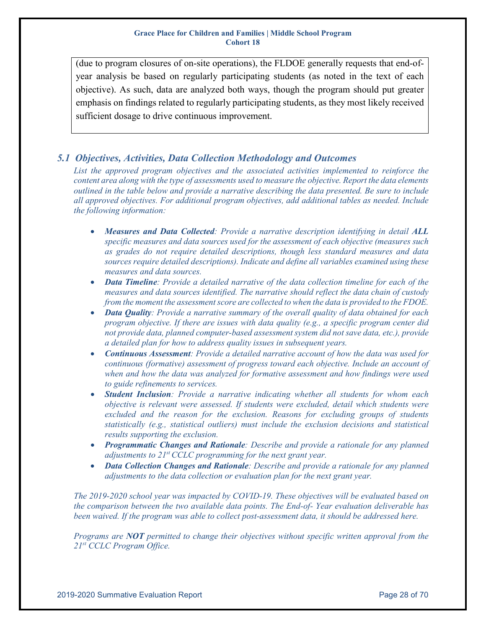(due to program closures of on-site operations), the FLDOE generally requests that end-ofyear analysis be based on regularly participating students (as noted in the text of each objective). As such, data are analyzed both ways, though the program should put greater emphasis on findings related to regularly participating students, as they most likely received sufficient dosage to drive continuous improvement.

### <span id="page-27-0"></span>*5.1 Objectives, Activities, Data Collection Methodology and Outcomes*

*List the approved program objectives and the associated activities implemented to reinforce the content area along with the type of assessments used to measure the objective. Report the data elements outlined in the table below and provide a narrative describing the data presented. Be sure to include all approved objectives. For additional program objectives, add additional tables as needed. Include the following information:*

- *Measures and Data Collected: Provide a narrative description identifying in detail ALL specific measures and data sources used for the assessment of each objective (measures such as grades do not require detailed descriptions, though less standard measures and data sources require detailed descriptions). Indicate and define all variables examined using these measures and data sources.*
- *Data Timeline: Provide a detailed narrative of the data collection timeline for each of the measures and data sources identified. The narrative should reflect the data chain of custody from the moment the assessment score are collected to when the data is provided to the FDOE.*
- *Data Quality: Provide a narrative summary of the overall quality of data obtained for each program objective. If there are issues with data quality (e.g., a specific program center did not provide data, planned computer‐based assessment system did not save data, etc.), provide a detailed plan for how to address quality issues in subsequent years.*
- *Continuous Assessment: Provide a detailed narrative account of how the data was used for continuous (formative) assessment of progress toward each objective. Include an account of when and how the data was analyzed for formative assessment and how findings were used to guide refinements to services.*
- *Student Inclusion: Provide a narrative indicating whether all students for whom each objective is relevant were assessed. If students were excluded, detail which students were excluded and the reason for the exclusion. Reasons for excluding groups of students statistically (e.g., statistical outliers) must include the exclusion decisions and statistical results supporting the exclusion.*
- *Programmatic Changes and Rationale: Describe and provide a rationale for any planned adjustments to 21<sup>st</sup> CCLC programming for the next grant year.*
- *Data Collection Changes and Rationale: Describe and provide a rationale for any planned adjustments to the data collection or evaluation plan for the next grant year.*

*The 2019-2020 school year was impacted by COVID-19. These objectives will be evaluated based on the comparison between the two available data points. The End-of- Year evaluation deliverable has been waived. If the program was able to collect post-assessment data, it should be addressed here.*

*Programs are NOT permitted to change their objectives without specific written approval from the 21st CCLC Program Office.*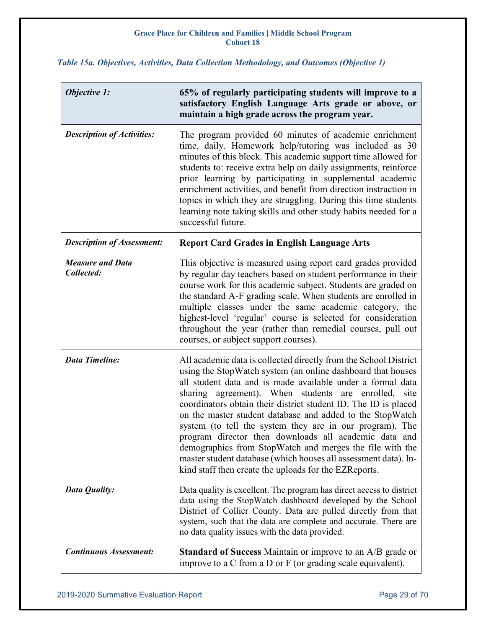<span id="page-28-0"></span>*Table 15a. Objectives, Activities, Data Collection Methodology, and Outcomes (Objective 1)*

j.

| <b>Objective 1:</b>                   | 65% of regularly participating students will improve to a<br>satisfactory English Language Arts grade or above, or<br>maintain a high grade across the program year.                                                                                                                                                                                                                                                                                                                                                                                                                                                                                                                               |
|---------------------------------------|----------------------------------------------------------------------------------------------------------------------------------------------------------------------------------------------------------------------------------------------------------------------------------------------------------------------------------------------------------------------------------------------------------------------------------------------------------------------------------------------------------------------------------------------------------------------------------------------------------------------------------------------------------------------------------------------------|
| <b>Description of Activities:</b>     | The program provided 60 minutes of academic enrichment<br>time, daily. Homework help/tutoring was included as 30<br>minutes of this block. This academic support time allowed for<br>students to: receive extra help on daily assignments, reinforce<br>prior learning by participating in supplemental academic<br>enrichment activities, and benefit from direction instruction in<br>topics in which they are struggling. During this time students<br>learning note taking skills and other study habits needed for a<br>successful future.                                                                                                                                                    |
| <b>Description of Assessment:</b>     | <b>Report Card Grades in English Language Arts</b>                                                                                                                                                                                                                                                                                                                                                                                                                                                                                                                                                                                                                                                 |
| <b>Measure and Data</b><br>Collected: | This objective is measured using report card grades provided<br>by regular day teachers based on student performance in their<br>course work for this academic subject. Students are graded on<br>the standard A-F grading scale. When students are enrolled in<br>multiple classes under the same academic category, the<br>highest-level 'regular' course is selected for consideration<br>throughout the year (rather than remedial courses, pull out<br>courses, or subject support courses).                                                                                                                                                                                                  |
| <b>Data Timeline:</b>                 | All academic data is collected directly from the School District<br>using the StopWatch system (an online dashboard that houses<br>all student data and is made available under a formal data<br>sharing agreement). When students are enrolled, site<br>coordinators obtain their district student ID. The ID is placed<br>on the master student database and added to the StopWatch<br>system (to tell the system they are in our program). The<br>program director then downloads all academic data and<br>demographics from StopWatch and merges the file with the<br>master student database (which houses all assessment data). In-<br>kind staff then create the uploads for the EZReports. |
| Data Quality:                         | Data quality is excellent. The program has direct access to district<br>data using the StopWatch dashboard developed by the School<br>District of Collier County. Data are pulled directly from that<br>system, such that the data are complete and accurate. There are<br>no data quality issues with the data provided.                                                                                                                                                                                                                                                                                                                                                                          |
| <b>Continuous Assessment:</b>         | <b>Standard of Success</b> Maintain or improve to an A/B grade or<br>improve to a C from a D or F (or grading scale equivalent).                                                                                                                                                                                                                                                                                                                                                                                                                                                                                                                                                                   |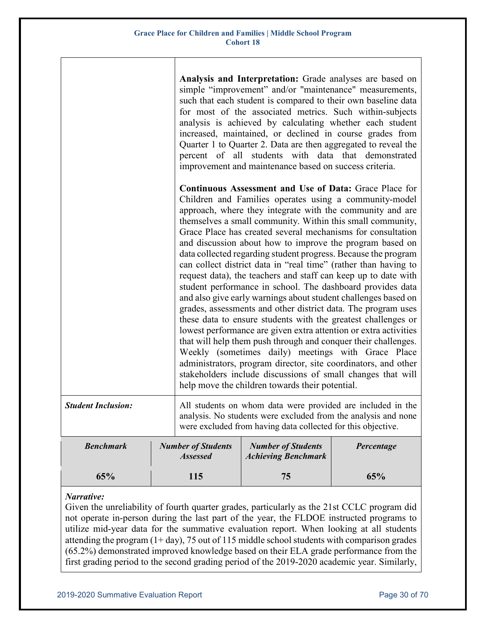|                           |  |                                                                                                                                                                                               | Analysis and Interpretation: Grade analyses are based on<br>simple "improvement" and/or "maintenance" measurements,<br>such that each student is compared to their own baseline data<br>for most of the associated metrics. Such within-subjects<br>analysis is achieved by calculating whether each student<br>increased, maintained, or declined in course grades from<br>Quarter 1 to Quarter 2. Data are then aggregated to reveal the<br>percent of all students with data that demonstrated<br>improvement and maintenance based on success criteria.                                                                                                                                                                                                                                                                                                                                                                                                                                                                                                                                                                                                                                                                            |            |  |  |  |  |
|---------------------------|--|-----------------------------------------------------------------------------------------------------------------------------------------------------------------------------------------------|----------------------------------------------------------------------------------------------------------------------------------------------------------------------------------------------------------------------------------------------------------------------------------------------------------------------------------------------------------------------------------------------------------------------------------------------------------------------------------------------------------------------------------------------------------------------------------------------------------------------------------------------------------------------------------------------------------------------------------------------------------------------------------------------------------------------------------------------------------------------------------------------------------------------------------------------------------------------------------------------------------------------------------------------------------------------------------------------------------------------------------------------------------------------------------------------------------------------------------------|------------|--|--|--|--|
|                           |  |                                                                                                                                                                                               | <b>Continuous Assessment and Use of Data: Grace Place for</b><br>Children and Families operates using a community-model<br>approach, where they integrate with the community and are<br>themselves a small community. Within this small community,<br>Grace Place has created several mechanisms for consultation<br>and discussion about how to improve the program based on<br>data collected regarding student progress. Because the program<br>can collect district data in "real time" (rather than having to<br>request data), the teachers and staff can keep up to date with<br>student performance in school. The dashboard provides data<br>and also give early warnings about student challenges based on<br>grades, assessments and other district data. The program uses<br>these data to ensure students with the greatest challenges or<br>lowest performance are given extra attention or extra activities<br>that will help them push through and conquer their challenges.<br>Weekly (sometimes daily) meetings with Grace Place<br>administrators, program director, site coordinators, and other<br>stakeholders include discussions of small changes that will<br>help move the children towards their potential. |            |  |  |  |  |
| <b>Student Inclusion:</b> |  | All students on whom data were provided are included in the<br>analysis. No students were excluded from the analysis and none<br>were excluded from having data collected for this objective. |                                                                                                                                                                                                                                                                                                                                                                                                                                                                                                                                                                                                                                                                                                                                                                                                                                                                                                                                                                                                                                                                                                                                                                                                                                        |            |  |  |  |  |
| <b>Benchmark</b>          |  | <b>Number of Students</b><br><b>Assessed</b>                                                                                                                                                  | <b>Number of Students</b><br><b>Achieving Benchmark</b>                                                                                                                                                                                                                                                                                                                                                                                                                                                                                                                                                                                                                                                                                                                                                                                                                                                                                                                                                                                                                                                                                                                                                                                | Percentage |  |  |  |  |

### *Narrative:*

Given the unreliability of fourth quarter grades, particularly as the 21st CCLC program did not operate in-person during the last part of the year, the FLDOE instructed programs to utilize mid-year data for the summative evaluation report. When looking at all students attending the program (1+ day), 75 out of 115 middle school students with comparison grades (65.2%) demonstrated improved knowledge based on their ELA grade performance from the first grading period to the second grading period of the 2019-2020 academic year. Similarly,

**65% 115 75 65%**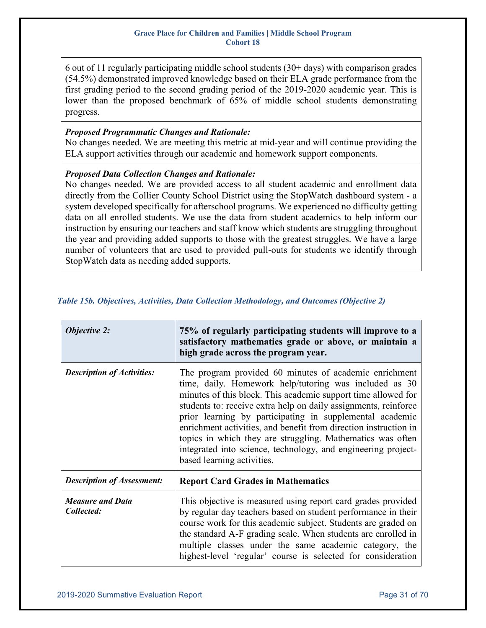6 out of 11 regularly participating middle school students  $(30+)$  days) with comparison grades (54.5%) demonstrated improved knowledge based on their ELA grade performance from the first grading period to the second grading period of the 2019-2020 academic year. This is lower than the proposed benchmark of 65% of middle school students demonstrating progress.

#### *Proposed Programmatic Changes and Rationale:*

No changes needed. We are meeting this metric at mid-year and will continue providing the ELA support activities through our academic and homework support components.

### *Proposed Data Collection Changes and Rationale:*

No changes needed. We are provided access to all student academic and enrollment data directly from the Collier County School District using the StopWatch dashboard system - a system developed specifically for afterschool programs. We experienced no difficulty getting data on all enrolled students. We use the data from student academics to help inform our instruction by ensuring our teachers and staff know which students are struggling throughout the year and providing added supports to those with the greatest struggles. We have a large number of volunteers that are used to provided pull-outs for students we identify through StopWatch data as needing added supports.

| <b>Objective 2:</b>                   | 75% of regularly participating students will improve to a<br>satisfactory mathematics grade or above, or maintain a<br>high grade across the program year.                                                                                                                                                                                                                                                                                                                                                                                        |
|---------------------------------------|---------------------------------------------------------------------------------------------------------------------------------------------------------------------------------------------------------------------------------------------------------------------------------------------------------------------------------------------------------------------------------------------------------------------------------------------------------------------------------------------------------------------------------------------------|
| <b>Description of Activities:</b>     | The program provided 60 minutes of academic enrichment<br>time, daily. Homework help/tutoring was included as 30<br>minutes of this block. This academic support time allowed for<br>students to: receive extra help on daily assignments, reinforce<br>prior learning by participating in supplemental academic<br>enrichment activities, and benefit from direction instruction in<br>topics in which they are struggling. Mathematics was often<br>integrated into science, technology, and engineering project-<br>based learning activities. |
| <b>Description of Assessment:</b>     | <b>Report Card Grades in Mathematics</b>                                                                                                                                                                                                                                                                                                                                                                                                                                                                                                          |
| <b>Measure and Data</b><br>Collected: | This objective is measured using report card grades provided<br>by regular day teachers based on student performance in their<br>course work for this academic subject. Students are graded on<br>the standard A-F grading scale. When students are enrolled in<br>multiple classes under the same academic category, the<br>highest-level 'regular' course is selected for consideration                                                                                                                                                         |

### <span id="page-30-0"></span>*Table 15b. Objectives, Activities, Data Collection Methodology, and Outcomes (Objective 2)*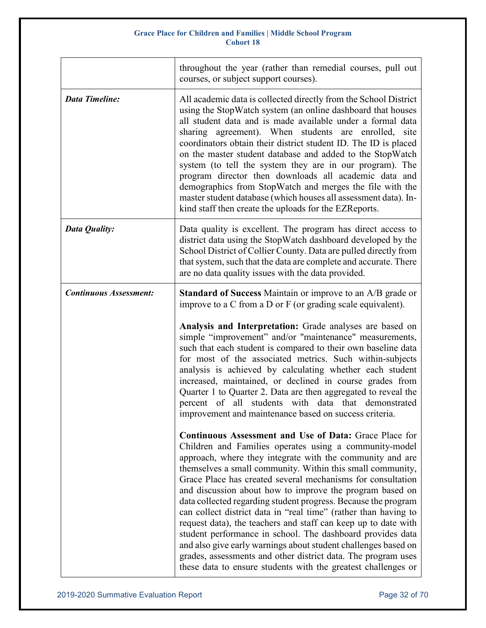|                               | throughout the year (rather than remedial courses, pull out<br>courses, or subject support courses).                                                                                                                                                                                                                                                                                                                                                                                                                                                                                                                                                                                                                                                                                                                                            |
|-------------------------------|-------------------------------------------------------------------------------------------------------------------------------------------------------------------------------------------------------------------------------------------------------------------------------------------------------------------------------------------------------------------------------------------------------------------------------------------------------------------------------------------------------------------------------------------------------------------------------------------------------------------------------------------------------------------------------------------------------------------------------------------------------------------------------------------------------------------------------------------------|
| <b>Data Timeline:</b>         | All academic data is collected directly from the School District<br>using the StopWatch system (an online dashboard that houses<br>all student data and is made available under a formal data<br>sharing agreement). When students are enrolled, site<br>coordinators obtain their district student ID. The ID is placed<br>on the master student database and added to the StopWatch<br>system (to tell the system they are in our program). The<br>program director then downloads all academic data and<br>demographics from StopWatch and merges the file with the<br>master student database (which houses all assessment data). In-<br>kind staff then create the uploads for the EZReports.                                                                                                                                              |
| <b>Data Quality:</b>          | Data quality is excellent. The program has direct access to<br>district data using the StopWatch dashboard developed by the<br>School District of Collier County. Data are pulled directly from<br>that system, such that the data are complete and accurate. There<br>are no data quality issues with the data provided.                                                                                                                                                                                                                                                                                                                                                                                                                                                                                                                       |
| <b>Continuous Assessment:</b> | <b>Standard of Success</b> Maintain or improve to an A/B grade or<br>improve to a $C$ from a $D$ or $F$ (or grading scale equivalent).                                                                                                                                                                                                                                                                                                                                                                                                                                                                                                                                                                                                                                                                                                          |
|                               | Analysis and Interpretation: Grade analyses are based on<br>simple "improvement" and/or "maintenance" measurements,<br>such that each student is compared to their own baseline data<br>for most of the associated metrics. Such within-subjects<br>analysis is achieved by calculating whether each student<br>increased, maintained, or declined in course grades from<br>Quarter 1 to Quarter 2. Data are then aggregated to reveal the<br>students with data that demonstrated<br>percent of all<br>improvement and maintenance based on success criteria.                                                                                                                                                                                                                                                                                  |
|                               | Continuous Assessment and Use of Data: Grace Place for<br>Children and Families operates using a community-model<br>approach, where they integrate with the community and are<br>themselves a small community. Within this small community,<br>Grace Place has created several mechanisms for consultation<br>and discussion about how to improve the program based on<br>data collected regarding student progress. Because the program<br>can collect district data in "real time" (rather than having to<br>request data), the teachers and staff can keep up to date with<br>student performance in school. The dashboard provides data<br>and also give early warnings about student challenges based on<br>grades, assessments and other district data. The program uses<br>these data to ensure students with the greatest challenges or |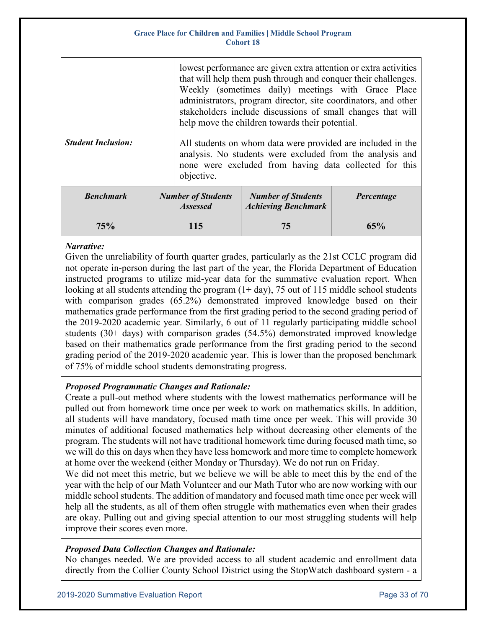|                           |  | lowest performance are given extra attention or extra activities<br>that will help them push through and conquer their challenges.<br>Weekly (sometimes daily) meetings with Grace Place<br>administrators, program director, site coordinators, and other<br>stakeholders include discussions of small changes that will<br>help move the children towards their potential. |                                                                                                                                                                                    |            |  |  |  |  |
|---------------------------|--|------------------------------------------------------------------------------------------------------------------------------------------------------------------------------------------------------------------------------------------------------------------------------------------------------------------------------------------------------------------------------|------------------------------------------------------------------------------------------------------------------------------------------------------------------------------------|------------|--|--|--|--|
| <b>Student Inclusion:</b> |  | objective.                                                                                                                                                                                                                                                                                                                                                                   | All students on whom data were provided are included in the<br>analysis. No students were excluded from the analysis and<br>none were excluded from having data collected for this |            |  |  |  |  |
| <b>Benchmark</b>          |  | <b>Number of Students</b><br><b>Assessed</b>                                                                                                                                                                                                                                                                                                                                 | <b>Number of Students</b><br><b>Achieving Benchmark</b>                                                                                                                            | Percentage |  |  |  |  |
| 75%                       |  |                                                                                                                                                                                                                                                                                                                                                                              | 75                                                                                                                                                                                 | 65%        |  |  |  |  |

### *Narrative:*

Given the unreliability of fourth quarter grades, particularly as the 21st CCLC program did not operate in-person during the last part of the year, the Florida Department of Education instructed programs to utilize mid-year data for the summative evaluation report. When looking at all students attending the program  $(1+ day)$ , 75 out of 115 middle school students with comparison grades (65.2%) demonstrated improved knowledge based on their mathematics grade performance from the first grading period to the second grading period of the 2019-2020 academic year. Similarly, 6 out of 11 regularly participating middle school students  $(30+)$  demonstrated improved knowledge based on their mathematics grade performance from the first grading period to the second grading period of the 2019-2020 academic year. This is lower than the proposed benchmark of 75% of middle school students demonstrating progress.

### *Proposed Programmatic Changes and Rationale:*

Create a pull-out method where students with the lowest mathematics performance will be pulled out from homework time once per week to work on mathematics skills. In addition, all students will have mandatory, focused math time once per week. This will provide 30 minutes of additional focused mathematics help without decreasing other elements of the program. The students will not have traditional homework time during focused math time, so we will do this on days when they have less homework and more time to complete homework at home over the weekend (either Monday or Thursday). We do not run on Friday.

We did not meet this metric, but we believe we will be able to meet this by the end of the year with the help of our Math Volunteer and our Math Tutor who are now working with our middle school students. The addition of mandatory and focused math time once per week will help all the students, as all of them often struggle with mathematics even when their grades are okay. Pulling out and giving special attention to our most struggling students will help improve their scores even more.

### *Proposed Data Collection Changes and Rationale:*

No changes needed. We are provided access to all student academic and enrollment data directly from the Collier County School District using the StopWatch dashboard system - a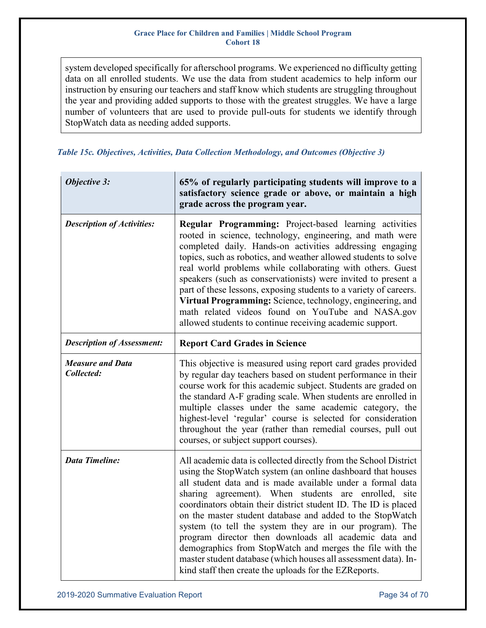system developed specifically for afterschool programs. We experienced no difficulty getting data on all enrolled students. We use the data from student academics to help inform our instruction by ensuring our teachers and staff know which students are struggling throughout the year and providing added supports to those with the greatest struggles. We have a large number of volunteers that are used to provide pull-outs for students we identify through StopWatch data as needing added supports.

<span id="page-33-0"></span>

|  |  |  |  |  |  | Table 15c. Objectives, Activities, Data Collection Methodology, and Outcomes (Objective 3) |  |  |  |  |
|--|--|--|--|--|--|--------------------------------------------------------------------------------------------|--|--|--|--|
|--|--|--|--|--|--|--------------------------------------------------------------------------------------------|--|--|--|--|

| <b>Objective 3:</b>                   | 65% of regularly participating students will improve to a<br>satisfactory science grade or above, or maintain a high<br>grade across the program year.                                                                                                                                                                                                                                                                                                                                                                                                                                                                                                                                             |
|---------------------------------------|----------------------------------------------------------------------------------------------------------------------------------------------------------------------------------------------------------------------------------------------------------------------------------------------------------------------------------------------------------------------------------------------------------------------------------------------------------------------------------------------------------------------------------------------------------------------------------------------------------------------------------------------------------------------------------------------------|
| <b>Description of Activities:</b>     | Regular Programming: Project-based learning activities<br>rooted in science, technology, engineering, and math were<br>completed daily. Hands-on activities addressing engaging<br>topics, such as robotics, and weather allowed students to solve<br>real world problems while collaborating with others. Guest<br>speakers (such as conservationists) were invited to present a<br>part of these lessons, exposing students to a variety of careers.<br>Virtual Programming: Science, technology, engineering, and<br>math related videos found on YouTube and NASA.gov<br>allowed students to continue receiving academic support.                                                              |
| <b>Description of Assessment:</b>     | <b>Report Card Grades in Science</b>                                                                                                                                                                                                                                                                                                                                                                                                                                                                                                                                                                                                                                                               |
| <b>Measure and Data</b><br>Collected: | This objective is measured using report card grades provided<br>by regular day teachers based on student performance in their<br>course work for this academic subject. Students are graded on<br>the standard A-F grading scale. When students are enrolled in<br>multiple classes under the same academic category, the<br>highest-level 'regular' course is selected for consideration<br>throughout the year (rather than remedial courses, pull out<br>courses, or subject support courses).                                                                                                                                                                                                  |
| <b>Data Timeline:</b>                 | All academic data is collected directly from the School District<br>using the StopWatch system (an online dashboard that houses<br>all student data and is made available under a formal data<br>sharing agreement). When students are enrolled, site<br>coordinators obtain their district student ID. The ID is placed<br>on the master student database and added to the StopWatch<br>system (to tell the system they are in our program). The<br>program director then downloads all academic data and<br>demographics from StopWatch and merges the file with the<br>master student database (which houses all assessment data). In-<br>kind staff then create the uploads for the EZReports. |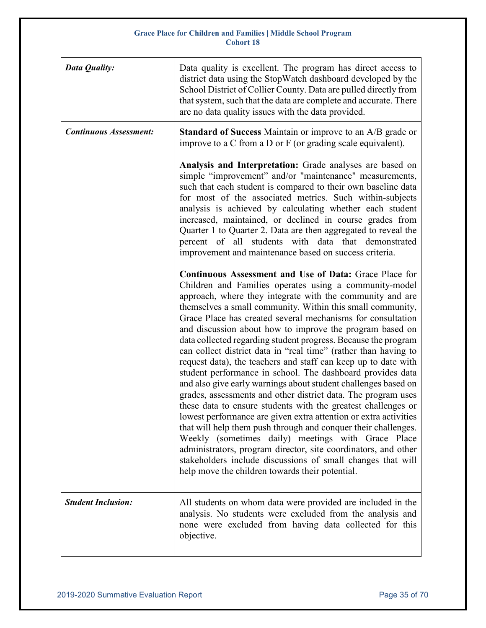| Data Quality:                 | Data quality is excellent. The program has direct access to<br>district data using the StopWatch dashboard developed by the<br>School District of Collier County. Data are pulled directly from<br>that system, such that the data are complete and accurate. There<br>are no data quality issues with the data provided.                                                                                                                                                                                                                                                                                                                                                                                                                                                                                                                                                                                                                                                                                                                                                                                                                                                                                                       |
|-------------------------------|---------------------------------------------------------------------------------------------------------------------------------------------------------------------------------------------------------------------------------------------------------------------------------------------------------------------------------------------------------------------------------------------------------------------------------------------------------------------------------------------------------------------------------------------------------------------------------------------------------------------------------------------------------------------------------------------------------------------------------------------------------------------------------------------------------------------------------------------------------------------------------------------------------------------------------------------------------------------------------------------------------------------------------------------------------------------------------------------------------------------------------------------------------------------------------------------------------------------------------|
| <b>Continuous Assessment:</b> | <b>Standard of Success</b> Maintain or improve to an A/B grade or<br>improve to a C from a D or $F$ (or grading scale equivalent).                                                                                                                                                                                                                                                                                                                                                                                                                                                                                                                                                                                                                                                                                                                                                                                                                                                                                                                                                                                                                                                                                              |
|                               | Analysis and Interpretation: Grade analyses are based on<br>simple "improvement" and/or "maintenance" measurements,<br>such that each student is compared to their own baseline data<br>for most of the associated metrics. Such within-subjects<br>analysis is achieved by calculating whether each student<br>increased, maintained, or declined in course grades from<br>Quarter 1 to Quarter 2. Data are then aggregated to reveal the<br>percent of all<br>students with data that demonstrated<br>improvement and maintenance based on success criteria.                                                                                                                                                                                                                                                                                                                                                                                                                                                                                                                                                                                                                                                                  |
|                               | Continuous Assessment and Use of Data: Grace Place for<br>Children and Families operates using a community-model<br>approach, where they integrate with the community and are<br>themselves a small community. Within this small community,<br>Grace Place has created several mechanisms for consultation<br>and discussion about how to improve the program based on<br>data collected regarding student progress. Because the program<br>can collect district data in "real time" (rather than having to<br>request data), the teachers and staff can keep up to date with<br>student performance in school. The dashboard provides data<br>and also give early warnings about student challenges based on<br>grades, assessments and other district data. The program uses<br>these data to ensure students with the greatest challenges or<br>lowest performance are given extra attention or extra activities<br>that will help them push through and conquer their challenges.<br>Weekly (sometimes daily) meetings with Grace Place<br>administrators, program director, site coordinators, and other<br>stakeholders include discussions of small changes that will<br>help move the children towards their potential. |
| <b>Student Inclusion:</b>     | All students on whom data were provided are included in the<br>analysis. No students were excluded from the analysis and<br>none were excluded from having data collected for this<br>objective.                                                                                                                                                                                                                                                                                                                                                                                                                                                                                                                                                                                                                                                                                                                                                                                                                                                                                                                                                                                                                                |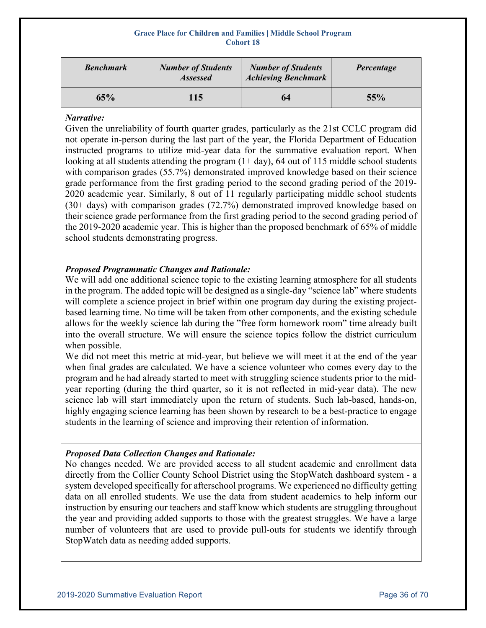| <b>Benchmark</b> | <b>Number of Students</b><br><b>Assessed</b> | <b>Number of Students</b><br><b>Achieving Benchmark</b> | Percentage |
|------------------|----------------------------------------------|---------------------------------------------------------|------------|
| 65%              | 115                                          | 64                                                      | 55%        |

### *Narrative:*

Given the unreliability of fourth quarter grades, particularly as the 21st CCLC program did not operate in-person during the last part of the year, the Florida Department of Education instructed programs to utilize mid-year data for the summative evaluation report. When looking at all students attending the program  $(1+ day)$ , 64 out of 115 middle school students with comparison grades (55.7%) demonstrated improved knowledge based on their science grade performance from the first grading period to the second grading period of the 2019- 2020 academic year. Similarly, 8 out of 11 regularly participating middle school students (30+ days) with comparison grades (72.7%) demonstrated improved knowledge based on their science grade performance from the first grading period to the second grading period of the 2019-2020 academic year. This is higher than the proposed benchmark of 65% of middle school students demonstrating progress.

### *Proposed Programmatic Changes and Rationale:*

We will add one additional science topic to the existing learning atmosphere for all students in the program. The added topic will be designed as a single-day "science lab" where students will complete a science project in brief within one program day during the existing projectbased learning time. No time will be taken from other components, and the existing schedule allows for the weekly science lab during the "free form homework room" time already built into the overall structure. We will ensure the science topics follow the district curriculum when possible.

We did not meet this metric at mid-year, but believe we will meet it at the end of the year when final grades are calculated. We have a science volunteer who comes every day to the program and he had already started to meet with struggling science students prior to the midyear reporting (during the third quarter, so it is not reflected in mid-year data). The new science lab will start immediately upon the return of students. Such lab-based, hands-on, highly engaging science learning has been shown by research to be a best-practice to engage students in the learning of science and improving their retention of information.

### *Proposed Data Collection Changes and Rationale:*

No changes needed. We are provided access to all student academic and enrollment data directly from the Collier County School District using the StopWatch dashboard system - a system developed specifically for afterschool programs. We experienced no difficulty getting data on all enrolled students. We use the data from student academics to help inform our instruction by ensuring our teachers and staff know which students are struggling throughout the year and providing added supports to those with the greatest struggles. We have a large number of volunteers that are used to provide pull-outs for students we identify through StopWatch data as needing added supports.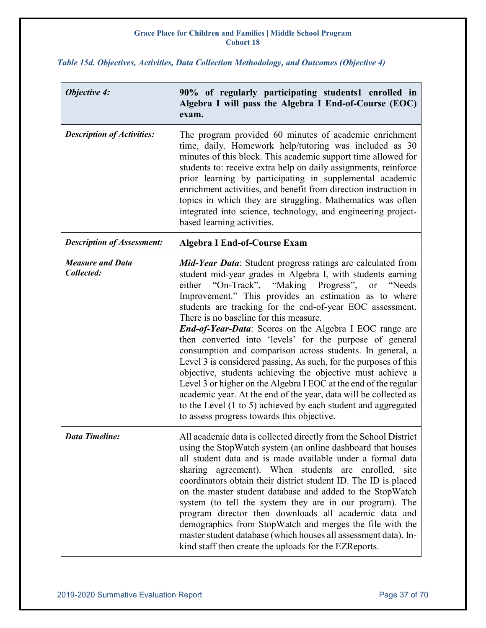| <b>Objective 4:</b>                   | 90% of regularly participating students1 enrolled in<br>Algebra I will pass the Algebra I End-of-Course (EOC)<br>exam.                                                                                                                                                                                                                                                                                                                                                                                                                                                                                                                                                                                                                                                                                                                                                                                                              |
|---------------------------------------|-------------------------------------------------------------------------------------------------------------------------------------------------------------------------------------------------------------------------------------------------------------------------------------------------------------------------------------------------------------------------------------------------------------------------------------------------------------------------------------------------------------------------------------------------------------------------------------------------------------------------------------------------------------------------------------------------------------------------------------------------------------------------------------------------------------------------------------------------------------------------------------------------------------------------------------|
| <b>Description of Activities:</b>     | The program provided 60 minutes of academic enrichment<br>time, daily. Homework help/tutoring was included as 30<br>minutes of this block. This academic support time allowed for<br>students to: receive extra help on daily assignments, reinforce<br>prior learning by participating in supplemental academic<br>enrichment activities, and benefit from direction instruction in<br>topics in which they are struggling. Mathematics was often<br>integrated into science, technology, and engineering project-<br>based learning activities.                                                                                                                                                                                                                                                                                                                                                                                   |
| <b>Description of Assessment:</b>     | <b>Algebra I End-of-Course Exam</b>                                                                                                                                                                                                                                                                                                                                                                                                                                                                                                                                                                                                                                                                                                                                                                                                                                                                                                 |
| <b>Measure and Data</b><br>Collected: | Mid-Year Data: Student progress ratings are calculated from<br>student mid-year grades in Algebra I, with students earning<br>"On-Track", "Making Progress", or "Needs<br>either<br>Improvement." This provides an estimation as to where<br>students are tracking for the end-of-year EOC assessment.<br>There is no baseline for this measure.<br><b>End-of-Year-Data:</b> Scores on the Algebra I EOC range are<br>then converted into 'levels' for the purpose of general<br>consumption and comparison across students. In general, a<br>Level 3 is considered passing, As such, for the purposes of this<br>objective, students achieving the objective must achieve a<br>Level 3 or higher on the Algebra I EOC at the end of the regular<br>academic year. At the end of the year, data will be collected as<br>to the Level (1 to 5) achieved by each student and aggregated<br>to assess progress towards this objective. |
| Data Timeline:                        | All academic data is collected directly from the School District<br>using the StopWatch system (an online dashboard that houses<br>all student data and is made available under a formal data<br>sharing agreement). When students are enrolled,<br>site<br>coordinators obtain their district student ID. The ID is placed<br>on the master student database and added to the StopWatch<br>system (to tell the system they are in our program). The<br>program director then downloads all academic data and<br>demographics from StopWatch and merges the file with the<br>master student database (which houses all assessment data). In-<br>kind staff then create the uploads for the EZReports.                                                                                                                                                                                                                               |

### <span id="page-36-0"></span>*Table 15d. Objectives, Activities, Data Collection Methodology, and Outcomes (Objective 4)*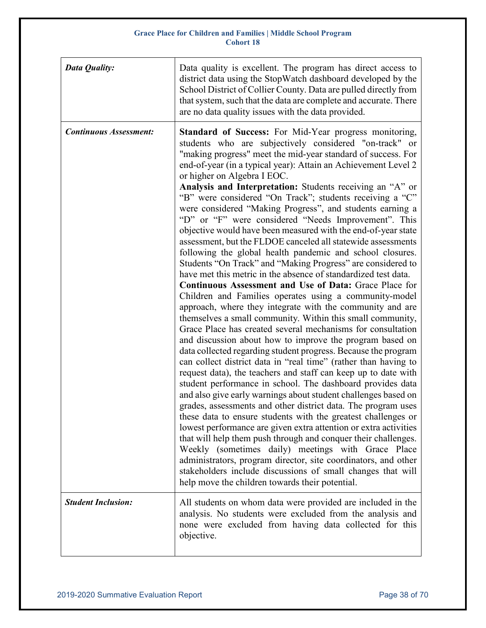| Data Quality:                 | Data quality is excellent. The program has direct access to<br>district data using the StopWatch dashboard developed by the<br>School District of Collier County. Data are pulled directly from<br>that system, such that the data are complete and accurate. There<br>are no data quality issues with the data provided.                                                                                                                                                                                                                                                                                                                                                                                                                                                                                                                                                                                                                                                                                                                                                                                                                                                                                                                                                                                                                                                                                                                                                                                                                                                                                                                                                                                                                                                                                                                                                                                                                                                                                                                                                                         |
|-------------------------------|---------------------------------------------------------------------------------------------------------------------------------------------------------------------------------------------------------------------------------------------------------------------------------------------------------------------------------------------------------------------------------------------------------------------------------------------------------------------------------------------------------------------------------------------------------------------------------------------------------------------------------------------------------------------------------------------------------------------------------------------------------------------------------------------------------------------------------------------------------------------------------------------------------------------------------------------------------------------------------------------------------------------------------------------------------------------------------------------------------------------------------------------------------------------------------------------------------------------------------------------------------------------------------------------------------------------------------------------------------------------------------------------------------------------------------------------------------------------------------------------------------------------------------------------------------------------------------------------------------------------------------------------------------------------------------------------------------------------------------------------------------------------------------------------------------------------------------------------------------------------------------------------------------------------------------------------------------------------------------------------------------------------------------------------------------------------------------------------------|
| <b>Continuous Assessment:</b> | Standard of Success: For Mid-Year progress monitoring,<br>students who are subjectively considered "on-track" or<br>"making progress" meet the mid-year standard of success. For<br>end-of-year (in a typical year): Attain an Achievement Level 2<br>or higher on Algebra I EOC.<br>Analysis and Interpretation: Students receiving an "A" or<br>"B" were considered "On Track"; students receiving a "C"<br>were considered "Making Progress", and students earning a<br>"D" or "F" were considered "Needs Improvement". This<br>objective would have been measured with the end-of-year state<br>assessment, but the FLDOE canceled all statewide assessments<br>following the global health pandemic and school closures.<br>Students "On Track" and "Making Progress" are considered to<br>have met this metric in the absence of standardized test data.<br>Continuous Assessment and Use of Data: Grace Place for<br>Children and Families operates using a community-model<br>approach, where they integrate with the community and are<br>themselves a small community. Within this small community,<br>Grace Place has created several mechanisms for consultation<br>and discussion about how to improve the program based on<br>data collected regarding student progress. Because the program<br>can collect district data in "real time" (rather than having to<br>request data), the teachers and staff can keep up to date with<br>student performance in school. The dashboard provides data<br>and also give early warnings about student challenges based on<br>grades, assessments and other district data. The program uses<br>these data to ensure students with the greatest challenges or<br>lowest performance are given extra attention or extra activities<br>that will help them push through and conquer their challenges.<br>Weekly (sometimes daily) meetings with Grace Place<br>administrators, program director, site coordinators, and other<br>stakeholders include discussions of small changes that will<br>help move the children towards their potential. |
| <b>Student Inclusion:</b>     | All students on whom data were provided are included in the<br>analysis. No students were excluded from the analysis and<br>none were excluded from having data collected for this<br>objective.                                                                                                                                                                                                                                                                                                                                                                                                                                                                                                                                                                                                                                                                                                                                                                                                                                                                                                                                                                                                                                                                                                                                                                                                                                                                                                                                                                                                                                                                                                                                                                                                                                                                                                                                                                                                                                                                                                  |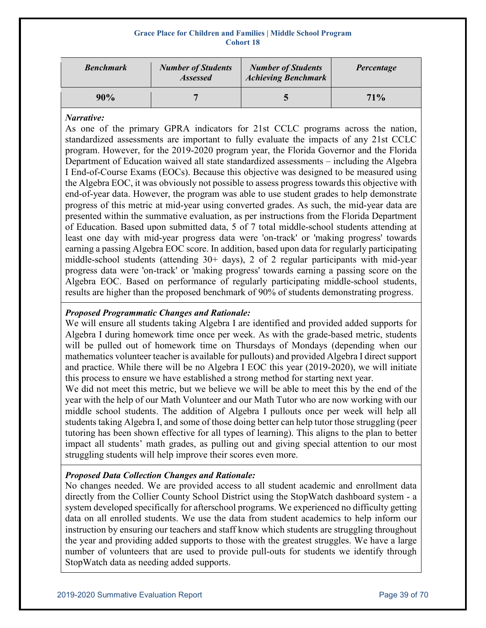| <b>Benchmark</b> | <b>Number of Students</b><br><b>Assessed</b> | <b>Number of Students</b><br><b>Achieving Benchmark</b> | Percentage |
|------------------|----------------------------------------------|---------------------------------------------------------|------------|
| 90%              |                                              |                                                         | 71%        |

### *Narrative:*

As one of the primary GPRA indicators for 21st CCLC programs across the nation, standardized assessments are important to fully evaluate the impacts of any 21st CCLC program. However, for the 2019-2020 program year, the Florida Governor and the Florida Department of Education waived all state standardized assessments – including the Algebra I End-of-Course Exams (EOCs). Because this objective was designed to be measured using the Algebra EOC, it was obviously not possible to assess progress towards this objective with end-of-year data. However, the program was able to use student grades to help demonstrate progress of this metric at mid-year using converted grades. As such, the mid-year data are presented within the summative evaluation, as per instructions from the Florida Department of Education. Based upon submitted data, 5 of 7 total middle-school students attending at least one day with mid-year progress data were 'on-track' or 'making progress' towards earning a passing Algebra EOC score. In addition, based upon data for regularly participating middle-school students (attending  $30+$  days), 2 of 2 regular participants with mid-year progress data were 'on-track' or 'making progress' towards earning a passing score on the Algebra EOC. Based on performance of regularly participating middle-school students, results are higher than the proposed benchmark of 90% of students demonstrating progress.

### *Proposed Programmatic Changes and Rationale:*

We will ensure all students taking Algebra I are identified and provided added supports for Algebra I during homework time once per week. As with the grade-based metric, students will be pulled out of homework time on Thursdays of Mondays (depending when our mathematics volunteer teacher is available for pullouts) and provided Algebra I direct support and practice. While there will be no Algebra I EOC this year (2019-2020), we will initiate this process to ensure we have established a strong method for starting next year.

We did not meet this metric, but we believe we will be able to meet this by the end of the year with the help of our Math Volunteer and our Math Tutor who are now working with our middle school students. The addition of Algebra I pullouts once per week will help all students taking Algebra I, and some of those doing better can help tutor those struggling (peer tutoring has been shown effective for all types of learning). This aligns to the plan to better impact all students' math grades, as pulling out and giving special attention to our most struggling students will help improve their scores even more.

### *Proposed Data Collection Changes and Rationale:*

No changes needed. We are provided access to all student academic and enrollment data directly from the Collier County School District using the StopWatch dashboard system - a system developed specifically for afterschool programs. We experienced no difficulty getting data on all enrolled students. We use the data from student academics to help inform our instruction by ensuring our teachers and staff know which students are struggling throughout the year and providing added supports to those with the greatest struggles. We have a large number of volunteers that are used to provide pull-outs for students we identify through StopWatch data as needing added supports.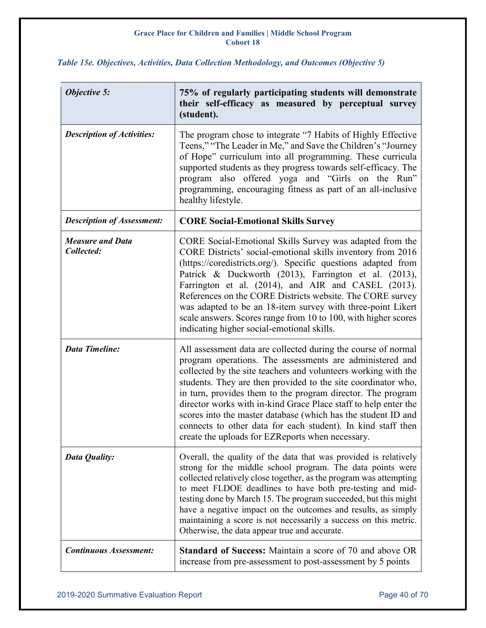| <b>Objective 5:</b>                   | 75% of regularly participating students will demonstrate<br>their self-efficacy as measured by perceptual survey<br>(student).                                                                                                                                                                                                                                                                                                                                                                                                                                                      |
|---------------------------------------|-------------------------------------------------------------------------------------------------------------------------------------------------------------------------------------------------------------------------------------------------------------------------------------------------------------------------------------------------------------------------------------------------------------------------------------------------------------------------------------------------------------------------------------------------------------------------------------|
| <b>Description of Activities:</b>     | The program chose to integrate "7 Habits of Highly Effective<br>Teens," "The Leader in Me," and Save the Children's "Journey<br>of Hope" curriculum into all programming. These curricula<br>supported students as they progress towards self-efficacy. The<br>program also offered yoga and "Girls on the Run"<br>programming, encouraging fitness as part of an all-inclusive<br>healthy lifestyle.                                                                                                                                                                               |
| <b>Description of Assessment:</b>     | <b>CORE Social-Emotional Skills Survey</b>                                                                                                                                                                                                                                                                                                                                                                                                                                                                                                                                          |
| <b>Measure and Data</b><br>Collected: | CORE Social-Emotional Skills Survey was adapted from the<br>CORE Districts' social-emotional skills inventory from 2016<br>(https://coredistricts.org/). Specific questions adapted from<br>Patrick & Duckworth (2013), Farrington et al. (2013),<br>Farrington et al. (2014), and AIR and CASEL (2013).<br>References on the CORE Districts website. The CORE survey<br>was adapted to be an 18-item survey with three-point Likert<br>scale answers. Scores range from 10 to 100, with higher scores<br>indicating higher social-emotional skills.                                |
| <b>Data Timeline:</b>                 | All assessment data are collected during the course of normal<br>program operations. The assessments are administered and<br>collected by the site teachers and volunteers working with the<br>students. They are then provided to the site coordinator who,<br>in turn, provides them to the program director. The program<br>director works with in-kind Grace Place staff to help enter the<br>scores into the master database (which has the student ID and<br>connects to other data for each student). In kind staff then<br>create the uploads for EZReports when necessary. |
| Data Quality:                         | Overall, the quality of the data that was provided is relatively<br>strong for the middle school program. The data points were<br>collected relatively close together, as the program was attempting<br>to meet FLDOE deadlines to have both pre-testing and mid-<br>testing done by March 15. The program succeeded, but this might<br>have a negative impact on the outcomes and results, as simply<br>maintaining a score is not necessarily a success on this metric.<br>Otherwise, the data appear true and accurate.                                                          |
| <b>Continuous Assessment:</b>         | <b>Standard of Success:</b> Maintain a score of 70 and above OR<br>increase from pre-assessment to post-assessment by 5 points                                                                                                                                                                                                                                                                                                                                                                                                                                                      |

### <span id="page-39-0"></span>*Table 15e. Objectives, Activities, Data Collection Methodology, and Outcomes (Objective 5)*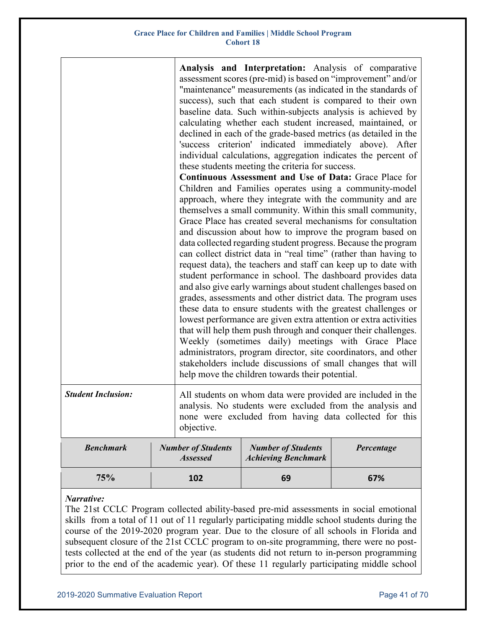| <b>Student Inclusion:</b> |                                              | Analysis and Interpretation: Analysis of comparative<br>assessment scores (pre-mid) is based on "improvement" and/or<br>"maintenance" measurements (as indicated in the standards of<br>success), such that each student is compared to their own<br>baseline data. Such within-subjects analysis is achieved by<br>calculating whether each student increased, maintained, or<br>declined in each of the grade-based metrics (as detailed in the<br>'success criterion' indicated immediately above). After<br>individual calculations, aggregation indicates the percent of<br>these students meeting the criteria for success.<br><b>Continuous Assessment and Use of Data: Grace Place for</b><br>Children and Families operates using a community-model<br>approach, where they integrate with the community and are<br>themselves a small community. Within this small community,<br>Grace Place has created several mechanisms for consultation<br>and discussion about how to improve the program based on<br>data collected regarding student progress. Because the program<br>can collect district data in "real time" (rather than having to<br>request data), the teachers and staff can keep up to date with<br>student performance in school. The dashboard provides data<br>and also give early warnings about student challenges based on<br>grades, assessments and other district data. The program uses<br>these data to ensure students with the greatest challenges or<br>lowest performance are given extra attention or extra activities<br>that will help them push through and conquer their challenges.<br>Weekly (sometimes daily) meetings with Grace Place<br>administrators, program director, site coordinators, and other<br>stakeholders include discussions of small changes that will<br>help move the children towards their potential.<br>All students on whom data were provided are included in the |            |
|---------------------------|----------------------------------------------|--------------------------------------------------------------------------------------------------------------------------------------------------------------------------------------------------------------------------------------------------------------------------------------------------------------------------------------------------------------------------------------------------------------------------------------------------------------------------------------------------------------------------------------------------------------------------------------------------------------------------------------------------------------------------------------------------------------------------------------------------------------------------------------------------------------------------------------------------------------------------------------------------------------------------------------------------------------------------------------------------------------------------------------------------------------------------------------------------------------------------------------------------------------------------------------------------------------------------------------------------------------------------------------------------------------------------------------------------------------------------------------------------------------------------------------------------------------------------------------------------------------------------------------------------------------------------------------------------------------------------------------------------------------------------------------------------------------------------------------------------------------------------------------------------------------------------------------------------------------------------------------------------------------------------------------------|------------|
|                           | objective.                                   | analysis. No students were excluded from the analysis and<br>none were excluded from having data collected for this                                                                                                                                                                                                                                                                                                                                                                                                                                                                                                                                                                                                                                                                                                                                                                                                                                                                                                                                                                                                                                                                                                                                                                                                                                                                                                                                                                                                                                                                                                                                                                                                                                                                                                                                                                                                                        |            |
| <b>Benchmark</b>          | <b>Number of Students</b><br><b>Assessed</b> | <b>Number of Students</b><br><b>Achieving Benchmark</b>                                                                                                                                                                                                                                                                                                                                                                                                                                                                                                                                                                                                                                                                                                                                                                                                                                                                                                                                                                                                                                                                                                                                                                                                                                                                                                                                                                                                                                                                                                                                                                                                                                                                                                                                                                                                                                                                                    | Percentage |
| 75%                       | 102                                          | 69                                                                                                                                                                                                                                                                                                                                                                                                                                                                                                                                                                                                                                                                                                                                                                                                                                                                                                                                                                                                                                                                                                                                                                                                                                                                                                                                                                                                                                                                                                                                                                                                                                                                                                                                                                                                                                                                                                                                         | 67%        |

#### *Narrative:*

The 21st CCLC Program collected ability-based pre-mid assessments in social emotional skills from a total of 11 out of 11 regularly participating middle school students during the course of the 2019-2020 program year. Due to the closure of all schools in Florida and subsequent closure of the 21st CCLC program to on-site programming, there were no posttests collected at the end of the year (as students did not return to in-person programming prior to the end of the academic year). Of these 11 regularly participating middle school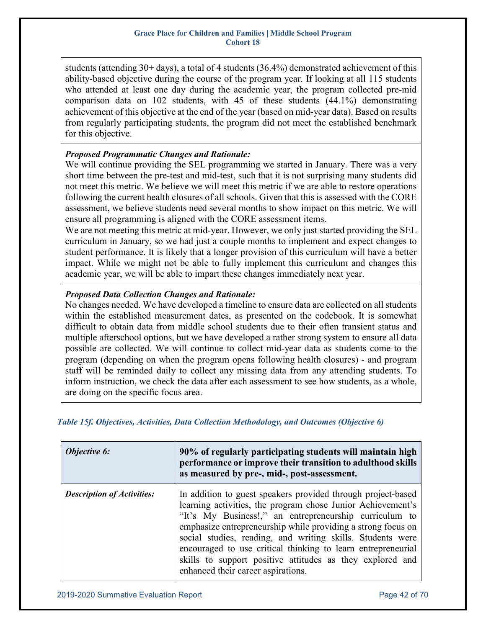students (attending 30+ days), a total of 4 students (36.4%) demonstrated achievement of this ability-based objective during the course of the program year. If looking at all 115 students who attended at least one day during the academic year, the program collected pre-mid comparison data on 102 students, with 45 of these students (44.1%) demonstrating achievement of this objective at the end of the year (based on mid-year data). Based on results from regularly participating students, the program did not meet the established benchmark for this objective.

### *Proposed Programmatic Changes and Rationale:*

We will continue providing the SEL programming we started in January. There was a very short time between the pre-test and mid-test, such that it is not surprising many students did not meet this metric. We believe we will meet this metric if we are able to restore operations following the current health closures of all schools. Given that this is assessed with the CORE assessment, we believe students need several months to show impact on this metric. We will ensure all programming is aligned with the CORE assessment items.

We are not meeting this metric at mid-year. However, we only just started providing the SEL curriculum in January, so we had just a couple months to implement and expect changes to student performance. It is likely that a longer provision of this curriculum will have a better impact. While we might not be able to fully implement this curriculum and changes this academic year, we will be able to impart these changes immediately next year.

### *Proposed Data Collection Changes and Rationale:*

No changes needed. We have developed a timeline to ensure data are collected on all students within the established measurement dates, as presented on the codebook. It is somewhat difficult to obtain data from middle school students due to their often transient status and multiple afterschool options, but we have developed a rather strong system to ensure all data possible are collected. We will continue to collect mid-year data as students come to the program (depending on when the program opens following health closures) - and program staff will be reminded daily to collect any missing data from any attending students. To inform instruction, we check the data after each assessment to see how students, as a whole, are doing on the specific focus area.

### <span id="page-41-0"></span>*Table 15f. Objectives, Activities, Data Collection Methodology, and Outcomes (Objective 6)*

| <b>Objective 6:</b>               | 90% of regularly participating students will maintain high<br>performance or improve their transition to adulthood skills<br>as measured by pre-, mid-, post-assessment.                                                                                                                                                                                                                                                                                                               |
|-----------------------------------|----------------------------------------------------------------------------------------------------------------------------------------------------------------------------------------------------------------------------------------------------------------------------------------------------------------------------------------------------------------------------------------------------------------------------------------------------------------------------------------|
| <b>Description of Activities:</b> | In addition to guest speakers provided through project-based<br>learning activities, the program chose Junior Achievement's<br>"It's My Business!," an entrepreneurship curriculum to<br>emphasize entrepreneurship while providing a strong focus on<br>social studies, reading, and writing skills. Students were<br>encouraged to use critical thinking to learn entrepreneurial<br>skills to support positive attitudes as they explored and<br>enhanced their career aspirations. |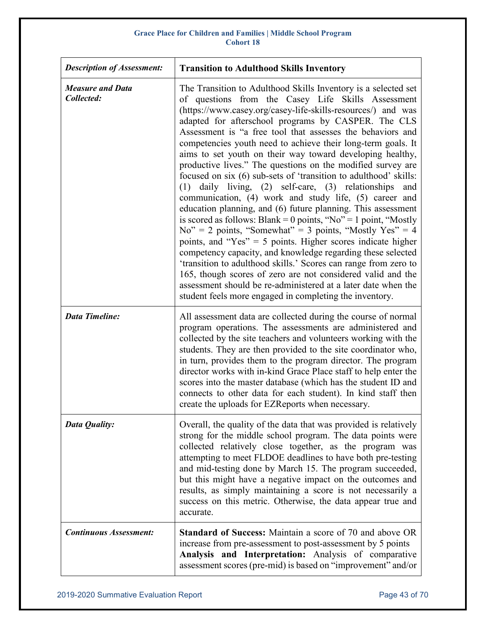| <b>Description of Assessment:</b>     | <b>Transition to Adulthood Skills Inventory</b>                                                                                                                                                                                                                                                                                                                                                                                                                                                                                                                                                                                                                                                                                                                                                                                                                                                                                                                                                                                                                                                                                                                                                                                                                                              |  |  |
|---------------------------------------|----------------------------------------------------------------------------------------------------------------------------------------------------------------------------------------------------------------------------------------------------------------------------------------------------------------------------------------------------------------------------------------------------------------------------------------------------------------------------------------------------------------------------------------------------------------------------------------------------------------------------------------------------------------------------------------------------------------------------------------------------------------------------------------------------------------------------------------------------------------------------------------------------------------------------------------------------------------------------------------------------------------------------------------------------------------------------------------------------------------------------------------------------------------------------------------------------------------------------------------------------------------------------------------------|--|--|
| <b>Measure and Data</b><br>Collected: | The Transition to Adulthood Skills Inventory is a selected set<br>of questions from the Casey Life Skills Assessment<br>(https://www.casey.org/casey-life-skills-resources/) and was<br>adapted for afterschool programs by CASPER. The CLS<br>Assessment is "a free tool that assesses the behaviors and<br>competencies youth need to achieve their long-term goals. It<br>aims to set youth on their way toward developing healthy,<br>productive lives." The questions on the modified survey are<br>focused on six (6) sub-sets of 'transition to adulthood' skills:<br>(1) daily living, (2) self-care, (3) relationships and<br>communication, (4) work and study life, (5) career and<br>education planning, and (6) future planning. This assessment<br>is scored as follows: Blank = 0 points, "No" = 1 point, "Mostly<br>$No'' = 2$ points, "Somewhat" = 3 points, "Mostly Yes" = 4<br>points, and "Yes" = $5$ points. Higher scores indicate higher<br>competency capacity, and knowledge regarding these selected<br>'transition to adulthood skills.' Scores can range from zero to<br>165, though scores of zero are not considered valid and the<br>assessment should be re-administered at a later date when the<br>student feels more engaged in completing the inventory. |  |  |
| <b>Data Timeline:</b>                 | All assessment data are collected during the course of normal<br>program operations. The assessments are administered and<br>collected by the site teachers and volunteers working with the<br>students. They are then provided to the site coordinator who,<br>in turn, provides them to the program director. The program<br>director works with in-kind Grace Place staff to help enter the<br>scores into the master database (which has the student ID and<br>connects to other data for each student). In kind staff then<br>create the uploads for EZReports when necessary.                                                                                                                                                                                                                                                                                                                                                                                                                                                                                                                                                                                                                                                                                                          |  |  |
| Data Quality:                         | Overall, the quality of the data that was provided is relatively<br>strong for the middle school program. The data points were<br>collected relatively close together, as the program was<br>attempting to meet FLDOE deadlines to have both pre-testing<br>and mid-testing done by March 15. The program succeeded,<br>but this might have a negative impact on the outcomes and<br>results, as simply maintaining a score is not necessarily a<br>success on this metric. Otherwise, the data appear true and<br>accurate.                                                                                                                                                                                                                                                                                                                                                                                                                                                                                                                                                                                                                                                                                                                                                                 |  |  |
| <b>Continuous Assessment:</b>         | <b>Standard of Success:</b> Maintain a score of 70 and above OR<br>increase from pre-assessment to post-assessment by 5 points<br>Analysis and Interpretation: Analysis of comparative<br>assessment scores (pre-mid) is based on "improvement" and/or                                                                                                                                                                                                                                                                                                                                                                                                                                                                                                                                                                                                                                                                                                                                                                                                                                                                                                                                                                                                                                       |  |  |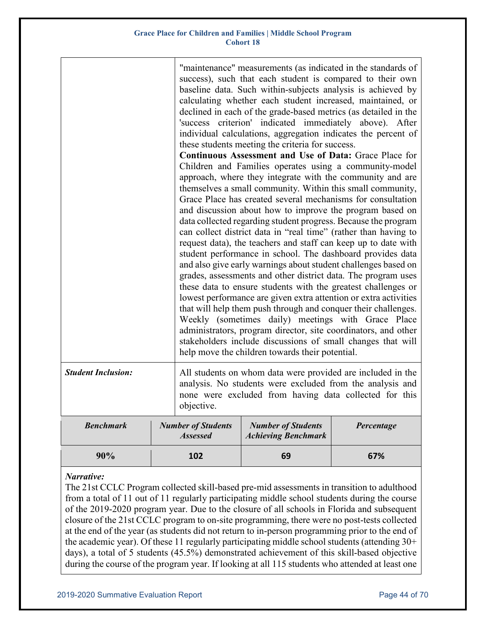### *Narrative:*

The 21st CCLC Program collected skill-based pre-mid assessments in transition to adulthood from a total of 11 out of 11 regularly participating middle school students during the course of the 2019-2020 program year. Due to the closure of all schools in Florida and subsequent closure of the 21st CCLC program to on-site programming, there were no post-tests collected at the end of the year (as students did not return to in-person programming prior to the end of the academic year). Of these 11 regularly participating middle school students (attending 30+ days), a total of 5 students (45.5%) demonstrated achievement of this skill-based objective during the course of the program year. If looking at all 115 students who attended at least one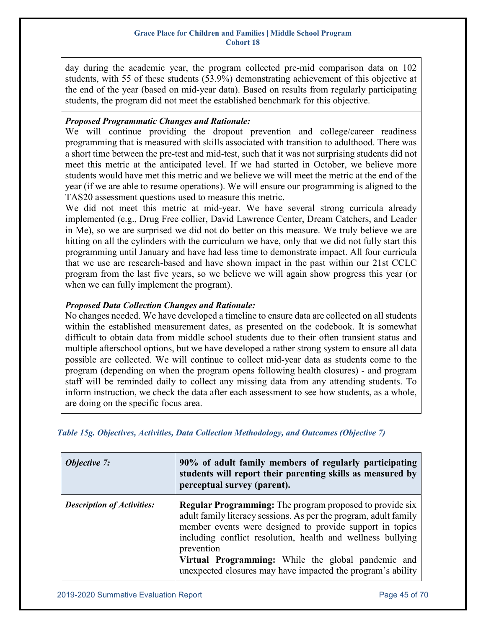day during the academic year, the program collected pre-mid comparison data on 102 students, with 55 of these students (53.9%) demonstrating achievement of this objective at the end of the year (based on mid-year data). Based on results from regularly participating students, the program did not meet the established benchmark for this objective.

### *Proposed Programmatic Changes and Rationale:*

We will continue providing the dropout prevention and college/career readiness programming that is measured with skills associated with transition to adulthood. There was a short time between the pre-test and mid-test, such that it was not surprising students did not meet this metric at the anticipated level. If we had started in October, we believe more students would have met this metric and we believe we will meet the metric at the end of the year (if we are able to resume operations). We will ensure our programming is aligned to the TAS20 assessment questions used to measure this metric.

We did not meet this metric at mid-year. We have several strong curricula already implemented (e.g., Drug Free collier, David Lawrence Center, Dream Catchers, and Leader in Me), so we are surprised we did not do better on this measure. We truly believe we are hitting on all the cylinders with the curriculum we have, only that we did not fully start this programming until January and have had less time to demonstrate impact. All four curricula that we use are research-based and have shown impact in the past within our 21st CCLC program from the last five years, so we believe we will again show progress this year (or when we can fully implement the program).

### *Proposed Data Collection Changes and Rationale:*

No changes needed. We have developed a timeline to ensure data are collected on all students within the established measurement dates, as presented on the codebook. It is somewhat difficult to obtain data from middle school students due to their often transient status and multiple afterschool options, but we have developed a rather strong system to ensure all data possible are collected. We will continue to collect mid-year data as students come to the program (depending on when the program opens following health closures) - and program staff will be reminded daily to collect any missing data from any attending students. To inform instruction, we check the data after each assessment to see how students, as a whole, are doing on the specific focus area.

<span id="page-44-0"></span>*Table 15g. Objectives, Activities, Data Collection Methodology, and Outcomes (Objective 7)*

| <b>Objective 7:</b>               | 90% of adult family members of regularly participating<br>students will report their parenting skills as measured by<br>perceptual survey (parent).                                                                                                                                                                                                                                               |  |  |
|-----------------------------------|---------------------------------------------------------------------------------------------------------------------------------------------------------------------------------------------------------------------------------------------------------------------------------------------------------------------------------------------------------------------------------------------------|--|--|
| <b>Description of Activities:</b> | <b>Regular Programming:</b> The program proposed to provide six<br>adult family literacy sessions. As per the program, adult family<br>member events were designed to provide support in topics<br>including conflict resolution, health and wellness bullying<br>prevention<br>Virtual Programming: While the global pandemic and<br>unexpected closures may have impacted the program's ability |  |  |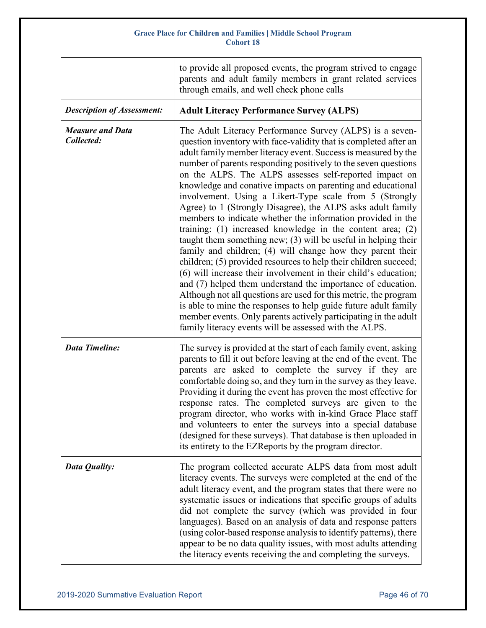|                                       | to provide all proposed events, the program strived to engage<br>parents and adult family members in grant related services<br>through emails, and well check phone calls                                                                                                                                                                                                                                                                                                                                                                                                                                                                                                                                                                                                                                                                                                                                                                                                                                                                                                                                                                                                                                                                                        |
|---------------------------------------|------------------------------------------------------------------------------------------------------------------------------------------------------------------------------------------------------------------------------------------------------------------------------------------------------------------------------------------------------------------------------------------------------------------------------------------------------------------------------------------------------------------------------------------------------------------------------------------------------------------------------------------------------------------------------------------------------------------------------------------------------------------------------------------------------------------------------------------------------------------------------------------------------------------------------------------------------------------------------------------------------------------------------------------------------------------------------------------------------------------------------------------------------------------------------------------------------------------------------------------------------------------|
| <b>Description of Assessment:</b>     | <b>Adult Literacy Performance Survey (ALPS)</b>                                                                                                                                                                                                                                                                                                                                                                                                                                                                                                                                                                                                                                                                                                                                                                                                                                                                                                                                                                                                                                                                                                                                                                                                                  |
| <b>Measure and Data</b><br>Collected: | The Adult Literacy Performance Survey (ALPS) is a seven-<br>question inventory with face-validity that is completed after an<br>adult family member literacy event. Success is measured by the<br>number of parents responding positively to the seven questions<br>on the ALPS. The ALPS assesses self-reported impact on<br>knowledge and conative impacts on parenting and educational<br>involvement. Using a Likert-Type scale from 5 (Strongly<br>Agree) to 1 (Strongly Disagree), the ALPS asks adult family<br>members to indicate whether the information provided in the<br>training: $(1)$ increased knowledge in the content area; $(2)$<br>taught them something new; $(3)$ will be useful in helping their<br>family and children; (4) will change how they parent their<br>children; (5) provided resources to help their children succeed;<br>(6) will increase their involvement in their child's education;<br>and (7) helped them understand the importance of education.<br>Although not all questions are used for this metric, the program<br>is able to mine the responses to help guide future adult family<br>member events. Only parents actively participating in the adult<br>family literacy events will be assessed with the ALPS. |
| <b>Data Timeline:</b>                 | The survey is provided at the start of each family event, asking<br>parents to fill it out before leaving at the end of the event. The<br>parents are asked to complete the survey if they are<br>comfortable doing so, and they turn in the survey as they leave.<br>Providing it during the event has proven the most effective for<br>response rates. The completed surveys are given to the<br>program director, who works with in-kind Grace Place staff<br>and volunteers to enter the surveys into a special database<br>(designed for these surveys). That database is then uploaded in<br>its entirety to the EZReports by the program director.                                                                                                                                                                                                                                                                                                                                                                                                                                                                                                                                                                                                        |
| Data Quality:                         | The program collected accurate ALPS data from most adult<br>literacy events. The surveys were completed at the end of the<br>adult literacy event, and the program states that there were no<br>systematic issues or indications that specific groups of adults<br>did not complete the survey (which was provided in four<br>languages). Based on an analysis of data and response patters<br>(using color-based response analysis to identify patterns), there<br>appear to be no data quality issues, with most adults attending<br>the literacy events receiving the and completing the surveys.                                                                                                                                                                                                                                                                                                                                                                                                                                                                                                                                                                                                                                                             |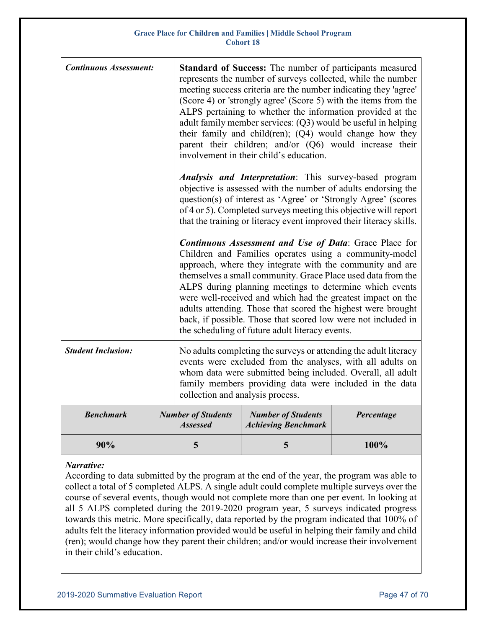| <b>Continuous Assessment:</b> | Standard of Success: The number of participants measured<br>represents the number of surveys collected, while the number<br>meeting success criteria are the number indicating they 'agree'<br>(Score 4) or 'strongly agree' (Score 5) with the items from the<br>ALPS pertaining to whether the information provided at the<br>adult family member services: (Q3) would be useful in helping<br>their family and child(ren); (Q4) would change how they<br>parent their children; and/or $(Q6)$ would increase their<br>involvement in their child's education.   |                                                                                                                                                                                                                                                                                                                                             |            |  |
|-------------------------------|--------------------------------------------------------------------------------------------------------------------------------------------------------------------------------------------------------------------------------------------------------------------------------------------------------------------------------------------------------------------------------------------------------------------------------------------------------------------------------------------------------------------------------------------------------------------|---------------------------------------------------------------------------------------------------------------------------------------------------------------------------------------------------------------------------------------------------------------------------------------------------------------------------------------------|------------|--|
|                               |                                                                                                                                                                                                                                                                                                                                                                                                                                                                                                                                                                    | <b>Analysis and Interpretation:</b> This survey-based program<br>objective is assessed with the number of adults endorsing the<br>question(s) of interest as 'Agree' or 'Strongly Agree' (scores<br>of 4 or 5). Completed surveys meeting this objective will report<br>that the training or literacy event improved their literacy skills. |            |  |
|                               | <b>Continuous Assessment and Use of Data: Grace Place for</b><br>Children and Families operates using a community-model<br>approach, where they integrate with the community and are<br>themselves a small community. Grace Place used data from the<br>ALPS during planning meetings to determine which events<br>were well-received and which had the greatest impact on the<br>adults attending. Those that scored the highest were brought<br>back, if possible. Those that scored low were not included in<br>the scheduling of future adult literacy events. |                                                                                                                                                                                                                                                                                                                                             |            |  |
| <b>Student Inclusion:</b>     | No adults completing the surveys or attending the adult literacy<br>events were excluded from the analyses, with all adults on<br>whom data were submitted being included. Overall, all adult<br>family members providing data were included in the data<br>collection and analysis process.                                                                                                                                                                                                                                                                       |                                                                                                                                                                                                                                                                                                                                             |            |  |
| <b>Benchmark</b>              | <b>Number of Students</b><br><b>Assessed</b>                                                                                                                                                                                                                                                                                                                                                                                                                                                                                                                       | <b>Number of Students</b><br><b>Achieving Benchmark</b>                                                                                                                                                                                                                                                                                     | Percentage |  |
| 90%                           | 5                                                                                                                                                                                                                                                                                                                                                                                                                                                                                                                                                                  | 5                                                                                                                                                                                                                                                                                                                                           | 100%       |  |

### *Narrative:*

According to data submitted by the program at the end of the year, the program was able to collect a total of 5 completed ALPS. A single adult could complete multiple surveys over the course of several events, though would not complete more than one per event. In looking at all 5 ALPS completed during the 2019-2020 program year, 5 surveys indicated progress towards this metric. More specifically, data reported by the program indicated that 100% of adults felt the literacy information provided would be useful in helping their family and child (ren); would change how they parent their children; and/or would increase their involvement in their child's education.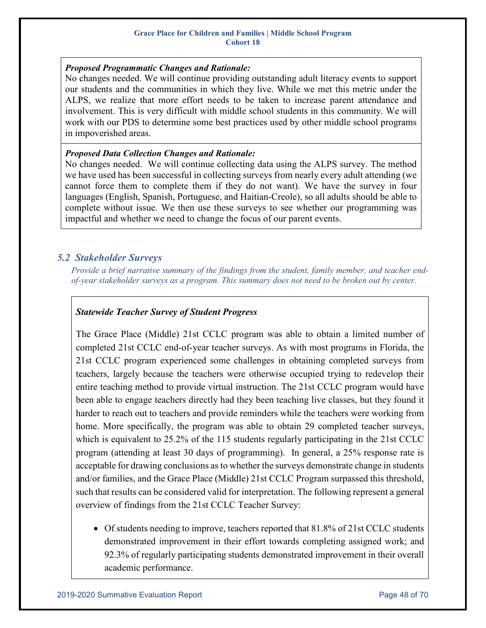### *Proposed Programmatic Changes and Rationale:*

No changes needed. We will continue providing outstanding adult literacy events to support our students and the communities in which they live. While we met this metric under the ALPS, we realize that more effort needs to be taken to increase parent attendance and involvement. This is very difficult with middle school students in this community. We will work with our PDS to determine some best practices used by other middle school programs in impoverished areas.

### *Proposed Data Collection Changes and Rationale:*

No changes needed. We will continue collecting data using the ALPS survey. The method we have used has been successful in collecting surveys from nearly every adult attending (we cannot force them to complete them if they do not want). We have the survey in four languages (English, Spanish, Portuguese, and Haitian-Creole), so all adults should be able to complete without issue. We then use these surveys to see whether our programming was impactful and whether we need to change the focus of our parent events.

### <span id="page-47-0"></span>*5.2 Stakeholder Surveys*

*Provide a brief narrative summary of the findings from the student, family member, and teacher end‐ of‐year stakeholder surveys as a program. This summary does not need to be broken out by center.*

### *Statewide Teacher Survey of Student Progress*

The Grace Place (Middle) 21st CCLC program was able to obtain a limited number of completed 21st CCLC end-of-year teacher surveys. As with most programs in Florida, the 21st CCLC program experienced some challenges in obtaining completed surveys from teachers, largely because the teachers were otherwise occupied trying to redevelop their entire teaching method to provide virtual instruction. The 21st CCLC program would have been able to engage teachers directly had they been teaching live classes, but they found it harder to reach out to teachers and provide reminders while the teachers were working from home. More specifically, the program was able to obtain 29 completed teacher surveys, which is equivalent to 25.2% of the 115 students regularly participating in the 21st CCLC program (attending at least 30 days of programming). In general, a 25% response rate is acceptable for drawing conclusions as to whether the surveys demonstrate change in students and/or families, and the Grace Place (Middle) 21st CCLC Program surpassed this threshold, such that results can be considered valid for interpretation. The following represent a general overview of findings from the 21st CCLC Teacher Survey:

• Of students needing to improve, teachers reported that 81.8% of 21st CCLC students demonstrated improvement in their effort towards completing assigned work; and 92.3% of regularly participating students demonstrated improvement in their overall academic performance.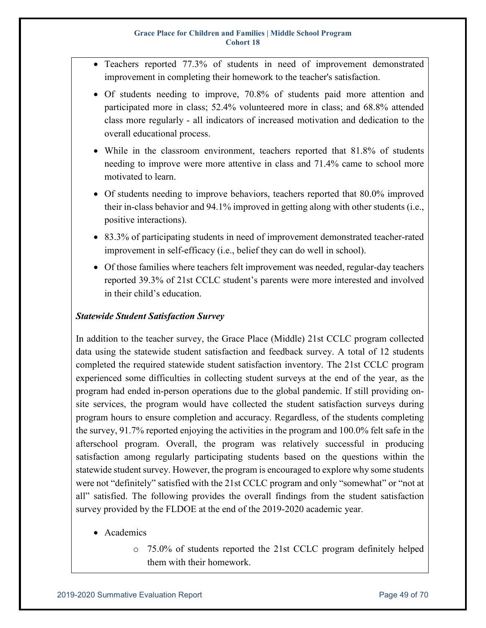- Teachers reported 77.3% of students in need of improvement demonstrated improvement in completing their homework to the teacher's satisfaction.
- Of students needing to improve, 70.8% of students paid more attention and participated more in class; 52.4% volunteered more in class; and 68.8% attended class more regularly - all indicators of increased motivation and dedication to the overall educational process.
- While in the classroom environment, teachers reported that 81.8% of students needing to improve were more attentive in class and 71.4% came to school more motivated to learn.
- Of students needing to improve behaviors, teachers reported that 80.0% improved their in-class behavior and 94.1% improved in getting along with other students (i.e., positive interactions).
- 83.3% of participating students in need of improvement demonstrated teacher-rated improvement in self-efficacy (i.e., belief they can do well in school).
- Of those families where teachers felt improvement was needed, regular-day teachers reported 39.3% of 21st CCLC student's parents were more interested and involved in their child's education.

### *Statewide Student Satisfaction Survey*

In addition to the teacher survey, the Grace Place (Middle) 21st CCLC program collected data using the statewide student satisfaction and feedback survey. A total of 12 students completed the required statewide student satisfaction inventory. The 21st CCLC program experienced some difficulties in collecting student surveys at the end of the year, as the program had ended in-person operations due to the global pandemic. If still providing onsite services, the program would have collected the student satisfaction surveys during program hours to ensure completion and accuracy. Regardless, of the students completing the survey, 91.7% reported enjoying the activities in the program and 100.0% felt safe in the afterschool program. Overall, the program was relatively successful in producing satisfaction among regularly participating students based on the questions within the statewide student survey. However, the program is encouraged to explore why some students were not "definitely" satisfied with the 21st CCLC program and only "somewhat" or "not at all" satisfied. The following provides the overall findings from the student satisfaction survey provided by the FLDOE at the end of the 2019-2020 academic year.

- Academics
	- o 75.0% of students reported the 21st CCLC program definitely helped them with their homework.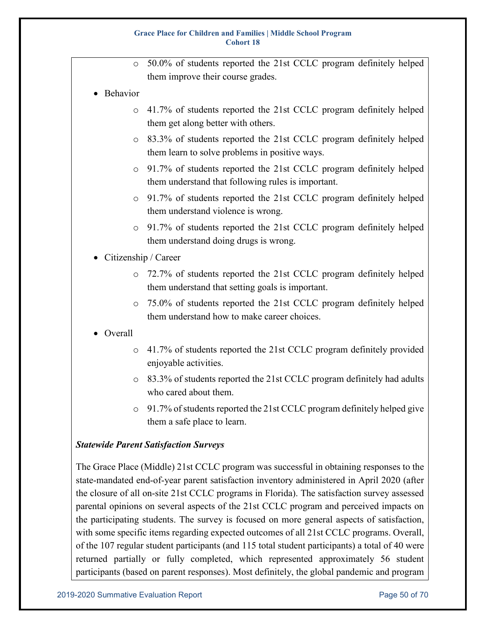- o 50.0% of students reported the 21st CCLC program definitely helped them improve their course grades.
- Behavior
	- o 41.7% of students reported the 21st CCLC program definitely helped them get along better with others.
	- o 83.3% of students reported the 21st CCLC program definitely helped them learn to solve problems in positive ways.
	- o 91.7% of students reported the 21st CCLC program definitely helped them understand that following rules is important.
	- o 91.7% of students reported the 21st CCLC program definitely helped them understand violence is wrong.
	- o 91.7% of students reported the 21st CCLC program definitely helped them understand doing drugs is wrong.
- Citizenship / Career
	- o 72.7% of students reported the 21st CCLC program definitely helped them understand that setting goals is important.
	- o 75.0% of students reported the 21st CCLC program definitely helped them understand how to make career choices.
- Overall
	- o 41.7% of students reported the 21st CCLC program definitely provided enjoyable activities.
	- o 83.3% of students reported the 21st CCLC program definitely had adults who cared about them.
	- o 91.7% of students reported the 21st CCLC program definitely helped give them a safe place to learn.

### *Statewide Parent Satisfaction Surveys*

The Grace Place (Middle) 21st CCLC program was successful in obtaining responses to the state-mandated end-of-year parent satisfaction inventory administered in April 2020 (after the closure of all on-site 21st CCLC programs in Florida). The satisfaction survey assessed parental opinions on several aspects of the 21st CCLC program and perceived impacts on the participating students. The survey is focused on more general aspects of satisfaction, with some specific items regarding expected outcomes of all 21st CCLC programs. Overall, of the 107 regular student participants (and 115 total student participants) a total of 40 were returned partially or fully completed, which represented approximately 56 student participants (based on parent responses). Most definitely, the global pandemic and program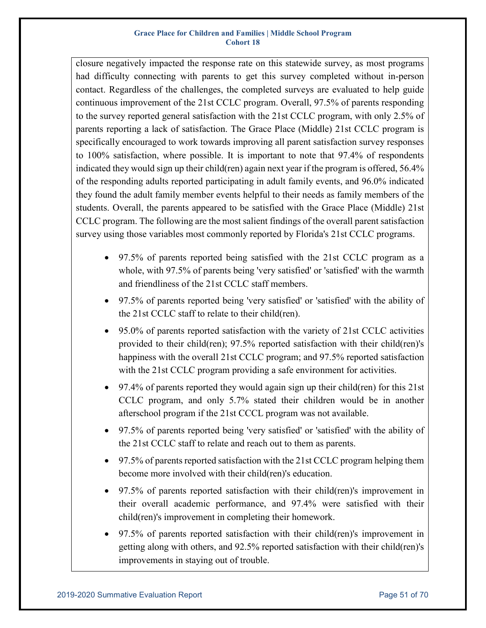closure negatively impacted the response rate on this statewide survey, as most programs had difficulty connecting with parents to get this survey completed without in-person contact. Regardless of the challenges, the completed surveys are evaluated to help guide continuous improvement of the 21st CCLC program. Overall, 97.5% of parents responding to the survey reported general satisfaction with the 21st CCLC program, with only 2.5% of parents reporting a lack of satisfaction. The Grace Place (Middle) 21st CCLC program is specifically encouraged to work towards improving all parent satisfaction survey responses to 100% satisfaction, where possible. It is important to note that 97.4% of respondents indicated they would sign up their child(ren) again next year if the program is offered, 56.4% of the responding adults reported participating in adult family events, and 96.0% indicated they found the adult family member events helpful to their needs as family members of the students. Overall, the parents appeared to be satisfied with the Grace Place (Middle) 21st CCLC program. The following are the most salient findings of the overall parent satisfaction survey using those variables most commonly reported by Florida's 21st CCLC programs.

- 97.5% of parents reported being satisfied with the 21st CCLC program as a whole, with 97.5% of parents being 'very satisfied' or 'satisfied' with the warmth and friendliness of the 21st CCLC staff members.
- 97.5% of parents reported being 'very satisfied' or 'satisfied' with the ability of the 21st CCLC staff to relate to their child(ren).
- 95.0% of parents reported satisfaction with the variety of 21st CCLC activities provided to their child(ren); 97.5% reported satisfaction with their child(ren)'s happiness with the overall 21st CCLC program; and 97.5% reported satisfaction with the 21st CCLC program providing a safe environment for activities.
- 97.4% of parents reported they would again sign up their child(ren) for this 21st CCLC program, and only 5.7% stated their children would be in another afterschool program if the 21st CCCL program was not available.
- 97.5% of parents reported being 'very satisfied' or 'satisfied' with the ability of the 21st CCLC staff to relate and reach out to them as parents.
- 97.5% of parents reported satisfaction with the 21st CCLC program helping them become more involved with their child(ren)'s education.
- 97.5% of parents reported satisfaction with their child(ren)'s improvement in their overall academic performance, and 97.4% were satisfied with their child(ren)'s improvement in completing their homework.
- 97.5% of parents reported satisfaction with their child(ren)'s improvement in getting along with others, and 92.5% reported satisfaction with their child(ren)'s improvements in staying out of trouble.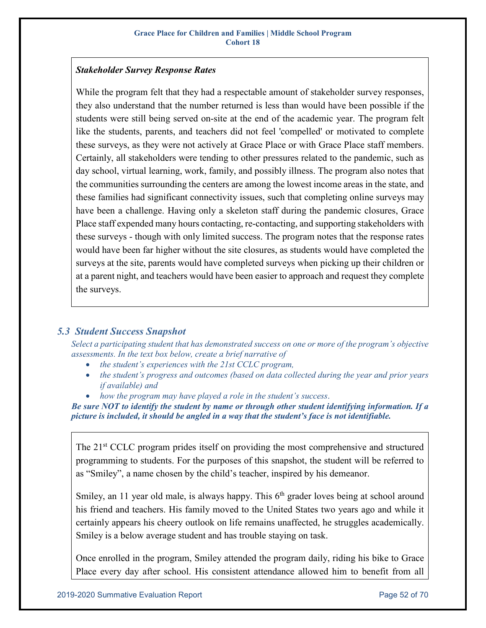### *Stakeholder Survey Response Rates*

While the program felt that they had a respectable amount of stakeholder survey responses, they also understand that the number returned is less than would have been possible if the students were still being served on-site at the end of the academic year. The program felt like the students, parents, and teachers did not feel 'compelled' or motivated to complete these surveys, as they were not actively at Grace Place or with Grace Place staff members. Certainly, all stakeholders were tending to other pressures related to the pandemic, such as day school, virtual learning, work, family, and possibly illness. The program also notes that the communities surrounding the centers are among the lowest income areas in the state, and these families had significant connectivity issues, such that completing online surveys may have been a challenge. Having only a skeleton staff during the pandemic closures, Grace Place staff expended many hours contacting, re-contacting, and supporting stakeholders with these surveys - though with only limited success. The program notes that the response rates would have been far higher without the site closures, as students would have completed the surveys at the site, parents would have completed surveys when picking up their children or at a parent night, and teachers would have been easier to approach and request they complete the surveys.

### <span id="page-51-0"></span>*5.3 Student Success Snapshot*

*Select a participating student that has demonstrated success on one or more of the program's objective assessments. In the text box below, create a brief narrative of*

- *the student's experiences with the 21st CCLC program,*
- *the student's progress and outcomes (based on data collected during the year and prior years if available) and*
- *how the program may have played a role in the student's success*.

*Be sure NOT to identify the student by name or through other student identifying information. If a picture is included, it should be angled in a way that the student's face is not identifiable.* 

The 21<sup>st</sup> CCLC program prides itself on providing the most comprehensive and structured programming to students. For the purposes of this snapshot, the student will be referred to as "Smiley", a name chosen by the child's teacher, inspired by his demeanor.

Smiley, an 11 year old male, is always happy. This  $6<sup>th</sup>$  grader loves being at school around his friend and teachers. His family moved to the United States two years ago and while it certainly appears his cheery outlook on life remains unaffected, he struggles academically. Smiley is a below average student and has trouble staying on task.

Once enrolled in the program, Smiley attended the program daily, riding his bike to Grace Place every day after school. His consistent attendance allowed him to benefit from all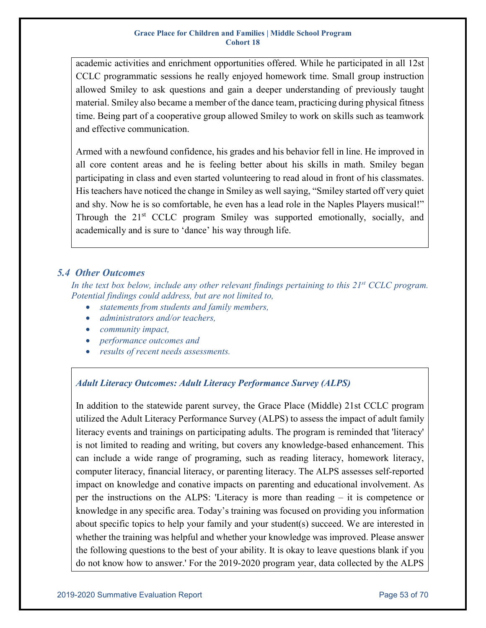academic activities and enrichment opportunities offered. While he participated in all 12st CCLC programmatic sessions he really enjoyed homework time. Small group instruction allowed Smiley to ask questions and gain a deeper understanding of previously taught material. Smiley also became a member of the dance team, practicing during physical fitness time. Being part of a cooperative group allowed Smiley to work on skills such as teamwork and effective communication.

Armed with a newfound confidence, his grades and his behavior fell in line. He improved in all core content areas and he is feeling better about his skills in math. Smiley began participating in class and even started volunteering to read aloud in front of his classmates. His teachers have noticed the change in Smiley as well saying, "Smiley started off very quiet and shy. Now he is so comfortable, he even has a lead role in the Naples Players musical!" Through the 21<sup>st</sup> CCLC program Smiley was supported emotionally, socially, and academically and is sure to 'dance' his way through life.

### <span id="page-52-0"></span>*5.4 Other Outcomes*

In the text box below, include any other relevant findings pertaining to this 21<sup>st</sup> CCLC program. *Potential findings could address, but are not limited to,*

- *statements from students and family members,*
- *administrators and/or teachers,*
- *community impact,*
- *performance outcomes and*
- *results of recent needs assessments.*

### *Adult Literacy Outcomes: Adult Literacy Performance Survey (ALPS)*

In addition to the statewide parent survey, the Grace Place (Middle) 21st CCLC program utilized the Adult Literacy Performance Survey (ALPS) to assess the impact of adult family literacy events and trainings on participating adults. The program is reminded that 'literacy' is not limited to reading and writing, but covers any knowledge-based enhancement. This can include a wide range of programing, such as reading literacy, homework literacy, computer literacy, financial literacy, or parenting literacy. The ALPS assesses self-reported impact on knowledge and conative impacts on parenting and educational involvement. As per the instructions on the ALPS: 'Literacy is more than reading – it is competence or knowledge in any specific area. Today's training was focused on providing you information about specific topics to help your family and your student(s) succeed. We are interested in whether the training was helpful and whether your knowledge was improved. Please answer the following questions to the best of your ability. It is okay to leave questions blank if you do not know how to answer.' For the 2019-2020 program year, data collected by the ALPS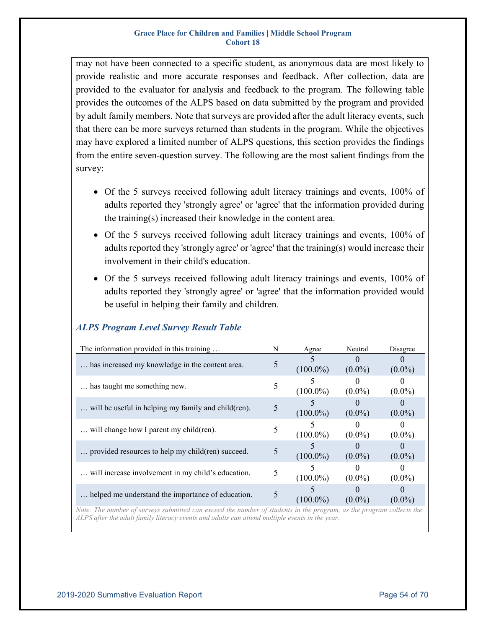may not have been connected to a specific student, as anonymous data are most likely to provide realistic and more accurate responses and feedback. After collection, data are provided to the evaluator for analysis and feedback to the program. The following table provides the outcomes of the ALPS based on data submitted by the program and provided by adult family members. Note that surveys are provided after the adult literacy events, such that there can be more surveys returned than students in the program. While the objectives may have explored a limited number of ALPS questions, this section provides the findings from the entire seven-question survey. The following are the most salient findings from the survey:

- Of the 5 surveys received following adult literacy trainings and events, 100% of adults reported they 'strongly agree' or 'agree' that the information provided during the training(s) increased their knowledge in the content area.
- Of the 5 surveys received following adult literacy trainings and events, 100% of adults reported they 'strongly agree' or 'agree' that the training(s) would increase their involvement in their child's education.
- Of the 5 surveys received following adult literacy trainings and events, 100% of adults reported they 'strongly agree' or 'agree' that the information provided would be useful in helping their family and children.

| The information provided in this training           |  | Agree       | Neutral   | Disagree               |
|-----------------------------------------------------|--|-------------|-----------|------------------------|
| has increased my knowledge in the content area.     |  | $(100.0\%)$ | $(0.0\%)$ | $(0.0\%)$              |
| has taught me something new.                        |  | $(100.0\%)$ | $(0.0\%)$ | $(0.0\%)$              |
| will be useful in helping my family and child(ren). |  | $(100.0\%)$ | $(0.0\%)$ | $(0.0\%)$              |
| will change how I parent my child(ren).             |  | $(100.0\%)$ | $(0.0\%)$ | $(0.0\%)$              |
| provided resources to help my child(ren) succeed.   |  | $(100.0\%)$ | $(0.0\%)$ | $(0.0\%)$              |
| will increase involvement in my child's education.  |  | $(100.0\%)$ | $(0.0\%)$ | $(0.0\%)$              |
| helped me understand the importance of education.   |  | $(100.0\%)$ | $(0.0\%)$ | $(0.0\%)$<br>$-11 - 1$ |

### *ALPS Program Level Survey Result Table*

*Note: The number of surveys submitted can exceed the number of students in the program, as the program collects the ALPS after the adult family literacy events and adults can attend multiple events in the year.*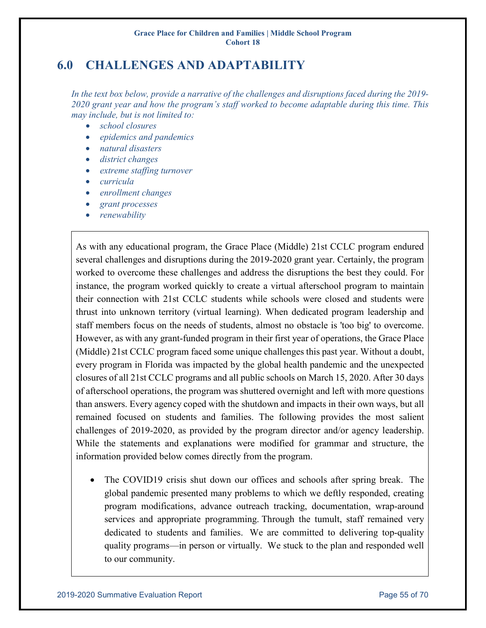# <span id="page-54-0"></span>**6.0 CHALLENGES AND ADAPTABILITY**

*In the text box below, provide a narrative of the challenges and disruptions faced during the 2019- 2020 grant year and how the program's staff worked to become adaptable during this time. This may include, but is not limited to:*

- *school closures*
- *epidemics and pandemics*
- *natural disasters*
- *district changes*
- *extreme staffing turnover*
- *curricula*
- *enrollment changes*
- *grant processes*
- *renewability*

As with any educational program, the Grace Place (Middle) 21st CCLC program endured several challenges and disruptions during the 2019-2020 grant year. Certainly, the program worked to overcome these challenges and address the disruptions the best they could. For instance, the program worked quickly to create a virtual afterschool program to maintain their connection with 21st CCLC students while schools were closed and students were thrust into unknown territory (virtual learning). When dedicated program leadership and staff members focus on the needs of students, almost no obstacle is 'too big' to overcome. However, as with any grant-funded program in their first year of operations, the Grace Place (Middle) 21st CCLC program faced some unique challenges this past year. Without a doubt, every program in Florida was impacted by the global health pandemic and the unexpected closures of all 21st CCLC programs and all public schools on March 15, 2020. After 30 days of afterschool operations, the program was shuttered overnight and left with more questions than answers. Every agency coped with the shutdown and impacts in their own ways, but all remained focused on students and families. The following provides the most salient challenges of 2019-2020, as provided by the program director and/or agency leadership. While the statements and explanations were modified for grammar and structure, the information provided below comes directly from the program.

The COVID19 crisis shut down our offices and schools after spring break. The global pandemic presented many problems to which we deftly responded, creating program modifications, advance outreach tracking, documentation, wrap-around services and appropriate programming. Through the tumult, staff remained very dedicated to students and families. We are committed to delivering top-quality quality programs—in person or virtually. We stuck to the plan and responded well to our community.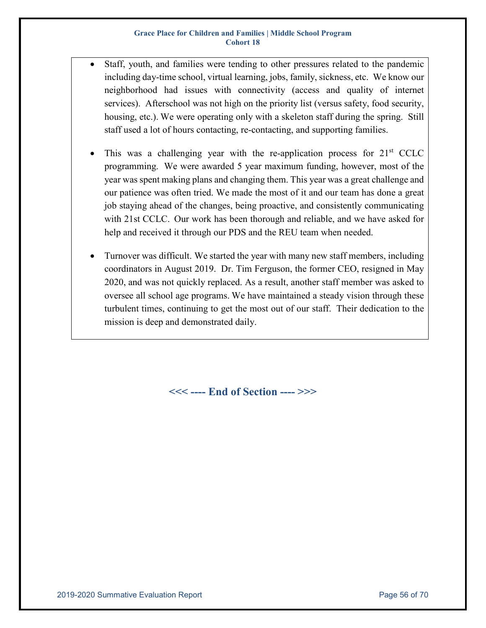- Staff, youth, and families were tending to other pressures related to the pandemic including day-time school, virtual learning, jobs, family, sickness, etc. We know our neighborhood had issues with connectivity (access and quality of internet services). Afterschool was not high on the priority list (versus safety, food security, housing, etc.). We were operating only with a skeleton staff during the spring. Still staff used a lot of hours contacting, re-contacting, and supporting families.
- This was a challenging year with the re-application process for  $21<sup>st</sup>$  CCLC programming. We were awarded 5 year maximum funding, however, most of the year was spent making plans and changing them. This year was a great challenge and our patience was often tried. We made the most of it and our team has done a great job staying ahead of the changes, being proactive, and consistently communicating with 21st CCLC. Our work has been thorough and reliable, and we have asked for help and received it through our PDS and the REU team when needed.
- Turnover was difficult. We started the year with many new staff members, including coordinators in August 2019. Dr. Tim Ferguson, the former CEO, resigned in May 2020, and was not quickly replaced. As a result, another staff member was asked to oversee all school age programs. We have maintained a steady vision through these turbulent times, continuing to get the most out of our staff. Their dedication to the mission is deep and demonstrated daily.

**<<< ---- End of Section ---- >>>**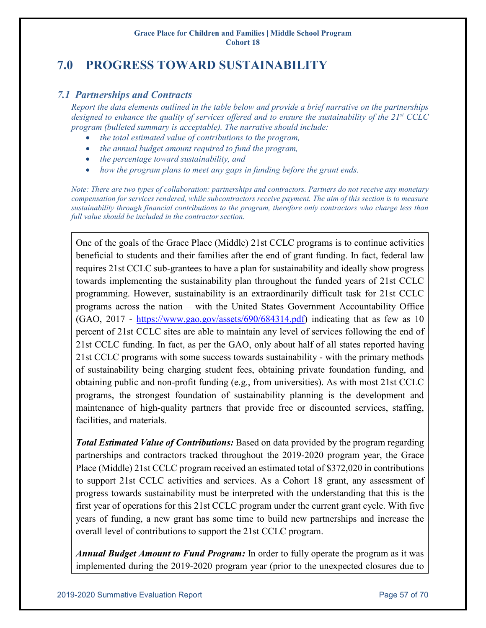# <span id="page-56-0"></span>**7.0 PROGRESS TOWARD SUSTAINABILITY**

### <span id="page-56-1"></span>*7.1 Partnerships and Contracts*

*Report the data elements outlined in the table below and provide a brief narrative on the partnerships designed to enhance the quality of services offered and to ensure the sustainability of the 21st CCLC program (bulleted summary is acceptable). The narrative should include:*

- *the total estimated value of contributions to the program,*
- *the annual budget amount required to fund the program,*
- *the percentage toward sustainability, and*
- *how the program plans to meet any gaps in funding before the grant ends.*

*Note: There are two types of collaboration: partnerships and contractors. Partners do not receive any monetary compensation for services rendered, while subcontractors receive payment. The aim of this section is to measure sustainability through financial contributions to the program, therefore only contractors who charge less than full value should be included in the contractor section.*

One of the goals of the Grace Place (Middle) 21st CCLC programs is to continue activities beneficial to students and their families after the end of grant funding. In fact, federal law requires 21st CCLC sub-grantees to have a plan for sustainability and ideally show progress towards implementing the sustainability plan throughout the funded years of 21st CCLC programming. However, sustainability is an extraordinarily difficult task for 21st CCLC programs across the nation – with the United States Government Accountability Office (GAO, 2017 - [https://www.gao.gov/assets/690/684314.pdf\)](https://www.gao.gov/assets/690/684314.pdf) indicating that as few as 10 percent of 21st CCLC sites are able to maintain any level of services following the end of 21st CCLC funding. In fact, as per the GAO, only about half of all states reported having 21st CCLC programs with some success towards sustainability - with the primary methods of sustainability being charging student fees, obtaining private foundation funding, and obtaining public and non-profit funding (e.g., from universities). As with most 21st CCLC programs, the strongest foundation of sustainability planning is the development and maintenance of high-quality partners that provide free or discounted services, staffing, facilities, and materials.

*Total Estimated Value of Contributions:* Based on data provided by the program regarding partnerships and contractors tracked throughout the 2019-2020 program year, the Grace Place (Middle) 21st CCLC program received an estimated total of \$372,020 in contributions to support 21st CCLC activities and services. As a Cohort 18 grant, any assessment of progress towards sustainability must be interpreted with the understanding that this is the first year of operations for this 21st CCLC program under the current grant cycle. With five years of funding, a new grant has some time to build new partnerships and increase the overall level of contributions to support the 21st CCLC program.

*Annual Budget Amount to Fund Program:* In order to fully operate the program as it was implemented during the 2019-2020 program year (prior to the unexpected closures due to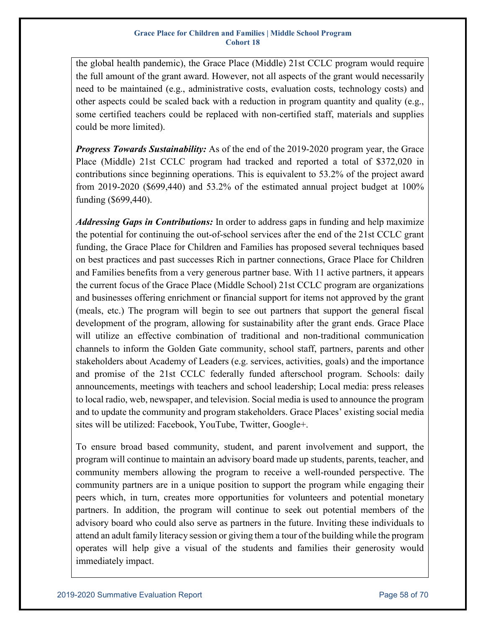the global health pandemic), the Grace Place (Middle) 21st CCLC program would require the full amount of the grant award. However, not all aspects of the grant would necessarily need to be maintained (e.g., administrative costs, evaluation costs, technology costs) and other aspects could be scaled back with a reduction in program quantity and quality (e.g., some certified teachers could be replaced with non-certified staff, materials and supplies could be more limited).

*Progress Towards Sustainability:* As of the end of the 2019-2020 program year, the Grace Place (Middle) 21st CCLC program had tracked and reported a total of \$372,020 in contributions since beginning operations. This is equivalent to 53.2% of the project award from 2019-2020 (\$699,440) and 53.2% of the estimated annual project budget at 100% funding (\$699,440).

*Addressing Gaps in Contributions:* In order to address gaps in funding and help maximize the potential for continuing the out-of-school services after the end of the 21st CCLC grant funding, the Grace Place for Children and Families has proposed several techniques based on best practices and past successes Rich in partner connections, Grace Place for Children and Families benefits from a very generous partner base. With 11 active partners, it appears the current focus of the Grace Place (Middle School) 21st CCLC program are organizations and businesses offering enrichment or financial support for items not approved by the grant (meals, etc.) The program will begin to see out partners that support the general fiscal development of the program, allowing for sustainability after the grant ends. Grace Place will utilize an effective combination of traditional and non-traditional communication channels to inform the Golden Gate community, school staff, partners, parents and other stakeholders about Academy of Leaders (e.g. services, activities, goals) and the importance and promise of the 21st CCLC federally funded afterschool program. Schools: daily announcements, meetings with teachers and school leadership; Local media: press releases to local radio, web, newspaper, and television. Social media is used to announce the program and to update the community and program stakeholders. Grace Places' existing social media sites will be utilized: Facebook, YouTube, Twitter, Google+.

To ensure broad based community, student, and parent involvement and support, the program will continue to maintain an advisory board made up students, parents, teacher, and community members allowing the program to receive a well-rounded perspective. The community partners are in a unique position to support the program while engaging their peers which, in turn, creates more opportunities for volunteers and potential monetary partners. In addition, the program will continue to seek out potential members of the advisory board who could also serve as partners in the future. Inviting these individuals to attend an adult family literacy session or giving them a tour of the building while the program operates will help give a visual of the students and families their generosity would immediately impact.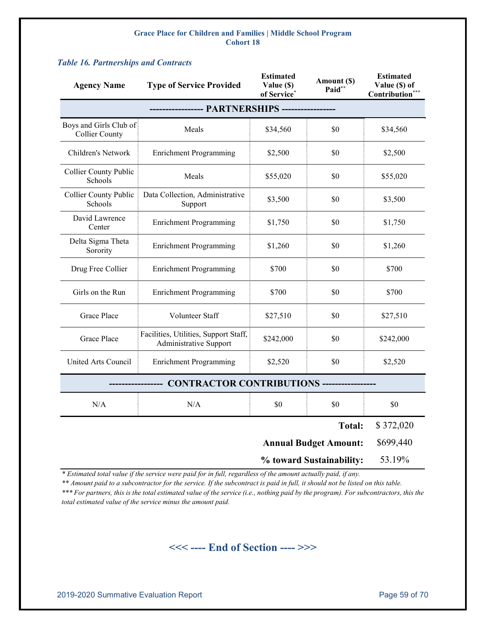| <b>Agency Name</b>                                       | <b>Type of Service Provided</b>                                 | <b>Estimated</b><br>Value (\$)<br>of Service* | Amount (\$)<br>Paid* | <b>Estimated</b><br>Value (\$) of<br>Contribution* |  |  |  |
|----------------------------------------------------------|-----------------------------------------------------------------|-----------------------------------------------|----------------------|----------------------------------------------------|--|--|--|
|                                                          |                                                                 |                                               |                      |                                                    |  |  |  |
| Boys and Girls Club of<br><b>Collier County</b>          | Meals                                                           | \$34,560                                      | \$0                  | \$34,560                                           |  |  |  |
| Children's Network                                       | <b>Enrichment Programming</b>                                   | \$2,500                                       | \$0                  | \$2,500                                            |  |  |  |
| <b>Collier County Public</b><br>Schools                  | Meals                                                           | \$55,020                                      | \$0                  | \$55,020                                           |  |  |  |
| <b>Collier County Public</b><br>Schools                  | Data Collection, Administrative<br>Support                      | \$3,500                                       | \$0                  | \$3,500                                            |  |  |  |
| David Lawrence<br>Center                                 | <b>Enrichment Programming</b>                                   | \$1,750                                       | \$0                  | \$1,750                                            |  |  |  |
| Delta Sigma Theta<br>Sorority                            | <b>Enrichment Programming</b>                                   | \$1,260                                       | \$0                  | \$1,260                                            |  |  |  |
| Drug Free Collier                                        | <b>Enrichment Programming</b>                                   | \$700                                         | \$0                  | \$700                                              |  |  |  |
| Girls on the Run                                         | <b>Enrichment Programming</b>                                   | \$700                                         | \$0                  | \$700                                              |  |  |  |
| Grace Place                                              | Volunteer Staff                                                 | \$27,510                                      | \$0                  | \$27,510                                           |  |  |  |
| <b>Grace Place</b>                                       | Facilities, Utilities, Support Staff,<br>Administrative Support | \$242,000                                     | \$0                  | \$242,000                                          |  |  |  |
| United Arts Council                                      | <b>Enrichment Programming</b>                                   | \$2,520                                       | \$0                  | \$2,520                                            |  |  |  |
|                                                          | CONTRACTOR CONTRIBUTIONS -----------------                      |                                               |                      |                                                    |  |  |  |
| N/A                                                      | N/A                                                             | \$0                                           | \$0                  | \$0                                                |  |  |  |
|                                                          |                                                                 |                                               | <b>Total:</b>        | \$372,020                                          |  |  |  |
| <b>Annual Budget Amount:</b><br>% toward Sustainability: |                                                                 |                                               |                      | \$699,440                                          |  |  |  |
|                                                          |                                                                 |                                               |                      | 53.19%                                             |  |  |  |

#### <span id="page-58-0"></span>*Table 16. Partnerships and Contracts*

*\* Estimated total value if the service were paid for in full, regardless of the amount actually paid, if any.* 

*\*\* Amount paid to a subcontractor for the service. If the subcontract is paid in full, it should not be listed on this table. \*\*\* For partners, this is the total estimated value of the service (i.e., nothing paid by the program). For subcontractors, this the total estimated value of the service minus the amount paid.*

## **<<< ---- End of Section ---- >>>**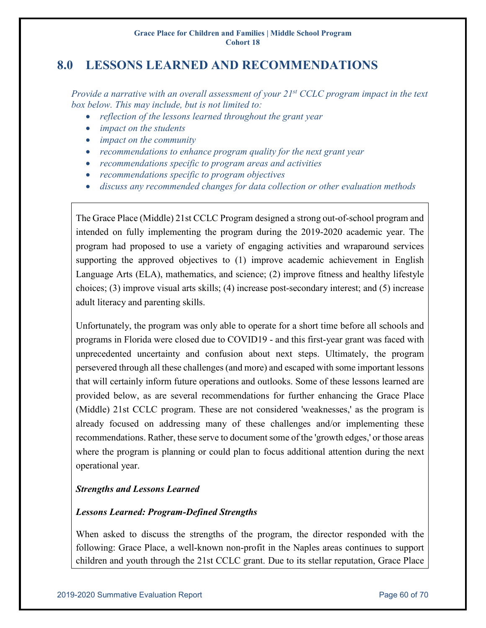# <span id="page-59-0"></span>**8.0 LESSONS LEARNED AND RECOMMENDATIONS**

*Provide a narrative with an overall assessment of your 21st CCLC program impact in the text box below. This may include, but is not limited to:*

- *reflection of the lessons learned throughout the grant year*
- *impact on the students*
- *impact on the community*
- *recommendations to enhance program quality for the next grant year*
- *recommendations specific to program areas and activities*
- *recommendations specific to program objectives*
- *discuss any recommended changes for data collection or other evaluation methods*

The Grace Place (Middle) 21st CCLC Program designed a strong out-of-school program and intended on fully implementing the program during the 2019-2020 academic year. The program had proposed to use a variety of engaging activities and wraparound services supporting the approved objectives to (1) improve academic achievement in English Language Arts (ELA), mathematics, and science; (2) improve fitness and healthy lifestyle choices; (3) improve visual arts skills; (4) increase post-secondary interest; and (5) increase adult literacy and parenting skills.

Unfortunately, the program was only able to operate for a short time before all schools and programs in Florida were closed due to COVID19 - and this first-year grant was faced with unprecedented uncertainty and confusion about next steps. Ultimately, the program persevered through all these challenges (and more) and escaped with some important lessons that will certainly inform future operations and outlooks. Some of these lessons learned are provided below, as are several recommendations for further enhancing the Grace Place (Middle) 21st CCLC program. These are not considered 'weaknesses,' as the program is already focused on addressing many of these challenges and/or implementing these recommendations. Rather, these serve to document some of the 'growth edges,' or those areas where the program is planning or could plan to focus additional attention during the next operational year.

### *Strengths and Lessons Learned*

### *Lessons Learned: Program-Defined Strengths*

When asked to discuss the strengths of the program, the director responded with the following: Grace Place, a well-known non-profit in the Naples areas continues to support children and youth through the 21st CCLC grant. Due to its stellar reputation, Grace Place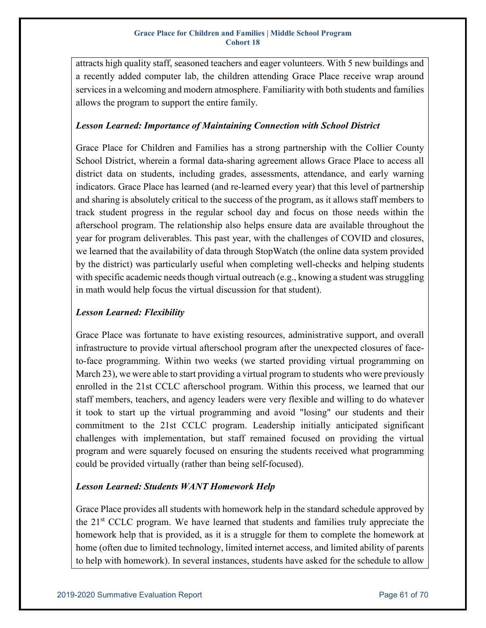attracts high quality staff, seasoned teachers and eager volunteers. With 5 new buildings and a recently added computer lab, the children attending Grace Place receive wrap around services in a welcoming and modern atmosphere. Familiarity with both students and families allows the program to support the entire family.

### *Lesson Learned: Importance of Maintaining Connection with School District*

Grace Place for Children and Families has a strong partnership with the Collier County School District, wherein a formal data-sharing agreement allows Grace Place to access all district data on students, including grades, assessments, attendance, and early warning indicators. Grace Place has learned (and re-learned every year) that this level of partnership and sharing is absolutely critical to the success of the program, as it allows staff members to track student progress in the regular school day and focus on those needs within the afterschool program. The relationship also helps ensure data are available throughout the year for program deliverables. This past year, with the challenges of COVID and closures, we learned that the availability of data through StopWatch (the online data system provided by the district) was particularly useful when completing well-checks and helping students with specific academic needs though virtual outreach (e.g., knowing a student was struggling in math would help focus the virtual discussion for that student).

### *Lesson Learned: Flexibility*

Grace Place was fortunate to have existing resources, administrative support, and overall infrastructure to provide virtual afterschool program after the unexpected closures of faceto-face programming. Within two weeks (we started providing virtual programming on March 23), we were able to start providing a virtual program to students who were previously enrolled in the 21st CCLC afterschool program. Within this process, we learned that our staff members, teachers, and agency leaders were very flexible and willing to do whatever it took to start up the virtual programming and avoid "losing" our students and their commitment to the 21st CCLC program. Leadership initially anticipated significant challenges with implementation, but staff remained focused on providing the virtual program and were squarely focused on ensuring the students received what programming could be provided virtually (rather than being self-focused).

### *Lesson Learned: Students WANT Homework Help*

Grace Place provides all students with homework help in the standard schedule approved by the 21st CCLC program. We have learned that students and families truly appreciate the homework help that is provided, as it is a struggle for them to complete the homework at home (often due to limited technology, limited internet access, and limited ability of parents to help with homework). In several instances, students have asked for the schedule to allow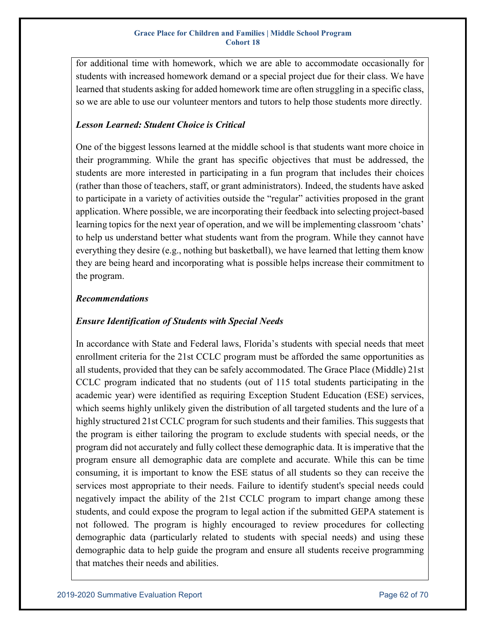for additional time with homework, which we are able to accommodate occasionally for students with increased homework demand or a special project due for their class. We have learned that students asking for added homework time are often struggling in a specific class, so we are able to use our volunteer mentors and tutors to help those students more directly.

### *Lesson Learned: Student Choice is Critical*

One of the biggest lessons learned at the middle school is that students want more choice in their programming. While the grant has specific objectives that must be addressed, the students are more interested in participating in a fun program that includes their choices (rather than those of teachers, staff, or grant administrators). Indeed, the students have asked to participate in a variety of activities outside the "regular" activities proposed in the grant application. Where possible, we are incorporating their feedback into selecting project-based learning topics for the next year of operation, and we will be implementing classroom 'chats' to help us understand better what students want from the program. While they cannot have everything they desire (e.g., nothing but basketball), we have learned that letting them know they are being heard and incorporating what is possible helps increase their commitment to the program.

### *Recommendations*

### *Ensure Identification of Students with Special Needs*

In accordance with State and Federal laws, Florida's students with special needs that meet enrollment criteria for the 21st CCLC program must be afforded the same opportunities as all students, provided that they can be safely accommodated. The Grace Place (Middle) 21st CCLC program indicated that no students (out of 115 total students participating in the academic year) were identified as requiring Exception Student Education (ESE) services, which seems highly unlikely given the distribution of all targeted students and the lure of a highly structured 21st CCLC program for such students and their families. This suggests that the program is either tailoring the program to exclude students with special needs, or the program did not accurately and fully collect these demographic data. It is imperative that the program ensure all demographic data are complete and accurate. While this can be time consuming, it is important to know the ESE status of all students so they can receive the services most appropriate to their needs. Failure to identify student's special needs could negatively impact the ability of the 21st CCLC program to impart change among these students, and could expose the program to legal action if the submitted GEPA statement is not followed. The program is highly encouraged to review procedures for collecting demographic data (particularly related to students with special needs) and using these demographic data to help guide the program and ensure all students receive programming that matches their needs and abilities.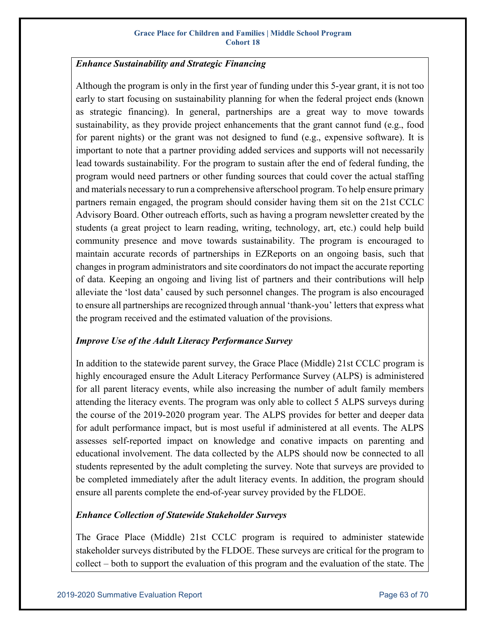### *Enhance Sustainability and Strategic Financing*

Although the program is only in the first year of funding under this 5-year grant, it is not too early to start focusing on sustainability planning for when the federal project ends (known as strategic financing). In general, partnerships are a great way to move towards sustainability, as they provide project enhancements that the grant cannot fund (e.g., food for parent nights) or the grant was not designed to fund (e.g., expensive software). It is important to note that a partner providing added services and supports will not necessarily lead towards sustainability. For the program to sustain after the end of federal funding, the program would need partners or other funding sources that could cover the actual staffing and materials necessary to run a comprehensive afterschool program. To help ensure primary partners remain engaged, the program should consider having them sit on the 21st CCLC Advisory Board. Other outreach efforts, such as having a program newsletter created by the students (a great project to learn reading, writing, technology, art, etc.) could help build community presence and move towards sustainability. The program is encouraged to maintain accurate records of partnerships in EZReports on an ongoing basis, such that changes in program administrators and site coordinators do not impact the accurate reporting of data. Keeping an ongoing and living list of partners and their contributions will help alleviate the 'lost data' caused by such personnel changes. The program is also encouraged to ensure all partnerships are recognized through annual 'thank-you' letters that express what the program received and the estimated valuation of the provisions.

### *Improve Use of the Adult Literacy Performance Survey*

In addition to the statewide parent survey, the Grace Place (Middle) 21st CCLC program is highly encouraged ensure the Adult Literacy Performance Survey (ALPS) is administered for all parent literacy events, while also increasing the number of adult family members attending the literacy events. The program was only able to collect 5 ALPS surveys during the course of the 2019-2020 program year. The ALPS provides for better and deeper data for adult performance impact, but is most useful if administered at all events. The ALPS assesses self-reported impact on knowledge and conative impacts on parenting and educational involvement. The data collected by the ALPS should now be connected to all students represented by the adult completing the survey. Note that surveys are provided to be completed immediately after the adult literacy events. In addition, the program should ensure all parents complete the end-of-year survey provided by the FLDOE.

### *Enhance Collection of Statewide Stakeholder Surveys*

The Grace Place (Middle) 21st CCLC program is required to administer statewide stakeholder surveys distributed by the FLDOE. These surveys are critical for the program to collect – both to support the evaluation of this program and the evaluation of the state. The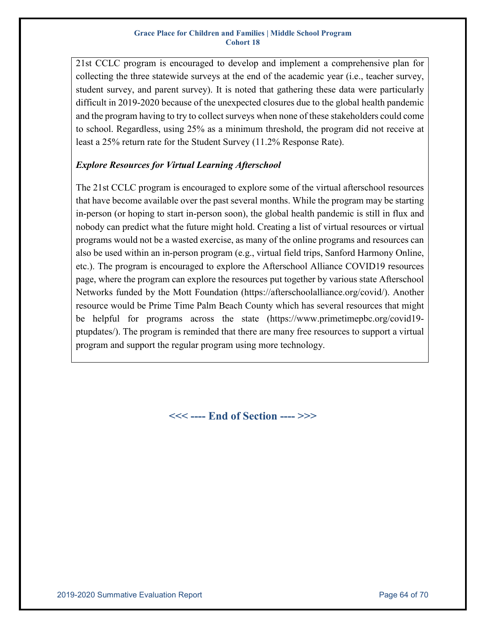21st CCLC program is encouraged to develop and implement a comprehensive plan for collecting the three statewide surveys at the end of the academic year (i.e., teacher survey, student survey, and parent survey). It is noted that gathering these data were particularly difficult in 2019-2020 because of the unexpected closures due to the global health pandemic and the program having to try to collect surveys when none of these stakeholders could come to school. Regardless, using 25% as a minimum threshold, the program did not receive at least a 25% return rate for the Student Survey (11.2% Response Rate).

### *Explore Resources for Virtual Learning Afterschool*

The 21st CCLC program is encouraged to explore some of the virtual afterschool resources that have become available over the past several months. While the program may be starting in-person (or hoping to start in-person soon), the global health pandemic is still in flux and nobody can predict what the future might hold. Creating a list of virtual resources or virtual programs would not be a wasted exercise, as many of the online programs and resources can also be used within an in-person program (e.g., virtual field trips, Sanford Harmony Online, etc.). The program is encouraged to explore the Afterschool Alliance COVID19 resources page, where the program can explore the resources put together by various state Afterschool Networks funded by the Mott Foundation (https://afterschoolalliance.org/covid/). Another resource would be Prime Time Palm Beach County which has several resources that might be helpful for programs across the state (https://www.primetimepbc.org/covid19 ptupdates/). The program is reminded that there are many free resources to support a virtual program and support the regular program using more technology.

**<<< ---- End of Section ---- >>>**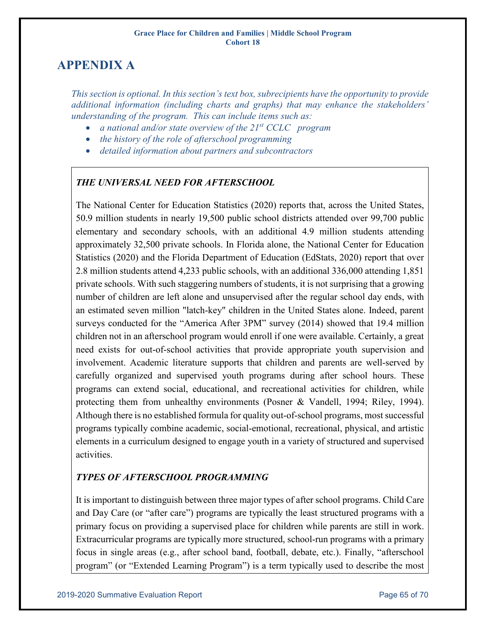# <span id="page-64-0"></span>**APPENDIX A**

*This section is optional. In this section's text box, subrecipients have the opportunity to provide additional information (including charts and graphs) that may enhance the stakeholders' understanding of the program. This can include items such as:*

- *a national and/or state overview of the 21st CCLC program*
- *the history of the role of afterschool programming*
- *detailed information about partners and subcontractors*

### *THE UNIVERSAL NEED FOR AFTERSCHOOL*

The National Center for Education Statistics (2020) reports that, across the United States, 50.9 million students in nearly 19,500 public school districts attended over 99,700 public elementary and secondary schools, with an additional 4.9 million students attending approximately 32,500 private schools. In Florida alone, the National Center for Education Statistics (2020) and the Florida Department of Education (EdStats, 2020) report that over 2.8 million students attend 4,233 public schools, with an additional 336,000 attending 1,851 private schools. With such staggering numbers of students, it is not surprising that a growing number of children are left alone and unsupervised after the regular school day ends, with an estimated seven million "latch-key" children in the United States alone. Indeed, parent surveys conducted for the "America After 3PM" survey (2014) showed that 19.4 million children not in an afterschool program would enroll if one were available. Certainly, a great need exists for out-of-school activities that provide appropriate youth supervision and involvement. Academic literature supports that children and parents are well-served by carefully organized and supervised youth programs during after school hours. These programs can extend social, educational, and recreational activities for children, while protecting them from unhealthy environments (Posner & Vandell, 1994; Riley, 1994). Although there is no established formula for quality out-of-school programs, most successful programs typically combine academic, social-emotional, recreational, physical, and artistic elements in a curriculum designed to engage youth in a variety of structured and supervised activities.

### *TYPES OF AFTERSCHOOL PROGRAMMING*

It is important to distinguish between three major types of after school programs. Child Care and Day Care (or "after care") programs are typically the least structured programs with a primary focus on providing a supervised place for children while parents are still in work. Extracurricular programs are typically more structured, school-run programs with a primary focus in single areas (e.g., after school band, football, debate, etc.). Finally, "afterschool program" (or "Extended Learning Program") is a term typically used to describe the most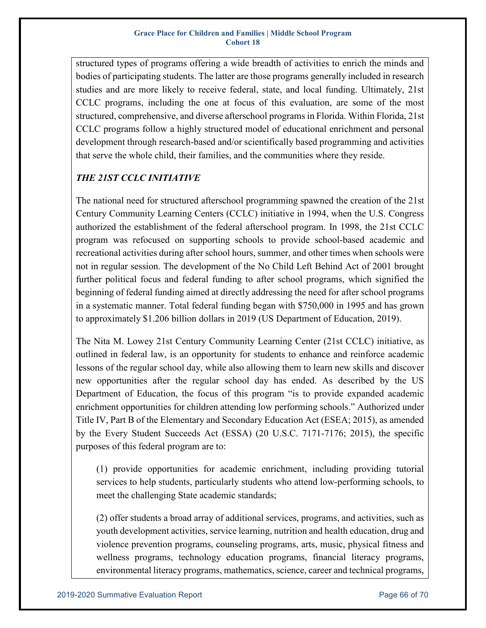structured types of programs offering a wide breadth of activities to enrich the minds and bodies of participating students. The latter are those programs generally included in research studies and are more likely to receive federal, state, and local funding. Ultimately, 21st CCLC programs, including the one at focus of this evaluation, are some of the most structured, comprehensive, and diverse afterschool programs in Florida. Within Florida, 21st CCLC programs follow a highly structured model of educational enrichment and personal development through research-based and/or scientifically based programming and activities that serve the whole child, their families, and the communities where they reside.

## *THE 21ST CCLC INITIATIVE*

The national need for structured afterschool programming spawned the creation of the 21st Century Community Learning Centers (CCLC) initiative in 1994, when the U.S. Congress authorized the establishment of the federal afterschool program. In 1998, the 21st CCLC program was refocused on supporting schools to provide school-based academic and recreational activities during after school hours, summer, and other times when schools were not in regular session. The development of the No Child Left Behind Act of 2001 brought further political focus and federal funding to after school programs, which signified the beginning of federal funding aimed at directly addressing the need for after school programs in a systematic manner. Total federal funding began with \$750,000 in 1995 and has grown to approximately \$1.206 billion dollars in 2019 (US Department of Education, 2019).

The Nita M. Lowey 21st Century Community Learning Center (21st CCLC) initiative, as outlined in federal law, is an opportunity for students to enhance and reinforce academic lessons of the regular school day, while also allowing them to learn new skills and discover new opportunities after the regular school day has ended. As described by the US Department of Education, the focus of this program "is to provide expanded academic enrichment opportunities for children attending low performing schools." Authorized under Title IV, Part B of the Elementary and Secondary Education Act (ESEA; 2015), as amended by the Every Student Succeeds Act (ESSA) (20 U.S.C. 7171-7176; 2015), the specific purposes of this federal program are to:

(1) provide opportunities for academic enrichment, including providing tutorial services to help students, particularly students who attend low-performing schools, to meet the challenging State academic standards;

(2) offer students a broad array of additional services, programs, and activities, such as youth development activities, service learning, nutrition and health education, drug and violence prevention programs, counseling programs, arts, music, physical fitness and wellness programs, technology education programs, financial literacy programs, environmental literacy programs, mathematics, science, career and technical programs,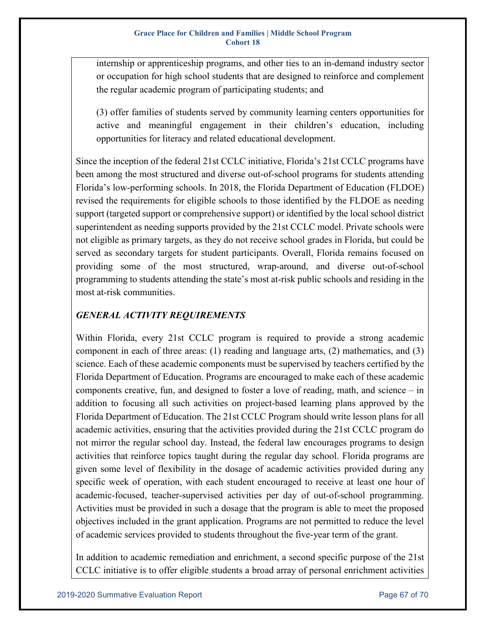internship or apprenticeship programs, and other ties to an in-demand industry sector or occupation for high school students that are designed to reinforce and complement the regular academic program of participating students; and

(3) offer families of students served by community learning centers opportunities for active and meaningful engagement in their children's education, including opportunities for literacy and related educational development.

Since the inception of the federal 21st CCLC initiative, Florida's 21st CCLC programs have been among the most structured and diverse out-of-school programs for students attending Florida's low-performing schools. In 2018, the Florida Department of Education (FLDOE) revised the requirements for eligible schools to those identified by the FLDOE as needing support (targeted support or comprehensive support) or identified by the local school district superintendent as needing supports provided by the 21st CCLC model. Private schools were not eligible as primary targets, as they do not receive school grades in Florida, but could be served as secondary targets for student participants. Overall, Florida remains focused on providing some of the most structured, wrap-around, and diverse out-of-school programming to students attending the state's most at-risk public schools and residing in the most at-risk communities.

### *GENERAL ACTIVITY REQUIREMENTS*

Within Florida, every 21st CCLC program is required to provide a strong academic component in each of three areas:  $(1)$  reading and language arts,  $(2)$  mathematics, and  $(3)$ science. Each of these academic components must be supervised by teachers certified by the Florida Department of Education. Programs are encouraged to make each of these academic components creative, fun, and designed to foster a love of reading, math, and science – in addition to focusing all such activities on project-based learning plans approved by the Florida Department of Education. The 21st CCLC Program should write lesson plans for all academic activities, ensuring that the activities provided during the 21st CCLC program do not mirror the regular school day. Instead, the federal law encourages programs to design activities that reinforce topics taught during the regular day school. Florida programs are given some level of flexibility in the dosage of academic activities provided during any specific week of operation, with each student encouraged to receive at least one hour of academic-focused, teacher-supervised activities per day of out-of-school programming. Activities must be provided in such a dosage that the program is able to meet the proposed objectives included in the grant application. Programs are not permitted to reduce the level of academic services provided to students throughout the five-year term of the grant.

In addition to academic remediation and enrichment, a second specific purpose of the 21st CCLC initiative is to offer eligible students a broad array of personal enrichment activities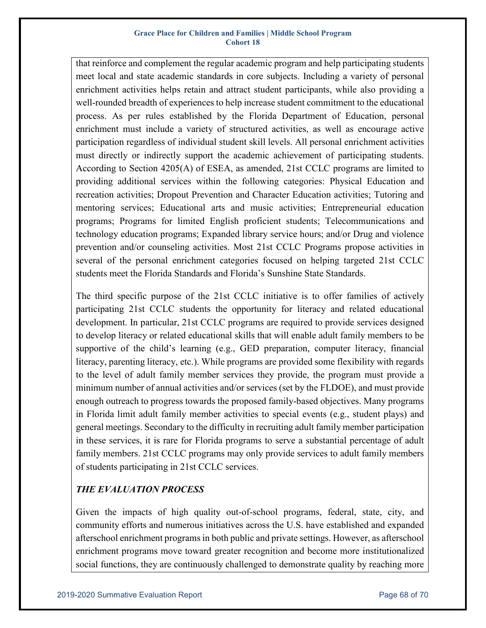that reinforce and complement the regular academic program and help participating students meet local and state academic standards in core subjects. Including a variety of personal enrichment activities helps retain and attract student participants, while also providing a well-rounded breadth of experiences to help increase student commitment to the educational process. As per rules established by the Florida Department of Education, personal enrichment must include a variety of structured activities, as well as encourage active participation regardless of individual student skill levels. All personal enrichment activities must directly or indirectly support the academic achievement of participating students. According to Section 4205(A) of ESEA, as amended, 21st CCLC programs are limited to providing additional services within the following categories: Physical Education and recreation activities; Dropout Prevention and Character Education activities; Tutoring and mentoring services; Educational arts and music activities; Entrepreneurial education programs; Programs for limited English proficient students; Telecommunications and technology education programs; Expanded library service hours; and/or Drug and violence prevention and/or counseling activities. Most 21st CCLC Programs propose activities in several of the personal enrichment categories focused on helping targeted 21st CCLC students meet the Florida Standards and Florida's Sunshine State Standards.

The third specific purpose of the 21st CCLC initiative is to offer families of actively participating 21st CCLC students the opportunity for literacy and related educational development. In particular, 21st CCLC programs are required to provide services designed to develop literacy or related educational skills that will enable adult family members to be supportive of the child's learning (e.g., GED preparation, computer literacy, financial literacy, parenting literacy, etc.). While programs are provided some flexibility with regards to the level of adult family member services they provide, the program must provide a minimum number of annual activities and/or services (set by the FLDOE), and must provide enough outreach to progress towards the proposed family-based objectives. Many programs in Florida limit adult family member activities to special events (e.g., student plays) and general meetings. Secondary to the difficulty in recruiting adult family member participation in these services, it is rare for Florida programs to serve a substantial percentage of adult family members. 21st CCLC programs may only provide services to adult family members of students participating in 21st CCLC services.

### *THE EVALUATION PROCESS*

Given the impacts of high quality out-of-school programs, federal, state, city, and community efforts and numerous initiatives across the U.S. have established and expanded afterschool enrichment programs in both public and private settings. However, as afterschool enrichment programs move toward greater recognition and become more institutionalized social functions, they are continuously challenged to demonstrate quality by reaching more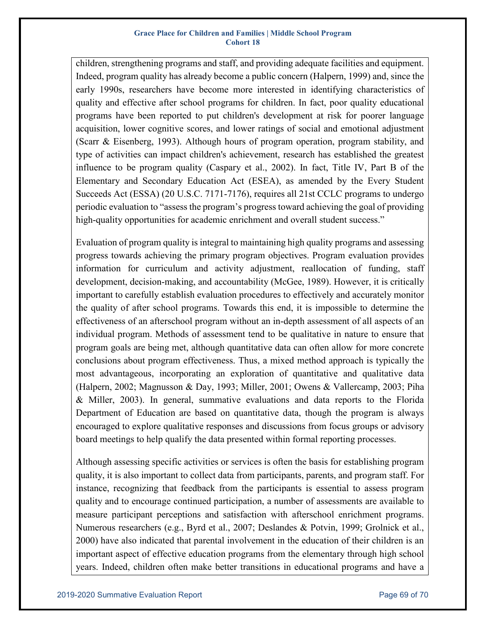children, strengthening programs and staff, and providing adequate facilities and equipment. Indeed, program quality has already become a public concern (Halpern, 1999) and, since the early 1990s, researchers have become more interested in identifying characteristics of quality and effective after school programs for children. In fact, poor quality educational programs have been reported to put children's development at risk for poorer language acquisition, lower cognitive scores, and lower ratings of social and emotional adjustment (Scarr & Eisenberg, 1993). Although hours of program operation, program stability, and type of activities can impact children's achievement, research has established the greatest influence to be program quality (Caspary et al., 2002). In fact, Title IV, Part B of the Elementary and Secondary Education Act (ESEA), as amended by the Every Student Succeeds Act (ESSA) (20 U.S.C. 7171-7176), requires all 21st CCLC programs to undergo periodic evaluation to "assess the program's progress toward achieving the goal of providing high-quality opportunities for academic enrichment and overall student success."

Evaluation of program quality is integral to maintaining high quality programs and assessing progress towards achieving the primary program objectives. Program evaluation provides information for curriculum and activity adjustment, reallocation of funding, staff development, decision-making, and accountability (McGee, 1989). However, it is critically important to carefully establish evaluation procedures to effectively and accurately monitor the quality of after school programs. Towards this end, it is impossible to determine the effectiveness of an afterschool program without an in-depth assessment of all aspects of an individual program. Methods of assessment tend to be qualitative in nature to ensure that program goals are being met, although quantitative data can often allow for more concrete conclusions about program effectiveness. Thus, a mixed method approach is typically the most advantageous, incorporating an exploration of quantitative and qualitative data (Halpern, 2002; Magnusson & Day, 1993; Miller, 2001; Owens & Vallercamp, 2003; Piha & Miller, 2003). In general, summative evaluations and data reports to the Florida Department of Education are based on quantitative data, though the program is always encouraged to explore qualitative responses and discussions from focus groups or advisory board meetings to help qualify the data presented within formal reporting processes.

Although assessing specific activities or services is often the basis for establishing program quality, it is also important to collect data from participants, parents, and program staff. For instance, recognizing that feedback from the participants is essential to assess program quality and to encourage continued participation, a number of assessments are available to measure participant perceptions and satisfaction with afterschool enrichment programs. Numerous researchers (e.g., Byrd et al., 2007; Deslandes & Potvin, 1999; Grolnick et al., 2000) have also indicated that parental involvement in the education of their children is an important aspect of effective education programs from the elementary through high school years. Indeed, children often make better transitions in educational programs and have a